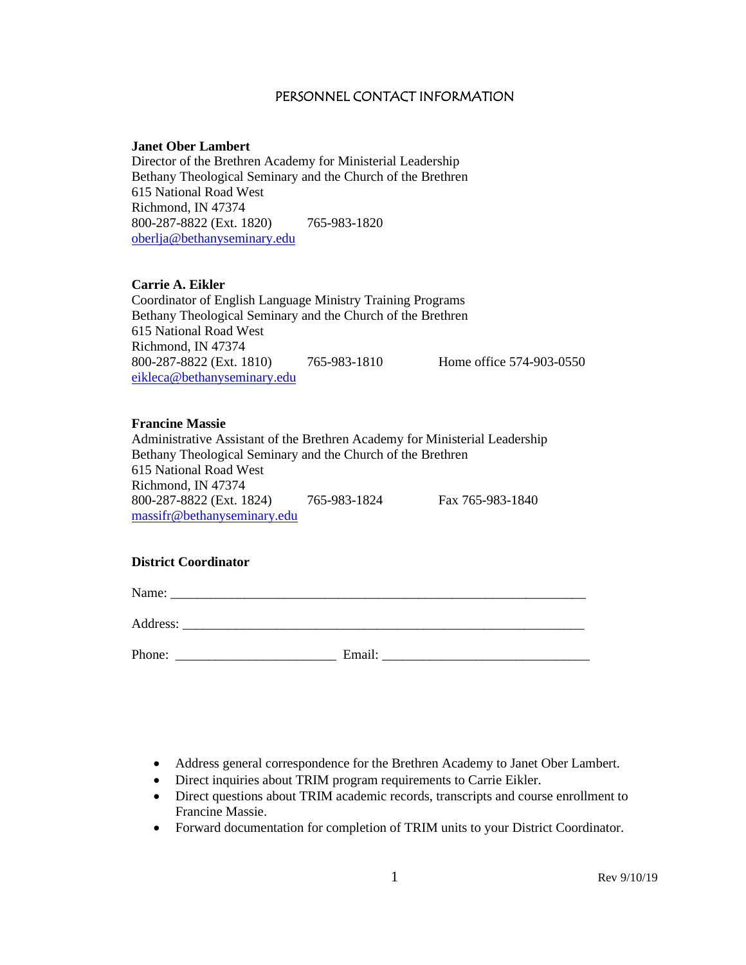#### PERSONNEL CONTACT INFORMATION

#### **Janet Ober Lambert**

Director of the Brethren Academy for Ministerial Leadership Bethany Theological Seminary and the Church of the Brethren 615 National Road West Richmond, IN 47374 800-287-8822 (Ext. 1820) 765-983-1820 [oberlja@bethanyseminary.edu](mailto:oberlja@bethanyseminary.edu)

#### **Carrie A. Eikler**

Coordinator of English Language Ministry Training Programs Bethany Theological Seminary and the Church of the Brethren 615 National Road West Richmond, IN 47374 800-287-8822 (Ext. 1810) 765-983-1810 Home office 574-903-0550 [eikleca@bethanyseminary.edu](mailto:eikleca@bethanyseminary.edu)

#### **Francine Massie**

Administrative Assistant of the Brethren Academy for Ministerial Leadership Bethany Theological Seminary and the Church of the Brethren 615 National Road West Richmond, IN 47374 800-287-8822 (Ext. 1824) 765-983-1824 Fax 765-983-1840 massifr@bethanyseminary.edu

#### **District Coordinator**

Name: \_\_\_\_\_\_\_\_\_\_\_\_\_\_\_\_\_\_\_\_\_\_\_\_\_\_\_\_\_\_\_\_\_\_\_\_\_\_\_\_\_\_\_\_\_\_\_\_\_\_\_\_\_\_\_\_\_\_\_\_\_\_

Address:

Phone: \_\_\_\_\_\_\_\_\_\_\_\_\_\_\_\_\_\_\_\_\_\_\_\_ Email: \_\_\_\_\_\_\_\_\_\_\_\_\_\_\_\_\_\_\_\_\_\_\_\_\_\_\_\_\_\_\_

- Address general correspondence for the Brethren Academy to Janet Ober Lambert.
- Direct inquiries about TRIM program requirements to Carrie Eikler.
- Direct questions about TRIM academic records, transcripts and course enrollment to Francine Massie.
- Forward documentation for completion of TRIM units to your District Coordinator.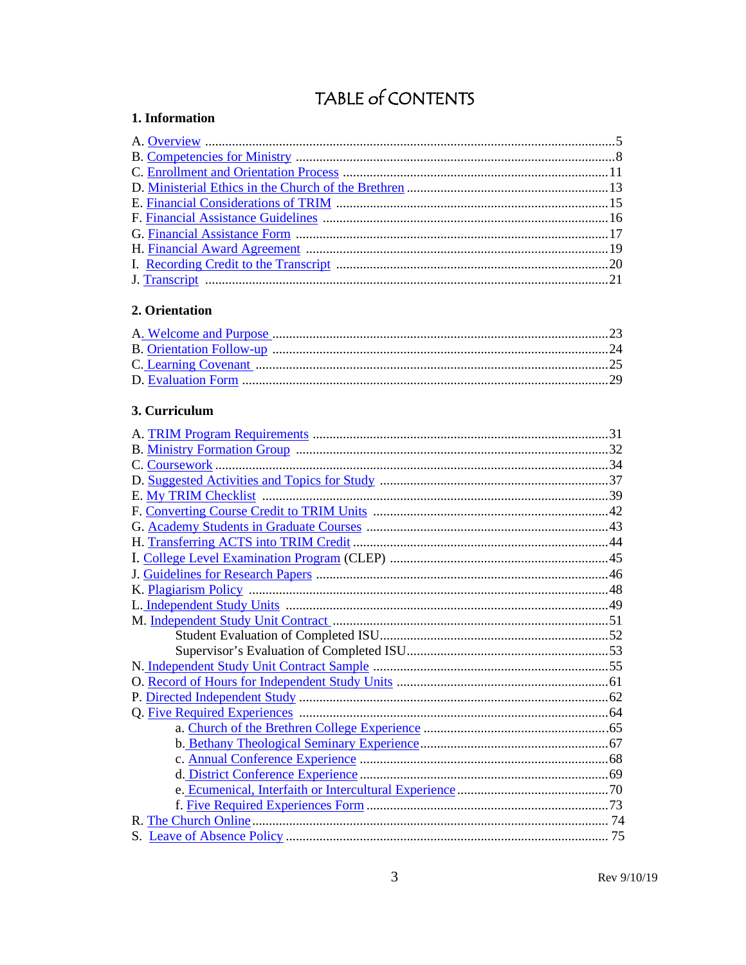# TABLE of CONTENTS

#### <span id="page-2-0"></span>1. Information

#### <span id="page-2-1"></span>2. Orientation

### <span id="page-2-2"></span>3. Curriculum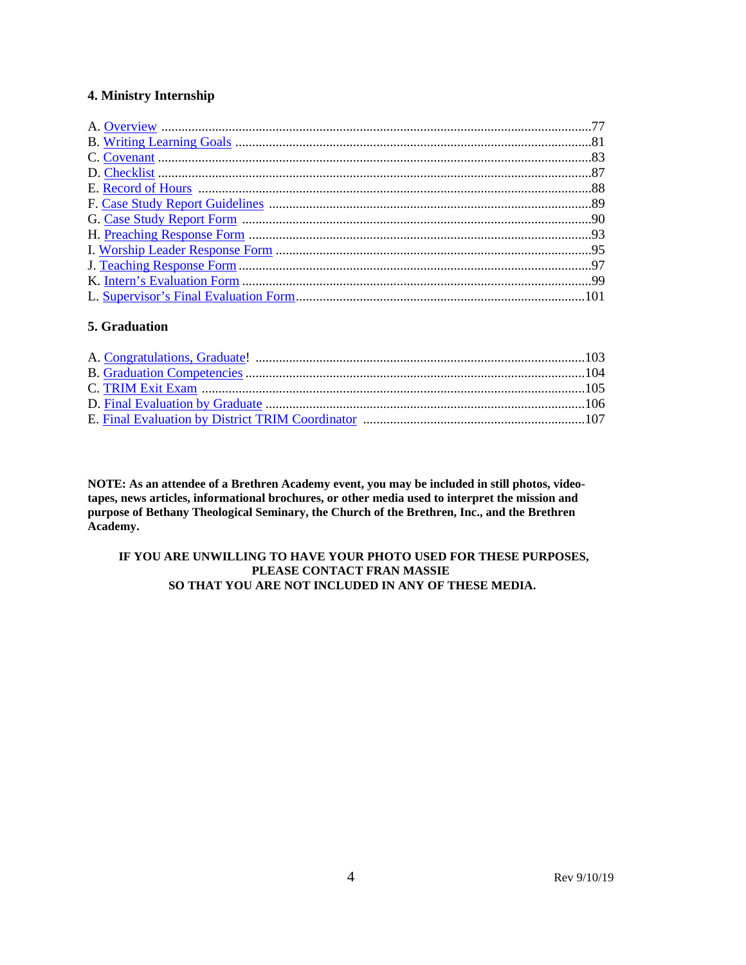#### **4. Ministry Internship**

#### **5. Graduation**

**NOTE: As an attendee of a Brethren Academy event, you may be included in still photos, videotapes, news articles, informational brochures, or other media used to interpret the mission and purpose of Bethany Theological Seminary, the Church of the Brethren, Inc., and the Brethren Academy.**

#### **IF YOU ARE UNWILLING TO HAVE YOUR PHOTO USED FOR THESE PURPOSES, PLEASE CONTACT FRAN MASSIE SO THAT YOU ARE NOT INCLUDED IN ANY OF THESE MEDIA.**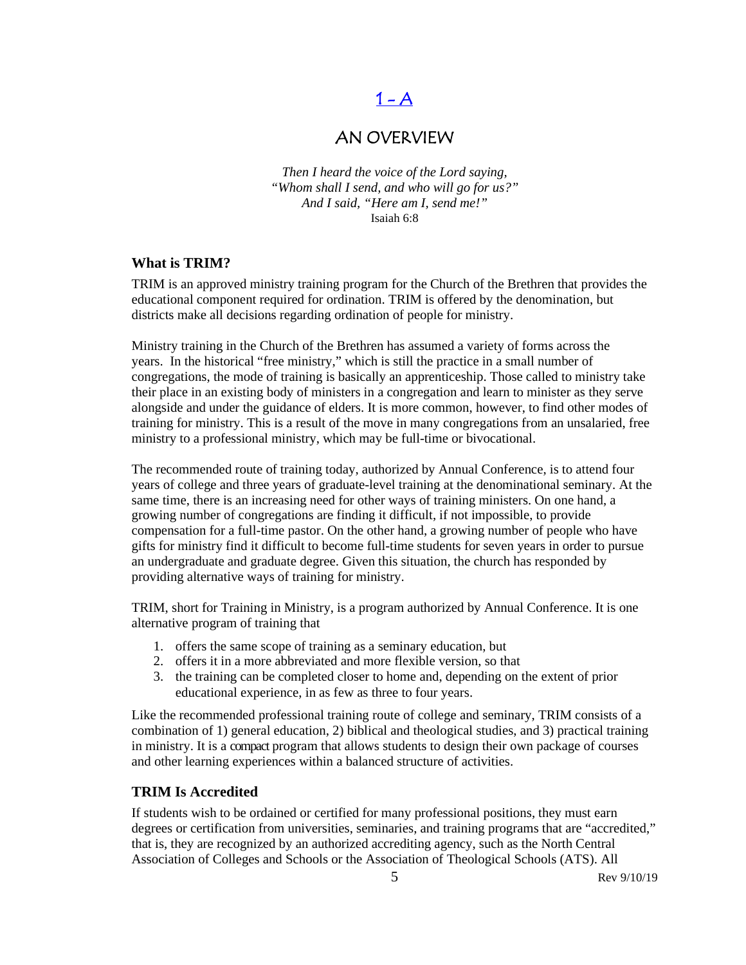## $1 - A$

## AN OVERVIEW

<span id="page-4-0"></span>*Then I heard the voice of the Lord saying, "Whom shall I send, and who will go for us?" And I said, "Here am I, send me!"* Isaiah 6:8

#### **What is TRIM?**

TRIM is an approved ministry training program for the Church of the Brethren that provides the educational component required for ordination. TRIM is offered by the denomination, but districts make all decisions regarding ordination of people for ministry.

Ministry training in the Church of the Brethren has assumed a variety of forms across the years. In the historical "free ministry," which is still the practice in a small number of congregations, the mode of training is basically an apprenticeship. Those called to ministry take their place in an existing body of ministers in a congregation and learn to minister as they serve alongside and under the guidance of elders. It is more common, however, to find other modes of training for ministry. This is a result of the move in many congregations from an unsalaried, free ministry to a professional ministry, which may be full-time or bivocational.

The recommended route of training today, authorized by Annual Conference, is to attend four years of college and three years of graduate-level training at the denominational seminary. At the same time, there is an increasing need for other ways of training ministers. On one hand, a growing number of congregations are finding it difficult, if not impossible, to provide compensation for a full-time pastor. On the other hand, a growing number of people who have gifts for ministry find it difficult to become full-time students for seven years in order to pursue an undergraduate and graduate degree. Given this situation, the church has responded by providing alternative ways of training for ministry.

TRIM, short for Training in Ministry, is a program authorized by Annual Conference. It is one alternative program of training that

- 1. offers the same scope of training as a seminary education, but
- 2. offers it in a more abbreviated and more flexible version, so that
- 3. the training can be completed closer to home and, depending on the extent of prior educational experience, in as few as three to four years.

Like the recommended professional training route of college and seminary, TRIM consists of a combination of 1) general education, 2) biblical and theological studies, and 3) practical training in ministry. It is a compact program that allows students to design their own package of courses and other learning experiences within a balanced structure of activities.

#### **TRIM Is Accredited**

If students wish to be ordained or certified for many professional positions, they must earn degrees or certification from universities, seminaries, and training programs that are "accredited," that is, they are recognized by an authorized accrediting agency, such as the North Central Association of Colleges and Schools or the Association of Theological Schools (ATS). All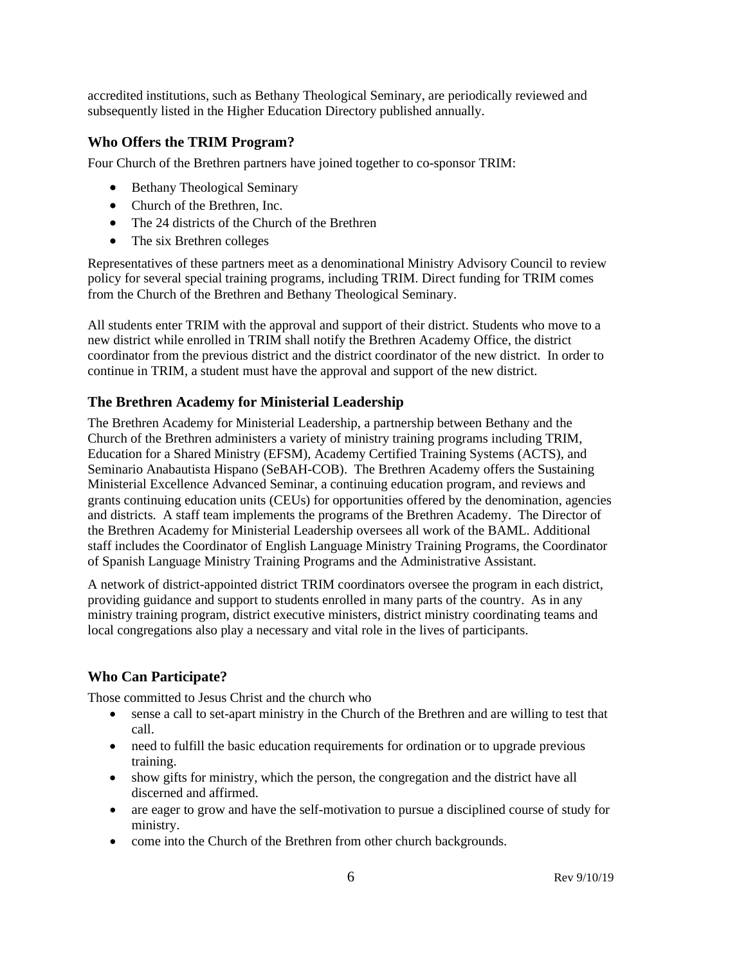accredited institutions, such as Bethany Theological Seminary, are periodically reviewed and subsequently listed in the Higher Education Directory published annually.

#### **Who Offers the TRIM Program?**

Four Church of the Brethren partners have joined together to co-sponsor TRIM:

- Bethany Theological Seminary
- Church of the Brethren, Inc.
- The 24 districts of the Church of the Brethren
- The six Brethren colleges

Representatives of these partners meet as a denominational Ministry Advisory Council to review policy for several special training programs, including TRIM. Direct funding for TRIM comes from the Church of the Brethren and Bethany Theological Seminary.

All students enter TRIM with the approval and support of their district. Students who move to a new district while enrolled in TRIM shall notify the Brethren Academy Office, the district coordinator from the previous district and the district coordinator of the new district. In order to continue in TRIM, a student must have the approval and support of the new district.

#### **The Brethren Academy for Ministerial Leadership**

The Brethren Academy for Ministerial Leadership, a partnership between Bethany and the Church of the Brethren administers a variety of ministry training programs including TRIM, Education for a Shared Ministry (EFSM), Academy Certified Training Systems (ACTS), and Seminario Anabautista Hispano (SeBAH-COB). The Brethren Academy offers the Sustaining Ministerial Excellence Advanced Seminar, a continuing education program, and reviews and grants continuing education units (CEUs) for opportunities offered by the denomination, agencies and districts. A staff team implements the programs of the Brethren Academy. The Director of the Brethren Academy for Ministerial Leadership oversees all work of the BAML. Additional staff includes the Coordinator of English Language Ministry Training Programs, the Coordinator of Spanish Language Ministry Training Programs and the Administrative Assistant.

A network of district-appointed district TRIM coordinators oversee the program in each district, providing guidance and support to students enrolled in many parts of the country. As in any ministry training program, district executive ministers, district ministry coordinating teams and local congregations also play a necessary and vital role in the lives of participants.

#### **Who Can Participate?**

Those committed to Jesus Christ and the church who

- sense a call to set-apart ministry in the Church of the Brethren and are willing to test that call.
- need to fulfill the basic education requirements for ordination or to upgrade previous training.
- show gifts for ministry, which the person, the congregation and the district have all discerned and affirmed.
- are eager to grow and have the self-motivation to pursue a disciplined course of study for ministry.
- come into the Church of the Brethren from other church backgrounds.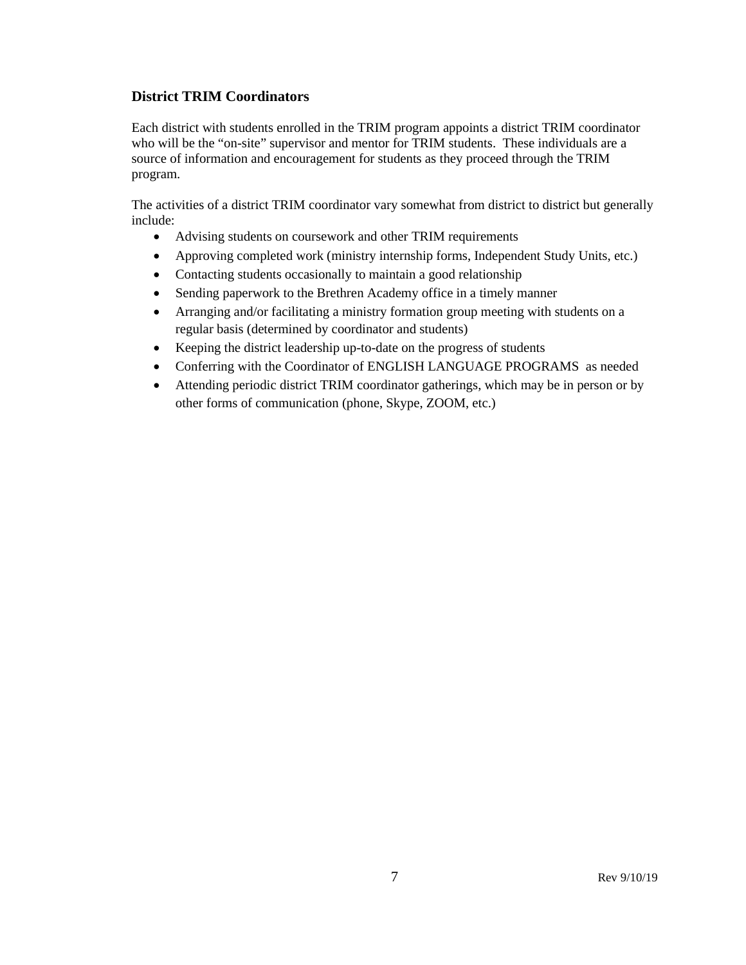#### **District TRIM Coordinators**

Each district with students enrolled in the TRIM program appoints a district TRIM coordinator who will be the "on-site" supervisor and mentor for TRIM students. These individuals are a source of information and encouragement for students as they proceed through the TRIM program.

The activities of a district TRIM coordinator vary somewhat from district to district but generally include:

- Advising students on coursework and other TRIM requirements
- Approving completed work (ministry internship forms, Independent Study Units, etc.)
- Contacting students occasionally to maintain a good relationship
- Sending paperwork to the Brethren Academy office in a timely manner
- Arranging and/or facilitating a ministry formation group meeting with students on a regular basis (determined by coordinator and students)
- Keeping the district leadership up-to-date on the progress of students
- Conferring with the Coordinator of ENGLISH LANGUAGE PROGRAMS as needed
- Attending periodic district TRIM coordinator gatherings, which may be in person or by other forms of communication (phone, Skype, ZOOM, etc.)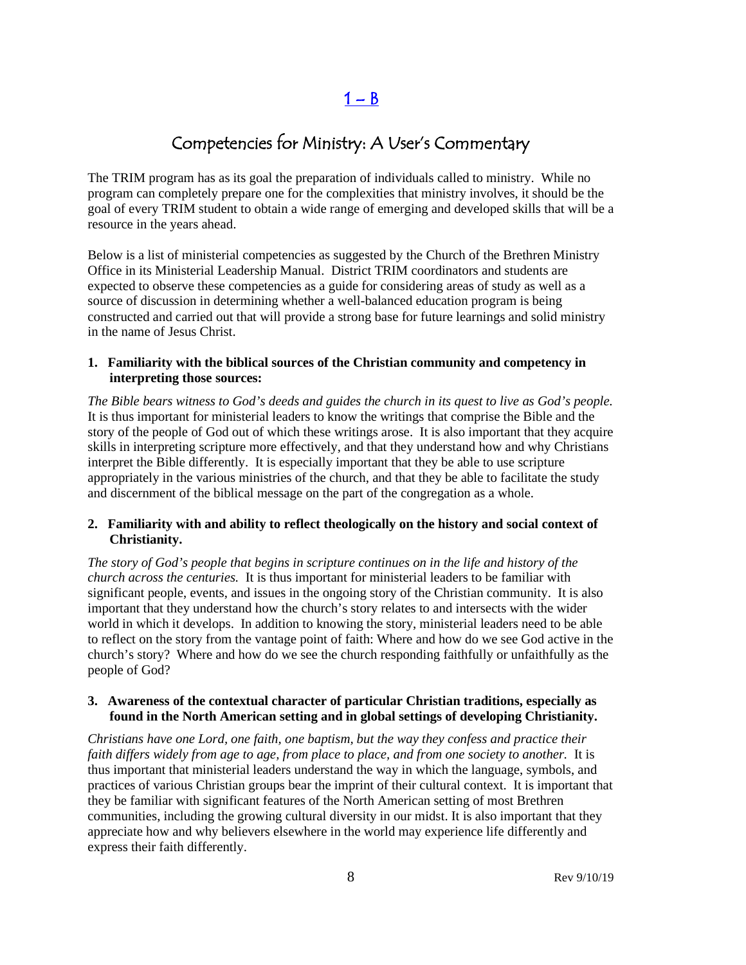$1 - B$ 

## Competencies for Ministry: A User's Commentary

<span id="page-7-0"></span>The TRIM program has as its goal the preparation of individuals called to ministry. While no program can completely prepare one for the complexities that ministry involves, it should be the goal of every TRIM student to obtain a wide range of emerging and developed skills that will be a resource in the years ahead.

Below is a list of ministerial competencies as suggested by the Church of the Brethren Ministry Office in its Ministerial Leadership Manual. District TRIM coordinators and students are expected to observe these competencies as a guide for considering areas of study as well as a source of discussion in determining whether a well-balanced education program is being constructed and carried out that will provide a strong base for future learnings and solid ministry in the name of Jesus Christ.

#### **1. Familiarity with the biblical sources of the Christian community and competency in interpreting those sources:**

*The Bible bears witness to God's deeds and guides the church in its quest to live as God's people.* It is thus important for ministerial leaders to know the writings that comprise the Bible and the story of the people of God out of which these writings arose. It is also important that they acquire skills in interpreting scripture more effectively, and that they understand how and why Christians interpret the Bible differently. It is especially important that they be able to use scripture appropriately in the various ministries of the church, and that they be able to facilitate the study and discernment of the biblical message on the part of the congregation as a whole.

#### **2. Familiarity with and ability to reflect theologically on the history and social context of Christianity.**

*The story of God's people that begins in scripture continues on in the life and history of the church across the centuries.* It is thus important for ministerial leaders to be familiar with significant people, events, and issues in the ongoing story of the Christian community. It is also important that they understand how the church's story relates to and intersects with the wider world in which it develops. In addition to knowing the story, ministerial leaders need to be able to reflect on the story from the vantage point of faith: Where and how do we see God active in the church's story? Where and how do we see the church responding faithfully or unfaithfully as the people of God?

#### **3. Awareness of the contextual character of particular Christian traditions, especially as found in the North American setting and in global settings of developing Christianity.**

*Christians have one Lord, one faith, one baptism, but the way they confess and practice their faith differs widely from age to age, from place to place, and from one society to another.* It is thus important that ministerial leaders understand the way in which the language, symbols, and practices of various Christian groups bear the imprint of their cultural context. It is important that they be familiar with significant features of the North American setting of most Brethren communities, including the growing cultural diversity in our midst. It is also important that they appreciate how and why believers elsewhere in the world may experience life differently and express their faith differently.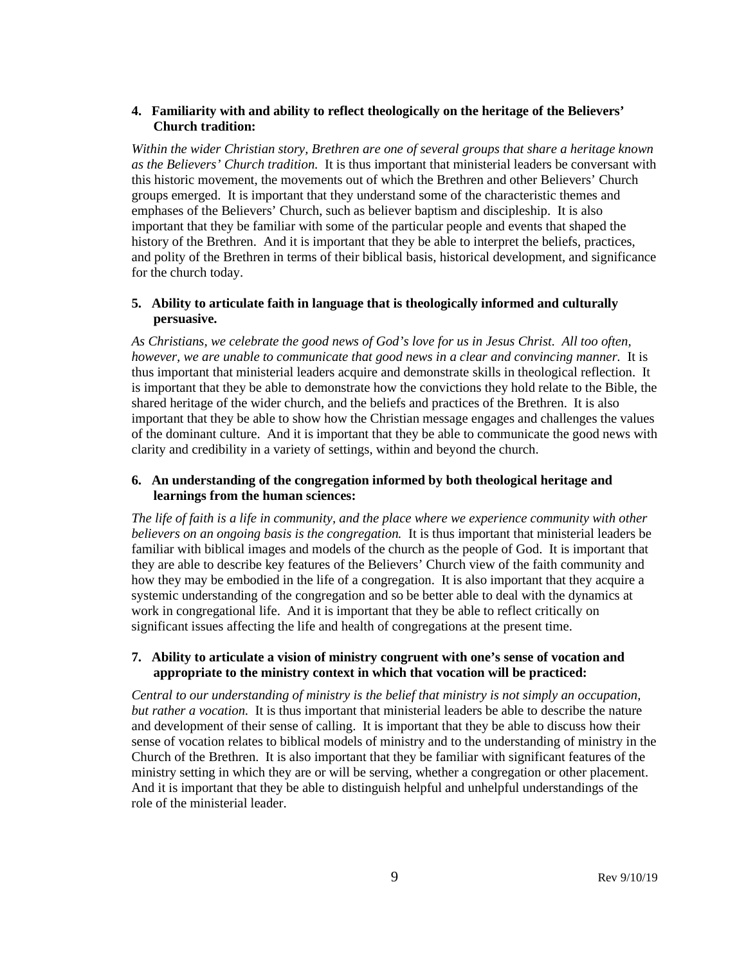#### **4. Familiarity with and ability to reflect theologically on the heritage of the Believers' Church tradition:**

*Within the wider Christian story, Brethren are one of several groups that share a heritage known as the Believers' Church tradition.* It is thus important that ministerial leaders be conversant with this historic movement, the movements out of which the Brethren and other Believers' Church groups emerged. It is important that they understand some of the characteristic themes and emphases of the Believers' Church, such as believer baptism and discipleship. It is also important that they be familiar with some of the particular people and events that shaped the history of the Brethren. And it is important that they be able to interpret the beliefs, practices, and polity of the Brethren in terms of their biblical basis, historical development, and significance for the church today.

#### **5. Ability to articulate faith in language that is theologically informed and culturally persuasive.**

*As Christians, we celebrate the good news of God's love for us in Jesus Christ. All too often, however, we are unable to communicate that good news in a clear and convincing manner.* It is thus important that ministerial leaders acquire and demonstrate skills in theological reflection. It is important that they be able to demonstrate how the convictions they hold relate to the Bible, the shared heritage of the wider church, and the beliefs and practices of the Brethren. It is also important that they be able to show how the Christian message engages and challenges the values of the dominant culture. And it is important that they be able to communicate the good news with clarity and credibility in a variety of settings, within and beyond the church.

#### **6. An understanding of the congregation informed by both theological heritage and learnings from the human sciences:**

*The life of faith is a life in community, and the place where we experience community with other believers on an ongoing basis is the congregation.* It is thus important that ministerial leaders be familiar with biblical images and models of the church as the people of God. It is important that they are able to describe key features of the Believers' Church view of the faith community and how they may be embodied in the life of a congregation. It is also important that they acquire a systemic understanding of the congregation and so be better able to deal with the dynamics at work in congregational life. And it is important that they be able to reflect critically on significant issues affecting the life and health of congregations at the present time.

#### **7. Ability to articulate a vision of ministry congruent with one's sense of vocation and appropriate to the ministry context in which that vocation will be practiced:**

*Central to our understanding of ministry is the belief that ministry is not simply an occupation, but rather a vocation.* It is thus important that ministerial leaders be able to describe the nature and development of their sense of calling. It is important that they be able to discuss how their sense of vocation relates to biblical models of ministry and to the understanding of ministry in the Church of the Brethren. It is also important that they be familiar with significant features of the ministry setting in which they are or will be serving, whether a congregation or other placement. And it is important that they be able to distinguish helpful and unhelpful understandings of the role of the ministerial leader.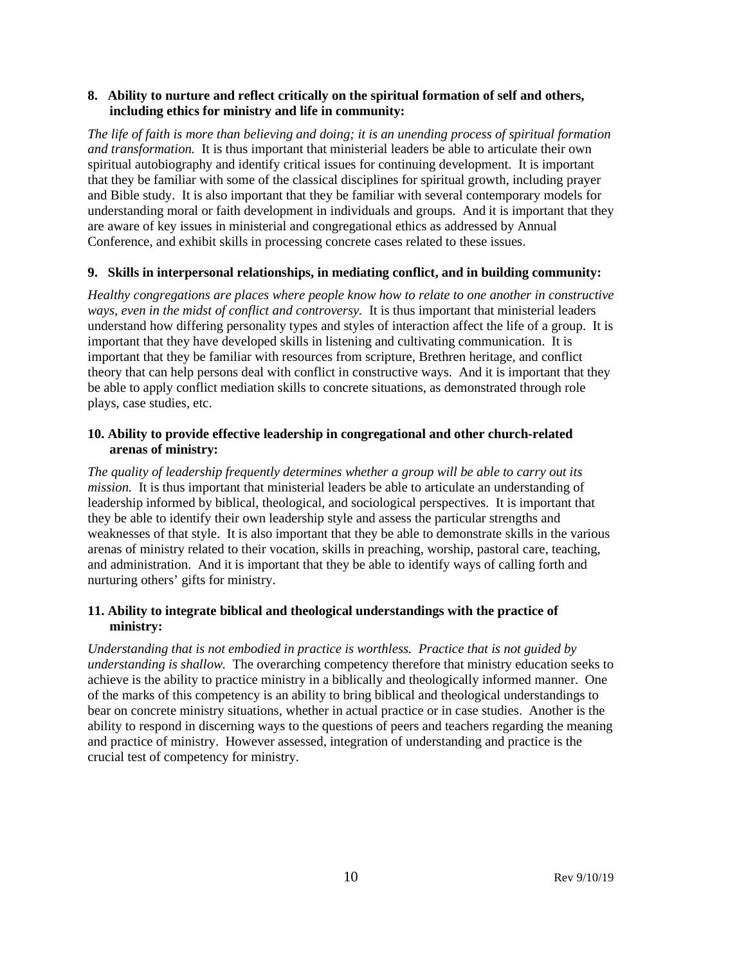#### **8. Ability to nurture and reflect critically on the spiritual formation of self and others, including ethics for ministry and life in community:**

*The life of faith is more than believing and doing; it is an unending process of spiritual formation and transformation.* It is thus important that ministerial leaders be able to articulate their own spiritual autobiography and identify critical issues for continuing development. It is important that they be familiar with some of the classical disciplines for spiritual growth, including prayer and Bible study. It is also important that they be familiar with several contemporary models for understanding moral or faith development in individuals and groups. And it is important that they are aware of key issues in ministerial and congregational ethics as addressed by Annual Conference, and exhibit skills in processing concrete cases related to these issues.

#### **9. Skills in interpersonal relationships, in mediating conflict, and in building community:**

*Healthy congregations are places where people know how to relate to one another in constructive ways, even in the midst of conflict and controversy.* It is thus important that ministerial leaders understand how differing personality types and styles of interaction affect the life of a group. It is important that they have developed skills in listening and cultivating communication. It is important that they be familiar with resources from scripture, Brethren heritage, and conflict theory that can help persons deal with conflict in constructive ways. And it is important that they be able to apply conflict mediation skills to concrete situations, as demonstrated through role plays, case studies, etc.

#### **10. Ability to provide effective leadership in congregational and other church-related arenas of ministry:**

*The quality of leadership frequently determines whether a group will be able to carry out its mission.* It is thus important that ministerial leaders be able to articulate an understanding of leadership informed by biblical, theological, and sociological perspectives. It is important that they be able to identify their own leadership style and assess the particular strengths and weaknesses of that style. It is also important that they be able to demonstrate skills in the various arenas of ministry related to their vocation, skills in preaching, worship, pastoral care, teaching, and administration. And it is important that they be able to identify ways of calling forth and nurturing others' gifts for ministry.

#### **11. Ability to integrate biblical and theological understandings with the practice of ministry:**

*Understanding that is not embodied in practice is worthless. Practice that is not guided by understanding is shallow.* The overarching competency therefore that ministry education seeks to achieve is the ability to practice ministry in a biblically and theologically informed manner. One of the marks of this competency is an ability to bring biblical and theological understandings to bear on concrete ministry situations, whether in actual practice or in case studies. Another is the ability to respond in discerning ways to the questions of peers and teachers regarding the meaning and practice of ministry. However assessed, integration of understanding and practice is the crucial test of competency for ministry.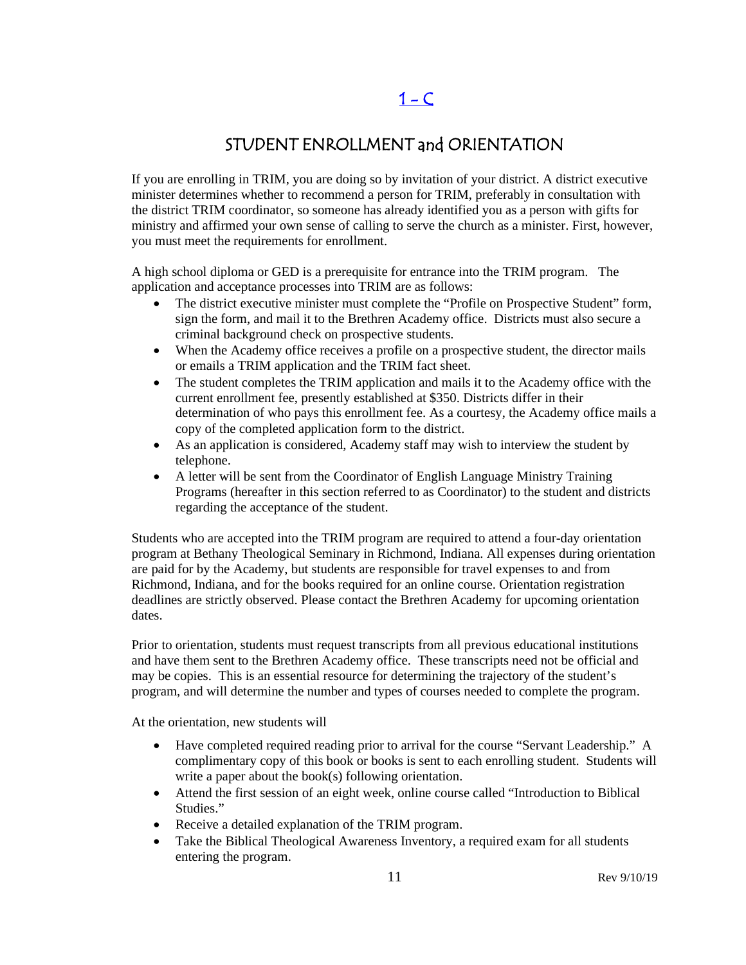# $1 - C$

## STUDENT ENROLLMENT and ORIENTATION

<span id="page-10-0"></span>If you are enrolling in TRIM, you are doing so by invitation of your district. A district executive minister determines whether to recommend a person for TRIM, preferably in consultation with the district TRIM coordinator, so someone has already identified you as a person with gifts for ministry and affirmed your own sense of calling to serve the church as a minister. First, however, you must meet the requirements for enrollment.

A high school diploma or GED is a prerequisite for entrance into the TRIM program. The application and acceptance processes into TRIM are as follows:

- The district executive minister must complete the "Profile on Prospective Student" form, sign the form, and mail it to the Brethren Academy office. Districts must also secure a criminal background check on prospective students.
- When the Academy office receives a profile on a prospective student, the director mails or emails a TRIM application and the TRIM fact sheet.
- The student completes the TRIM application and mails it to the Academy office with the current enrollment fee, presently established at \$350. Districts differ in their determination of who pays this enrollment fee. As a courtesy, the Academy office mails a copy of the completed application form to the district.
- As an application is considered, Academy staff may wish to interview the student by telephone.
- A letter will be sent from the Coordinator of English Language Ministry Training Programs (hereafter in this section referred to as Coordinator) to the student and districts regarding the acceptance of the student.

Students who are accepted into the TRIM program are required to attend a four-day orientation program at Bethany Theological Seminary in Richmond, Indiana. All expenses during orientation are paid for by the Academy, but students are responsible for travel expenses to and from Richmond, Indiana, and for the books required for an online course. Orientation registration deadlines are strictly observed. Please contact the Brethren Academy for upcoming orientation dates.

Prior to orientation, students must request transcripts from all previous educational institutions and have them sent to the Brethren Academy office. These transcripts need not be official and may be copies. This is an essential resource for determining the trajectory of the student's program, and will determine the number and types of courses needed to complete the program.

At the orientation, new students will

- Have completed required reading prior to arrival for the course "Servant Leadership." A complimentary copy of this book or books is sent to each enrolling student. Students will write a paper about the book(s) following orientation.
- Attend the first session of an eight week, online course called "Introduction to Biblical Studies."
- Receive a detailed explanation of the TRIM program.
- Take the Biblical Theological Awareness Inventory, a required exam for all students entering the program.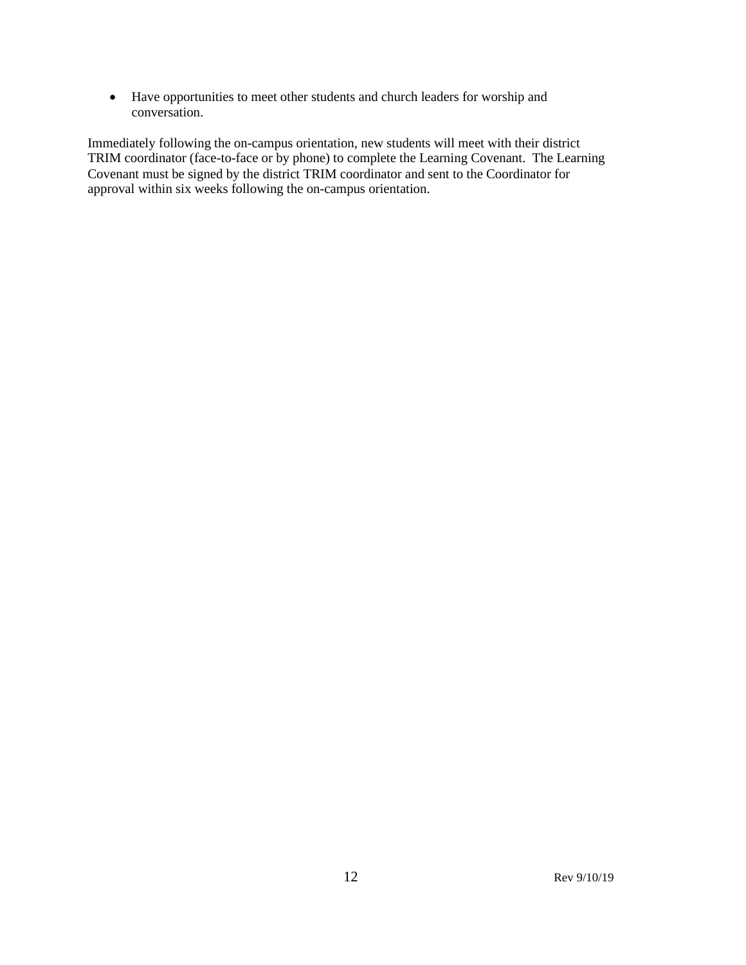• Have opportunities to meet other students and church leaders for worship and conversation.

Immediately following the on-campus orientation, new students will meet with their district TRIM coordinator (face-to-face or by phone) to complete the Learning Covenant. The Learning Covenant must be signed by the district TRIM coordinator and sent to the Coordinator for approval within six weeks following the on-campus orientation.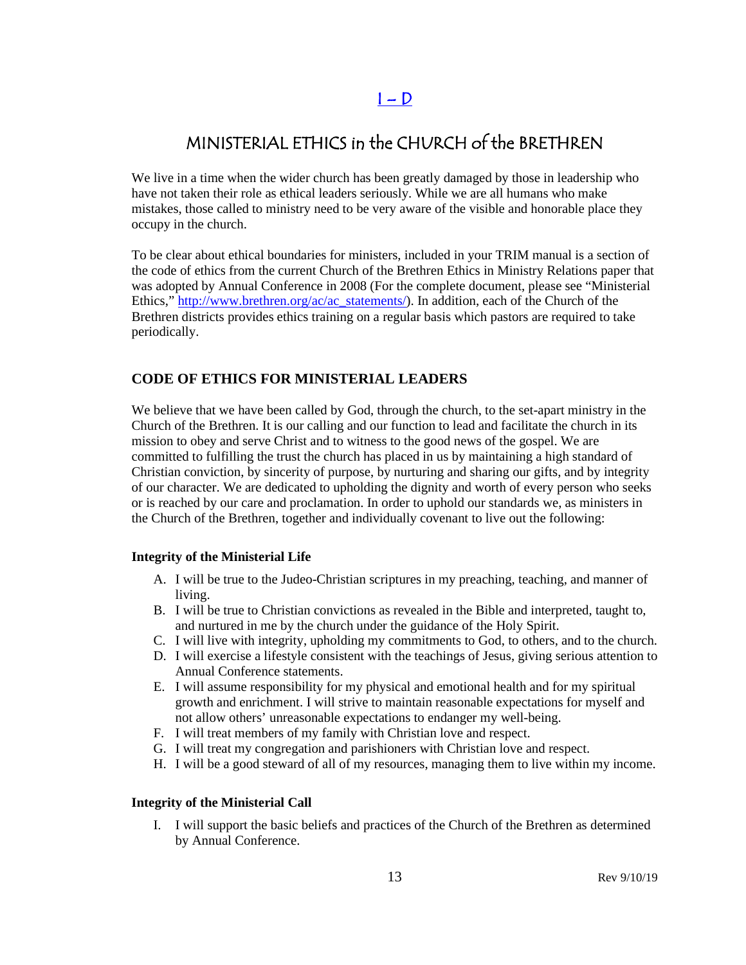## $I - D$

## <span id="page-12-0"></span>MINISTERIAL ETHICS in the CHURCH of the BRETHREN

We live in a time when the wider church has been greatly damaged by those in leadership who have not taken their role as ethical leaders seriously. While we are all humans who make mistakes, those called to ministry need to be very aware of the visible and honorable place they occupy in the church.

To be clear about ethical boundaries for ministers, included in your TRIM manual is a section of the code of ethics from the current Church of the Brethren Ethics in Ministry Relations paper that was adopted by Annual Conference in 2008 (For the complete document, please see "Ministerial Ethics," [http://www.brethren.org/ac/ac\\_statements/\)](http://www.brethren.org/ac/ac_statements/). In addition, each of the Church of the Brethren districts provides ethics training on a regular basis which pastors are required to take periodically.

#### **CODE OF ETHICS FOR MINISTERIAL LEADERS**

We believe that we have been called by God, through the church, to the set-apart ministry in the Church of the Brethren. It is our calling and our function to lead and facilitate the church in its mission to obey and serve Christ and to witness to the good news of the gospel. We are committed to fulfilling the trust the church has placed in us by maintaining a high standard of Christian conviction, by sincerity of purpose, by nurturing and sharing our gifts, and by integrity of our character. We are dedicated to upholding the dignity and worth of every person who seeks or is reached by our care and proclamation. In order to uphold our standards we, as ministers in the Church of the Brethren, together and individually covenant to live out the following:

#### **Integrity of the Ministerial Life**

- A. I will be true to the Judeo-Christian scriptures in my preaching, teaching, and manner of living.
- B. I will be true to Christian convictions as revealed in the Bible and interpreted, taught to, and nurtured in me by the church under the guidance of the Holy Spirit.
- C. I will live with integrity, upholding my commitments to God, to others, and to the church.
- D. I will exercise a lifestyle consistent with the teachings of Jesus, giving serious attention to Annual Conference statements.
- E. I will assume responsibility for my physical and emotional health and for my spiritual growth and enrichment. I will strive to maintain reasonable expectations for myself and not allow others' unreasonable expectations to endanger my well-being.
- F. I will treat members of my family with Christian love and respect.
- G. I will treat my congregation and parishioners with Christian love and respect.
- H. I will be a good steward of all of my resources, managing them to live within my income.

#### **Integrity of the Ministerial Call**

I. I will support the basic beliefs and practices of the Church of the Brethren as determined by Annual Conference.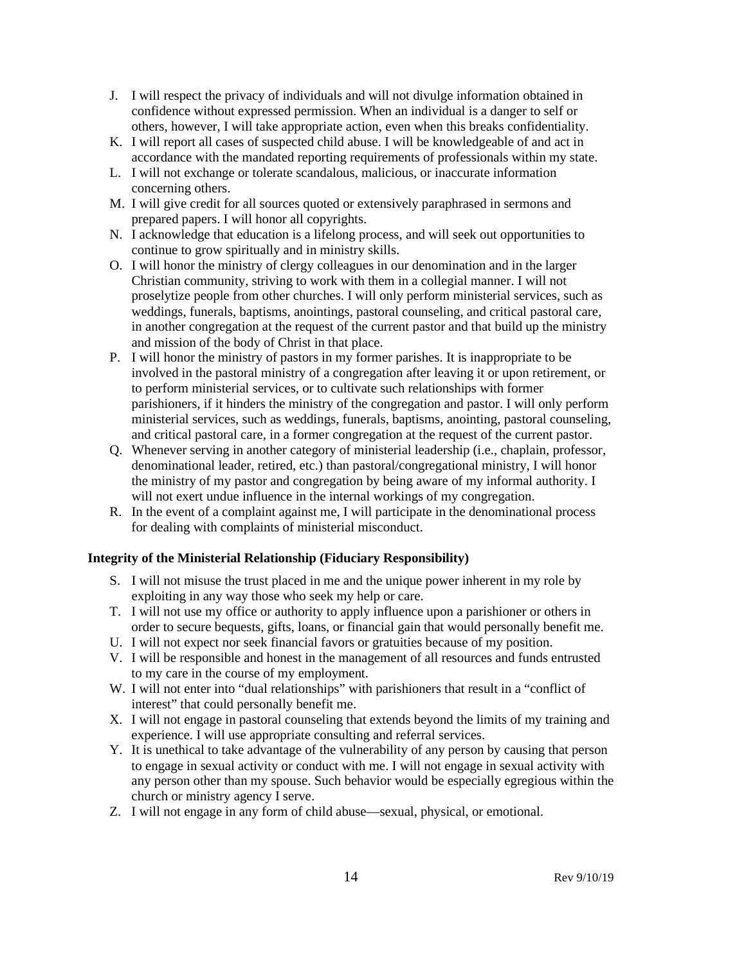- J. I will respect the privacy of individuals and will not divulge information obtained in confidence without expressed permission. When an individual is a danger to self or others, however, I will take appropriate action, even when this breaks confidentiality.
- K. I will report all cases of suspected child abuse. I will be knowledgeable of and act in accordance with the mandated reporting requirements of professionals within my state.
- L. I will not exchange or tolerate scandalous, malicious, or inaccurate information concerning others.
- M. I will give credit for all sources quoted or extensively paraphrased in sermons and prepared papers. I will honor all copyrights.
- N. I acknowledge that education is a lifelong process, and will seek out opportunities to continue to grow spiritually and in ministry skills.
- O. I will honor the ministry of clergy colleagues in our denomination and in the larger Christian community, striving to work with them in a collegial manner. I will not proselytize people from other churches. I will only perform ministerial services, such as weddings, funerals, baptisms, anointings, pastoral counseling, and critical pastoral care, in another congregation at the request of the current pastor and that build up the ministry and mission of the body of Christ in that place.
- P. I will honor the ministry of pastors in my former parishes. It is inappropriate to be involved in the pastoral ministry of a congregation after leaving it or upon retirement, or to perform ministerial services, or to cultivate such relationships with former parishioners, if it hinders the ministry of the congregation and pastor. I will only perform ministerial services, such as weddings, funerals, baptisms, anointing, pastoral counseling, and critical pastoral care, in a former congregation at the request of the current pastor.
- Q. Whenever serving in another category of ministerial leadership (i.e., chaplain, professor, denominational leader, retired, etc.) than pastoral/congregational ministry, I will honor the ministry of my pastor and congregation by being aware of my informal authority. I will not exert undue influence in the internal workings of my congregation.
- R. In the event of a complaint against me, I will participate in the denominational process for dealing with complaints of ministerial misconduct.

#### **Integrity of the Ministerial Relationship (Fiduciary Responsibility)**

- S. I will not misuse the trust placed in me and the unique power inherent in my role by exploiting in any way those who seek my help or care.
- T. I will not use my office or authority to apply influence upon a parishioner or others in order to secure bequests, gifts, loans, or financial gain that would personally benefit me.
- U. I will not expect nor seek financial favors or gratuities because of my position.
- V. I will be responsible and honest in the management of all resources and funds entrusted to my care in the course of my employment.
- W. I will not enter into "dual relationships" with parishioners that result in a "conflict of interest" that could personally benefit me.
- X. I will not engage in pastoral counseling that extends beyond the limits of my training and experience. I will use appropriate consulting and referral services.
- Y. It is unethical to take advantage of the vulnerability of any person by causing that person to engage in sexual activity or conduct with me. I will not engage in sexual activity with any person other than my spouse. Such behavior would be especially egregious within the church or ministry agency I serve.
- Z. I will not engage in any form of child abuse—sexual, physical, or emotional.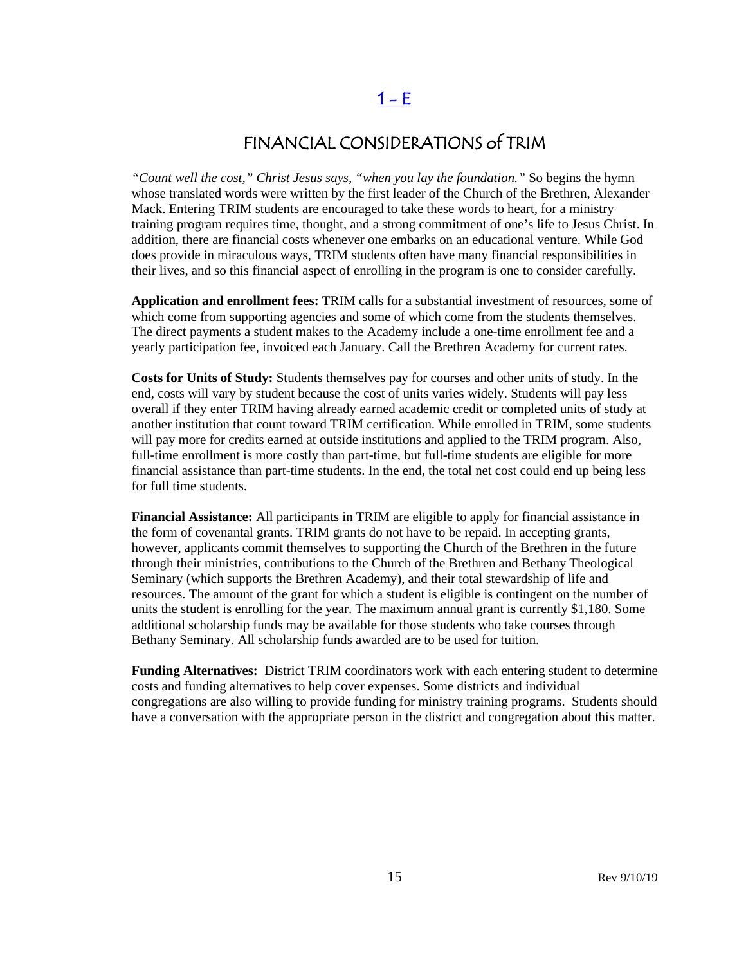## $1 - E$

## FINANCIAL CONSIDERATIONS of TRIM

<span id="page-14-0"></span>*"Count well the cost," Christ Jesus says, "when you lay the foundation."* So begins the hymn whose translated words were written by the first leader of the Church of the Brethren, Alexander Mack. Entering TRIM students are encouraged to take these words to heart, for a ministry training program requires time, thought, and a strong commitment of one's life to Jesus Christ. In addition, there are financial costs whenever one embarks on an educational venture. While God does provide in miraculous ways, TRIM students often have many financial responsibilities in their lives, and so this financial aspect of enrolling in the program is one to consider carefully.

**Application and enrollment fees:** TRIM calls for a substantial investment of resources, some of which come from supporting agencies and some of which come from the students themselves. The direct payments a student makes to the Academy include a one-time enrollment fee and a yearly participation fee, invoiced each January. Call the Brethren Academy for current rates.

**Costs for Units of Study:** Students themselves pay for courses and other units of study. In the end, costs will vary by student because the cost of units varies widely. Students will pay less overall if they enter TRIM having already earned academic credit or completed units of study at another institution that count toward TRIM certification. While enrolled in TRIM, some students will pay more for credits earned at outside institutions and applied to the TRIM program. Also, full-time enrollment is more costly than part-time, but full-time students are eligible for more financial assistance than part-time students. In the end, the total net cost could end up being less for full time students.

**Financial Assistance:** All participants in TRIM are eligible to apply for financial assistance in the form of covenantal grants. TRIM grants do not have to be repaid. In accepting grants, however, applicants commit themselves to supporting the Church of the Brethren in the future through their ministries, contributions to the Church of the Brethren and Bethany Theological Seminary (which supports the Brethren Academy), and their total stewardship of life and resources. The amount of the grant for which a student is eligible is contingent on the number of units the student is enrolling for the year. The maximum annual grant is currently \$1,180. Some additional scholarship funds may be available for those students who take courses through Bethany Seminary. All scholarship funds awarded are to be used for tuition.

**Funding Alternatives:** District TRIM coordinators work with each entering student to determine costs and funding alternatives to help cover expenses. Some districts and individual congregations are also willing to provide funding for ministry training programs. Students should have a conversation with the appropriate person in the district and congregation about this matter.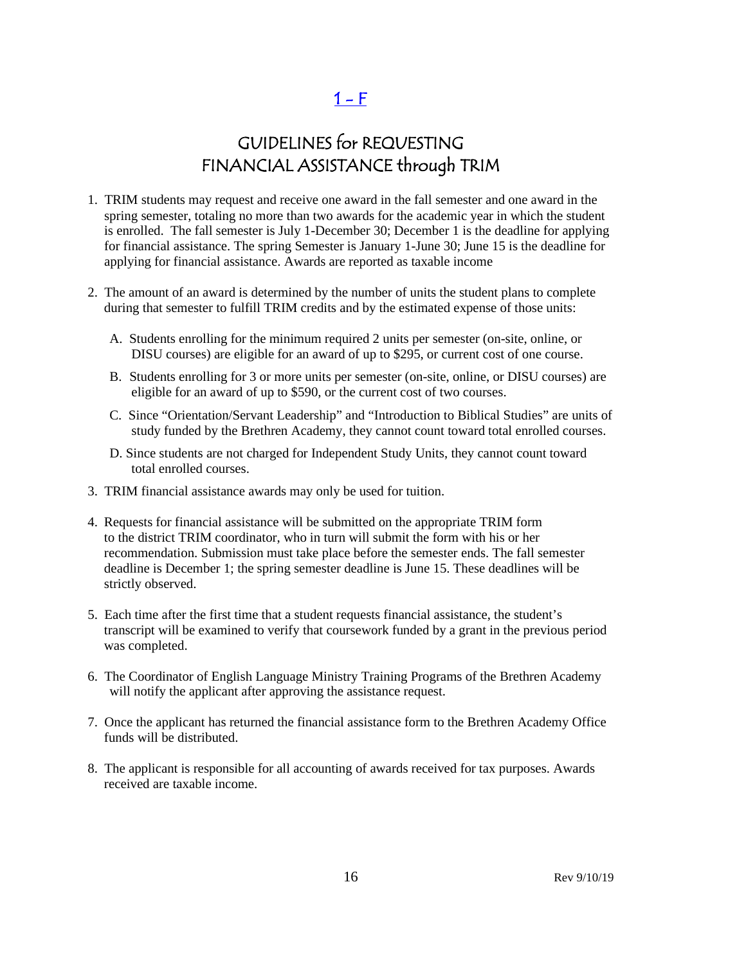$1 - F$ 

## GUIDELINES for REQUESTING FINANCIAL ASSISTANCE through TRIM

- <span id="page-15-0"></span>1. TRIM students may request and receive one award in the fall semester and one award in the spring semester, totaling no more than two awards for the academic year in which the student is enrolled. The fall semester is July 1-December 30; December 1 is the deadline for applying for financial assistance. The spring Semester is January 1-June 30; June 15 is the deadline for applying for financial assistance. Awards are reported as taxable income
- 2. The amount of an award is determined by the number of units the student plans to complete during that semester to fulfill TRIM credits and by the estimated expense of those units:
	- A. Students enrolling for the minimum required 2 units per semester (on-site, online, or DISU courses) are eligible for an award of up to \$295, or current cost of one course.
	- B. Students enrolling for 3 or more units per semester (on-site, online, or DISU courses) are eligible for an award of up to \$590, or the current cost of two courses.
	- C. Since "Orientation/Servant Leadership" and "Introduction to Biblical Studies" are units of study funded by the Brethren Academy, they cannot count toward total enrolled courses.
	- D. Since students are not charged for Independent Study Units, they cannot count toward total enrolled courses.
- 3. TRIM financial assistance awards may only be used for tuition.
- 4. Requests for financial assistance will be submitted on the appropriate TRIM form to the district TRIM coordinator, who in turn will submit the form with his or her recommendation. Submission must take place before the semester ends. The fall semester deadline is December 1; the spring semester deadline is June 15. These deadlines will be strictly observed.
- 5. Each time after the first time that a student requests financial assistance, the student's transcript will be examined to verify that coursework funded by a grant in the previous period was completed.
- 6. The Coordinator of English Language Ministry Training Programs of the Brethren Academy will notify the applicant after approving the assistance request.
- 7. Once the applicant has returned the financial assistance form to the Brethren Academy Office funds will be distributed.
- 8. The applicant is responsible for all accounting of awards received for tax purposes. Awards received are taxable income.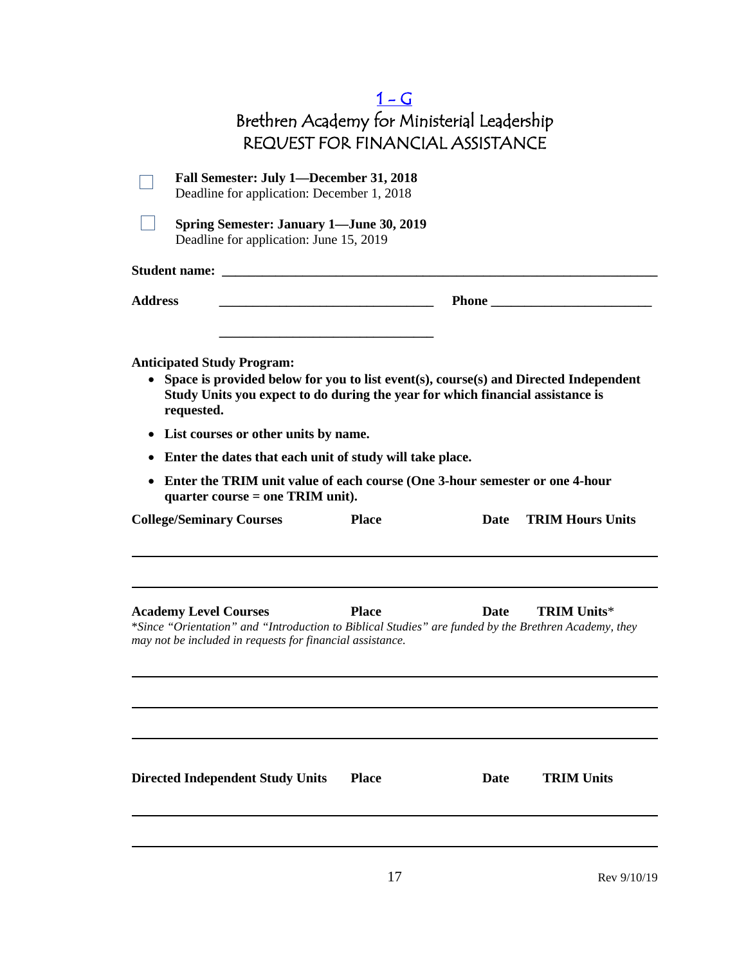<span id="page-16-0"></span>

|                                                                                                                                                                                                                                                                                                                                                                                           | $1-G$                                                                                  |             |                         |
|-------------------------------------------------------------------------------------------------------------------------------------------------------------------------------------------------------------------------------------------------------------------------------------------------------------------------------------------------------------------------------------------|----------------------------------------------------------------------------------------|-------------|-------------------------|
|                                                                                                                                                                                                                                                                                                                                                                                           | Brethren Academy for Ministerial Leadership<br><b>REQUEST FOR FINANCIAL ASSISTANCE</b> |             |                         |
|                                                                                                                                                                                                                                                                                                                                                                                           |                                                                                        |             |                         |
| Fall Semester: July 1-December 31, 2018<br>Deadline for application: December 1, 2018                                                                                                                                                                                                                                                                                                     |                                                                                        |             |                         |
| <b>Spring Semester: January 1—June 30, 2019</b><br>Deadline for application: June 15, 2019                                                                                                                                                                                                                                                                                                |                                                                                        |             |                         |
|                                                                                                                                                                                                                                                                                                                                                                                           |                                                                                        |             |                         |
| <b>Address</b>                                                                                                                                                                                                                                                                                                                                                                            |                                                                                        |             |                         |
| Space is provided below for you to list event(s), course(s) and Directed Independent<br>Study Units you expect to do during the year for which financial assistance is<br>requested.<br>List courses or other units by name.<br>$\bullet$<br>Enter the dates that each unit of study will take place.<br>٠<br>Enter the TRIM unit value of each course (One 3-hour semester or one 4-hour |                                                                                        |             |                         |
| quarter course $=$ one TRIM unit).<br><b>College/Seminary Courses</b>                                                                                                                                                                                                                                                                                                                     | <b>Place</b>                                                                           | Date        | <b>TRIM Hours Units</b> |
| <b>Academy Level Courses</b><br>*Since "Orientation" and "Introduction to Biblical Studies" are funded by the Brethren Academy, they<br>may not be included in requests for financial assistance.                                                                                                                                                                                         | <b>Place</b>                                                                           | <b>Date</b> | TRIM Units*             |
| <b>Directed Independent Study Units</b>                                                                                                                                                                                                                                                                                                                                                   | <b>Place</b>                                                                           | Date        | <b>TRIM Units</b>       |
|                                                                                                                                                                                                                                                                                                                                                                                           | 17                                                                                     |             | Rev 9/10/19             |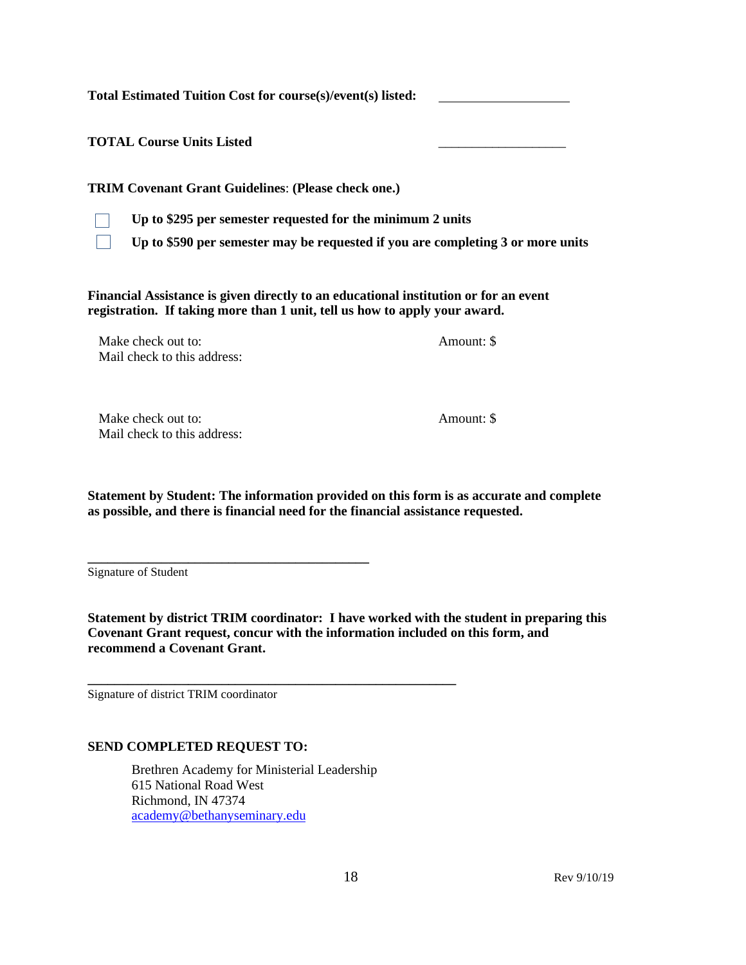**Total Estimated Tuition Cost for course(s)/event(s) listed:** 

**TOTAL Course Units Listed** \_\_\_\_\_\_\_\_\_\_\_\_\_\_\_\_\_\_\_

**TRIM Covenant Grant Guidelines**: **(Please check one.)**



**Up to \$295 per semester requested for the minimum 2 units**

**Up to \$590 per semester may be requested if you are completing 3 or more units**

**Financial Assistance is given directly to an educational institution or for an event registration. If taking more than 1 unit, tell us how to apply your award.**

Make check out to: Amount: \$ Mail check to this address:

Make check out to:  $\blacksquare$ Mail check to this address:

**Statement by Student: The information provided on this form is as accurate and complete as possible, and there is financial need for the financial assistance requested.**

Signature of Student

**Statement by district TRIM coordinator: I have worked with the student in preparing this Covenant Grant request, concur with the information included on this form, and recommend a Covenant Grant.**

Signature of district TRIM coordinator

#### **SEND COMPLETED REQUEST TO:**

**\_\_\_\_\_\_\_\_\_\_\_\_\_\_\_\_\_\_\_\_\_\_\_\_\_\_\_\_\_\_\_\_\_\_\_\_\_\_\_\_\_\_**

Brethren Academy for Ministerial Leadership 615 National Road West Richmond, IN 47374 [academy@bethanyseminary.edu](mailto:academy@bethanyseminary.edu)

**\_\_\_\_\_\_\_\_\_\_\_\_\_\_\_\_\_\_\_\_\_\_\_\_\_\_\_\_\_\_\_\_\_\_\_\_\_\_\_\_\_\_\_\_\_\_\_\_\_\_\_\_\_\_\_**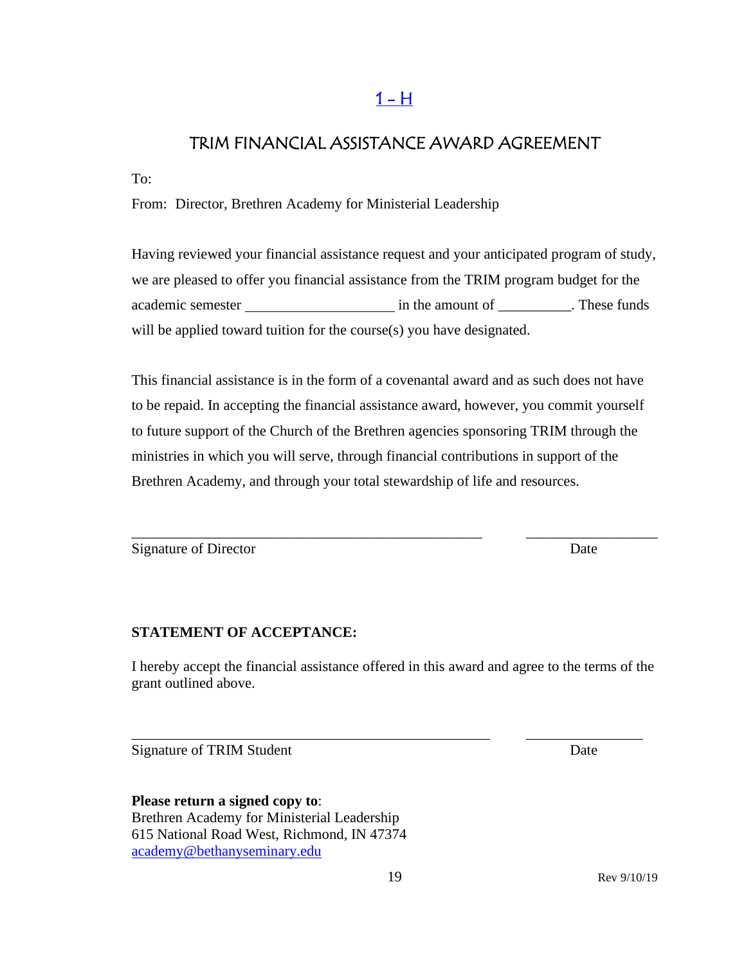## $1 - H$

## <span id="page-18-0"></span>TRIM FINANCIAL ASSISTANCE AWARD AGREEMENT

To:

From: Director, Brethren Academy for Ministerial Leadership

Having reviewed your financial assistance request and your anticipated program of study, we are pleased to offer you financial assistance from the TRIM program budget for the academic semester in the amount of \_\_\_\_\_\_\_\_\_\_. These funds will be applied toward tuition for the course(s) you have designated.

This financial assistance is in the form of a covenantal award and as such does not have to be repaid. In accepting the financial assistance award, however, you commit yourself to future support of the Church of the Brethren agencies sponsoring TRIM through the ministries in which you will serve, through financial contributions in support of the Brethren Academy, and through your total stewardship of life and resources.

\_\_\_\_\_\_\_\_\_\_\_\_\_\_\_\_\_\_\_\_\_\_\_\_\_\_\_\_\_\_\_\_\_\_\_\_\_\_\_\_\_\_\_\_\_\_\_\_ \_\_\_\_\_\_\_\_\_\_\_\_\_\_\_\_\_\_

Signature of Director Date

#### **STATEMENT OF ACCEPTANCE:**

I hereby accept the financial assistance offered in this award and agree to the terms of the grant outlined above.

\_\_\_\_\_\_\_\_\_\_\_\_\_\_\_\_\_\_\_\_\_\_\_\_\_\_\_\_\_\_\_\_\_\_\_\_\_\_\_\_\_\_\_\_\_\_\_\_\_ \_\_\_\_\_\_\_\_\_\_\_\_\_\_\_\_

Signature of TRIM Student Date

**Please return a signed copy to**: Brethren Academy for Ministerial Leadership 615 National Road West, Richmond, IN 47374 [academy@bethanyseminary.edu](mailto:academy@bethanyseminary.edu)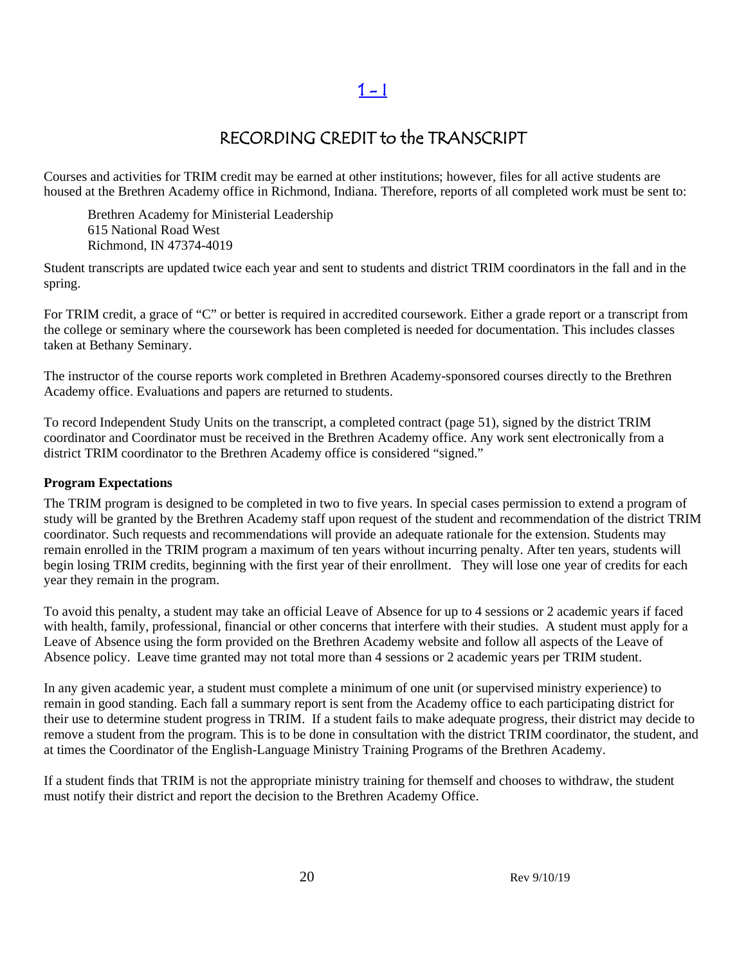## RECORDING CREDIT to the TRANSCRIPT

Courses and activities for TRIM credit may be earned at other institutions; however, files for all active students are housed at the Brethren Academy office in Richmond, Indiana. Therefore, reports of all completed work must be sent to:

Brethren Academy for Ministerial Leadership 615 National Road West Richmond, IN 47374-4019

Student transcripts are updated twice each year and sent to students and district TRIM coordinators in the fall and in the spring.

For TRIM credit, a grace of "C" or better is required in accredited coursework. Either a grade report or a transcript from the college or seminary where the coursework has been completed is needed for documentation. This includes classes taken at Bethany Seminary.

The instructor of the course reports work completed in Brethren Academy-sponsored courses directly to the Brethren Academy office. Evaluations and papers are returned to students.

To record Independent Study Units on the transcript, a completed contract (page 51), signed by the district TRIM coordinator and Coordinator must be received in the Brethren Academy office. Any work sent electronically from a district TRIM coordinator to the Brethren Academy office is considered "signed."

#### **Program Expectations**

The TRIM program is designed to be completed in two to five years. In special cases permission to extend a program of study will be granted by the Brethren Academy staff upon request of the student and recommendation of the district TRIM coordinator. Such requests and recommendations will provide an adequate rationale for the extension. Students may remain enrolled in the TRIM program a maximum of ten years without incurring penalty. After ten years, students will begin losing TRIM credits, beginning with the first year of their enrollment. They will lose one year of credits for each year they remain in the program.

To avoid this penalty, a student may take an official Leave of Absence for up to 4 sessions or 2 academic years if faced with health, family, professional, financial or other concerns that interfere with their studies. A student must apply for a Leave of Absence using the form provided on the Brethren Academy website and follow all aspects of the Leave of Absence policy. Leave time granted may not total more than 4 sessions or 2 academic years per TRIM student.

In any given academic year, a student must complete a minimum of one unit (or supervised ministry experience) to remain in good standing. Each fall a summary report is sent from the Academy office to each participating district for their use to determine student progress in TRIM. If a student fails to make adequate progress, their district may decide to remove a student from the program. This is to be done in consultation with the district TRIM coordinator, the student, and at times the Coordinator of the English-Language Ministry Training Programs of the Brethren Academy.

If a student finds that TRIM is not the appropriate ministry training for themself and chooses to withdraw, the student must notify their district and report the decision to the Brethren Academy Office.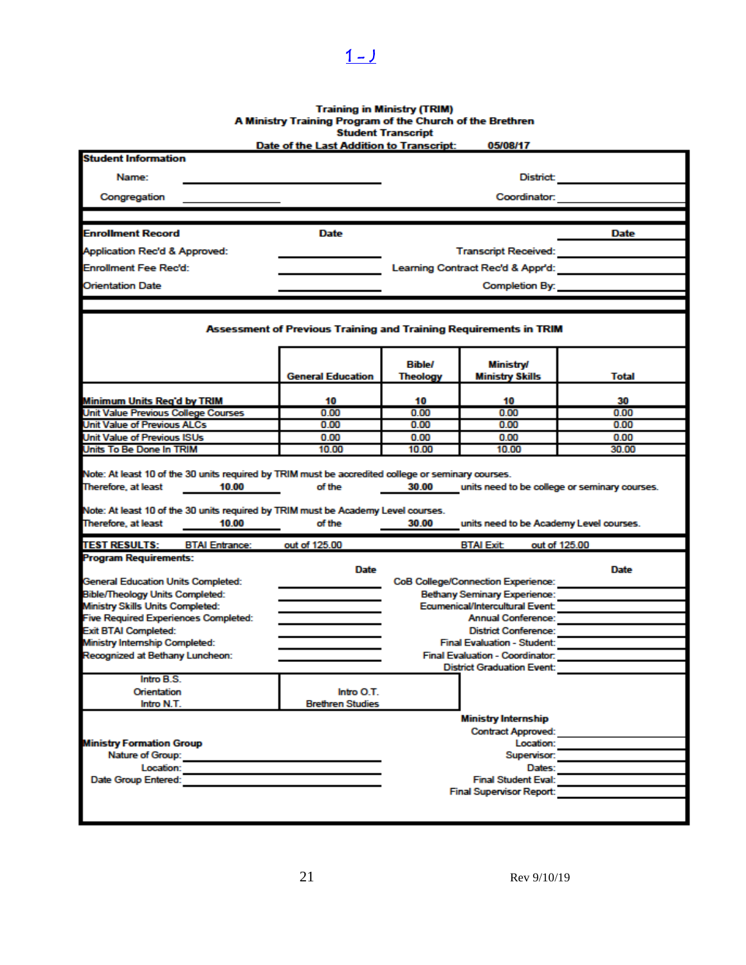# Training in Ministry (TRIM)<br>A Ministry Training Program of the Church of the Brethren<br>Student Transcript<br>Date of the Last Addition to Transcript: 05/08/17

<span id="page-20-0"></span> $1 - 1$ 

| <b>Student Information</b>                                                                                        | Dale of the Last Audition to Transcript.                          |                            | ,,,,,,,,,                                                  |                                               |
|-------------------------------------------------------------------------------------------------------------------|-------------------------------------------------------------------|----------------------------|------------------------------------------------------------|-----------------------------------------------|
|                                                                                                                   |                                                                   |                            |                                                            |                                               |
|                                                                                                                   | <b>District:</b><br>Name:                                         |                            |                                                            |                                               |
| Congregation                                                                                                      |                                                                   |                            | Coordinator:                                               |                                               |
|                                                                                                                   |                                                                   |                            |                                                            |                                               |
| <b>Enrollment Record</b>                                                                                          | Date                                                              |                            |                                                            | Date                                          |
| Application Rec'd & Approved:                                                                                     |                                                                   |                            | Transcript Received: <b>All Accepts</b>                    |                                               |
| <b>Enrollment Fee Rec'd:</b>                                                                                      |                                                                   |                            | Learning Contract Rec'd & Appr'd:                          |                                               |
| <b>Orientation Date</b>                                                                                           |                                                                   |                            | Completion By:                                             |                                               |
|                                                                                                                   |                                                                   |                            |                                                            |                                               |
|                                                                                                                   | Assessment of Previous Training and Training Requirements in TRIM |                            |                                                            |                                               |
|                                                                                                                   | <b>General Education</b>                                          | <b>Bible/</b><br>Theology  | <b>Ministry/</b><br><b>Ministry Skills</b>                 | Total                                         |
|                                                                                                                   |                                                                   |                            |                                                            |                                               |
| Minimum Units Reg'd by TRIM                                                                                       | 10                                                                | 10                         | 10                                                         | 30                                            |
| Unit Value Previous College Courses                                                                               | 0.00                                                              | 0.00                       | 0.00                                                       | 0.00                                          |
| Unit Value of Previous ALCs                                                                                       | 0.00                                                              | 0.00                       | 0.00                                                       | 0.00                                          |
| <b>Unit Value of Previous ISUs</b><br>Units To Be Done In TRIM                                                    | 0.00<br>10.00                                                     | 0.00<br>10.00              | 0.00<br>10.00                                              | 0.00<br>30.00                                 |
| Note: At least 10 of the 30 units required by TRIM must be Academy Level courses.<br>Therefore, at least<br>10.00 | of the                                                            | 30.00                      | units need to be Academy Level courses.                    |                                               |
| <b>TEST RESULTS:</b><br><b>BTAI Entrance:</b>                                                                     | out of 125.00                                                     |                            | <b>BTAI Exit</b>                                           | out of 125.00                                 |
| <b>Program Requirements:</b>                                                                                      |                                                                   |                            |                                                            |                                               |
|                                                                                                                   | Date                                                              |                            |                                                            | <b>Date</b>                                   |
| <b>General Education Units Completed:</b>                                                                         |                                                                   |                            | <b>CoB College/Connection Experience:</b>                  |                                               |
| <b>Bible/Theology Units Completed:</b>                                                                            |                                                                   |                            | <b>Bethany Seminary Experience:</b>                        |                                               |
| Ministry Skills Units Completed:                                                                                  |                                                                   |                            | Ecumenical/Intercultural Event:                            |                                               |
| <b>Five Required Experiences Completed:</b>                                                                       |                                                                   |                            | Annual Conference:                                         |                                               |
| <b>Exit BTAI Completed:</b><br>Ministry Internship Completed:                                                     |                                                                   |                            | District Conference:<br><b>Final Evaluation - Student:</b> |                                               |
| Recognized at Bethany Luncheon:                                                                                   |                                                                   |                            |                                                            | Final Evaluation - Coordinator: New York 1999 |
|                                                                                                                   |                                                                   |                            | <b>District Graduation Event:</b>                          |                                               |
| Intro B.S.                                                                                                        |                                                                   |                            |                                                            |                                               |
| Orientation                                                                                                       | Intro O T                                                         |                            |                                                            |                                               |
| Intro N.T.                                                                                                        | <b>Brethren Studies</b>                                           |                            |                                                            |                                               |
|                                                                                                                   |                                                                   |                            | <b>Ministry Internship</b>                                 |                                               |
|                                                                                                                   | <b>Contract Approved:</b>                                         |                            |                                                            |                                               |
| <b>Ministry Formation Group</b>                                                                                   |                                                                   | Location:                  |                                                            |                                               |
| Nature of Group: Nature of Group:                                                                                 |                                                                   | Supervisor:                |                                                            |                                               |
| Location:                                                                                                         |                                                                   | Dates:                     |                                                            |                                               |
| Date Group Entered:                                                                                               |                                                                   | <b>Final Student Eval:</b> |                                                            |                                               |
|                                                                                                                   |                                                                   |                            | <b>Final Supervisor Report:</b>                            |                                               |
|                                                                                                                   |                                                                   |                            |                                                            |                                               |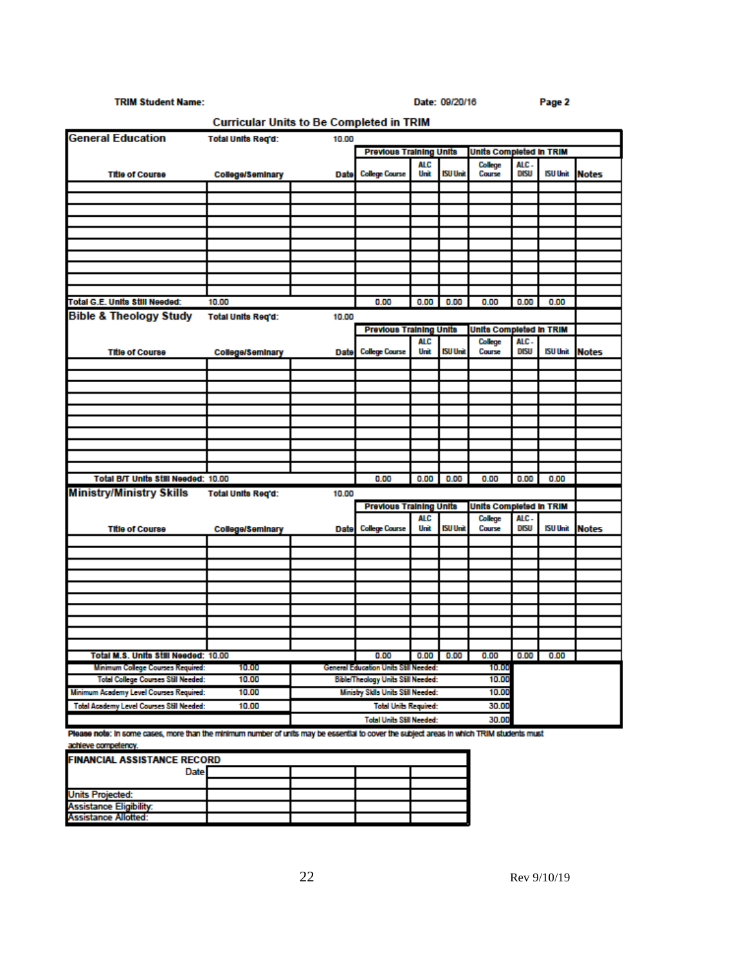#### **TRIM Student Name:**

Date: 09/20/16

|                                            | Curricular Units to Be Completed in TRIM |                                             |                                       |                    |                 |                         |                     |                 |              |
|--------------------------------------------|------------------------------------------|---------------------------------------------|---------------------------------------|--------------------|-----------------|-------------------------|---------------------|-----------------|--------------|
| <b>General Education</b>                   | <b>Total Units Reg'd:</b><br>10.00       |                                             |                                       |                    |                 |                         |                     |                 |              |
|                                            |                                          |                                             | <b>Previous Training Units</b>        |                    |                 | Units Completed in TRIM |                     |                 |              |
| <b>Title of Course</b>                     | College/Seminary                         | Date                                        | <b>College Course</b>                 | AL C<br>Unit       | <b>ISU Unit</b> | College<br>Course       | ALC.<br><b>DISU</b> | <b>ISU Unit</b> | <b>Notes</b> |
|                                            |                                          |                                             |                                       |                    |                 |                         |                     |                 |              |
|                                            |                                          |                                             |                                       |                    |                 |                         |                     |                 |              |
|                                            |                                          |                                             |                                       |                    |                 |                         |                     |                 |              |
|                                            |                                          |                                             |                                       |                    |                 |                         |                     |                 |              |
|                                            |                                          |                                             |                                       |                    |                 |                         |                     |                 |              |
|                                            |                                          |                                             |                                       |                    |                 |                         |                     |                 |              |
|                                            |                                          |                                             |                                       |                    |                 |                         |                     |                 |              |
|                                            |                                          |                                             |                                       |                    |                 |                         |                     |                 |              |
|                                            |                                          |                                             |                                       |                    |                 |                         |                     |                 |              |
| Total G.E. Units Still Needed:             | 10.00                                    |                                             | 0.00                                  | 0.00               | 0.00            | 0.00                    | 0.00                | 0.00            |              |
| Bible & Theology Study                     | <b>Total Units Reg'd:</b>                | 10.00                                       |                                       |                    |                 |                         |                     |                 |              |
|                                            |                                          |                                             | <b>Previous Training Units</b>        |                    |                 | Units Completed in TRIM |                     |                 |              |
| <b>Title of Course</b>                     | <b>College/Seminary</b>                  | Date                                        | <b>College Course</b>                 | <b>ALC</b><br>Unit | <b>ISU Unit</b> | College<br>Course       | ALC.<br><b>DISU</b> | <b>ISU Unit</b> | <b>Notes</b> |
|                                            |                                          |                                             |                                       |                    |                 |                         |                     |                 |              |
|                                            |                                          |                                             |                                       |                    |                 |                         |                     |                 |              |
|                                            |                                          |                                             |                                       |                    |                 |                         |                     |                 |              |
|                                            |                                          |                                             |                                       |                    |                 |                         |                     |                 |              |
|                                            |                                          |                                             |                                       |                    |                 |                         |                     |                 |              |
|                                            |                                          |                                             |                                       |                    |                 |                         |                     |                 |              |
|                                            |                                          |                                             |                                       |                    |                 |                         |                     |                 |              |
|                                            |                                          |                                             |                                       |                    |                 |                         |                     |                 |              |
|                                            |                                          |                                             |                                       |                    |                 |                         |                     |                 |              |
| Total B/T Units Still Needed: 10.00        |                                          |                                             | 0.00                                  | 0.00               | 0.00            | 0.00                    | 0.00                | 0.00            |              |
| <b>Ministry/Ministry Skills</b>            | <b>Total Units Reg'd:</b>                | 10.00                                       |                                       |                    |                 |                         |                     |                 |              |
|                                            |                                          |                                             | <b>Previous Training Units</b>        |                    |                 | Units Completed in TRIM |                     |                 |              |
| <b>Title of Course</b>                     | College/Seminary                         | Date                                        | <b>College Course</b>                 | ALC<br>Unit        | <b>ISU Unit</b> | College<br>Course       | ALC.<br>DISU        | <b>ISU Unit</b> | <b>Notes</b> |
|                                            |                                          |                                             |                                       |                    |                 |                         |                     |                 |              |
|                                            |                                          |                                             |                                       |                    |                 |                         |                     |                 |              |
|                                            |                                          |                                             |                                       |                    |                 |                         |                     |                 |              |
|                                            |                                          |                                             |                                       |                    |                 |                         |                     |                 |              |
|                                            |                                          |                                             |                                       |                    |                 |                         |                     |                 |              |
|                                            |                                          |                                             |                                       |                    |                 |                         |                     |                 |              |
|                                            |                                          |                                             |                                       |                    |                 |                         |                     |                 |              |
|                                            |                                          |                                             |                                       |                    |                 |                         |                     |                 |              |
|                                            |                                          |                                             |                                       |                    |                 |                         |                     |                 |              |
| Total M.S. Units Still Needed: 10.00       |                                          |                                             | 0.00                                  | 0.00               | 0.00            | 0.00                    | 0.00                | 0.00            |              |
| <b>Minimum College Courses Required:</b>   | 10.00                                    |                                             | General Education Units Still Needed: |                    |                 | 10.00                   |                     |                 |              |
| <b>Total College Courses Still Needed:</b> | 10.00                                    | Bible/Theology Units Still Needed:<br>10.00 |                                       |                    |                 |                         |                     |                 |              |
| Minimum Academy Level Courses Required:    | 10.00                                    | Ministry Sklls Units Still Needed:<br>10.00 |                                       |                    |                 |                         |                     |                 |              |
| Total Academy Level Courses Still Needed:  | 10.00                                    | <b>Total Units Required:</b><br>30.00       |                                       |                    |                 |                         |                     |                 |              |
|                                            |                                          |                                             | <b>Total Units Still Needed:</b>      |                    |                 | 30.00                   |                     |                 |              |

Please note: In some cases, more than the minimum number of units may be essential to cover the subject areas in which TRIM students must achieve competency.

| <b>FINANCIAL ASSISTANCE RECORD</b> |  |  |  |  |
|------------------------------------|--|--|--|--|
| Date                               |  |  |  |  |
|                                    |  |  |  |  |
| <b>Units Projected:</b>            |  |  |  |  |
| <b>Assistance Eligibility:</b>     |  |  |  |  |
| Assistance Allotted:               |  |  |  |  |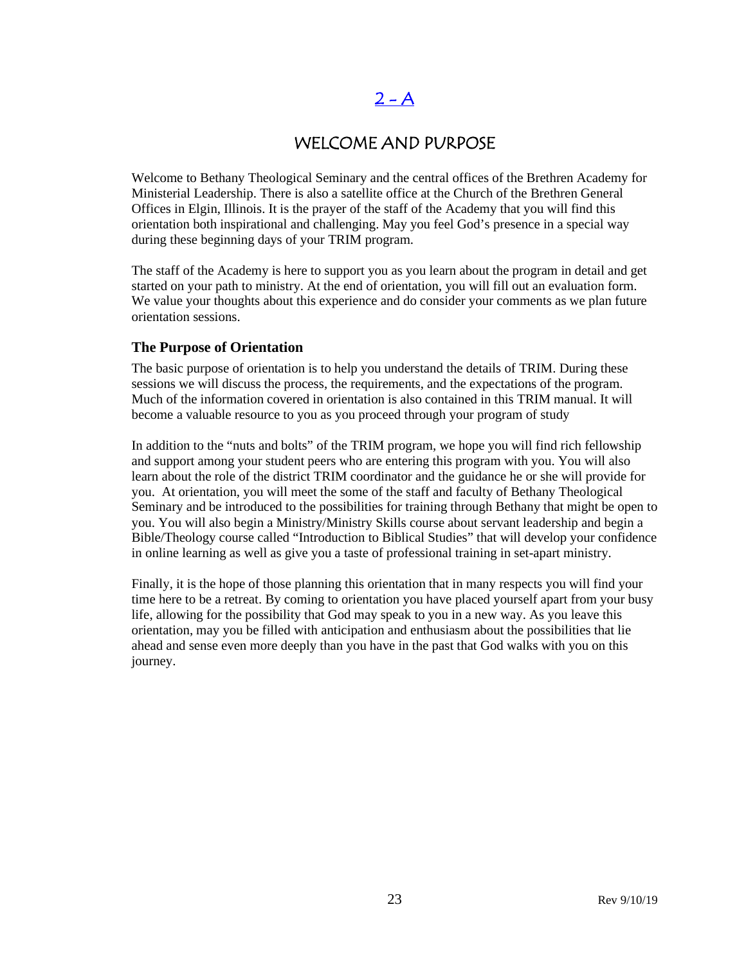## $2 - A$

## WELCOME AND PURPOSE

<span id="page-22-0"></span>Welcome to Bethany Theological Seminary and the central offices of the Brethren Academy for Ministerial Leadership. There is also a satellite office at the Church of the Brethren General Offices in Elgin, Illinois. It is the prayer of the staff of the Academy that you will find this orientation both inspirational and challenging. May you feel God's presence in a special way during these beginning days of your TRIM program.

The staff of the Academy is here to support you as you learn about the program in detail and get started on your path to ministry. At the end of orientation, you will fill out an evaluation form. We value your thoughts about this experience and do consider your comments as we plan future orientation sessions.

#### **The Purpose of Orientation**

The basic purpose of orientation is to help you understand the details of TRIM. During these sessions we will discuss the process, the requirements, and the expectations of the program. Much of the information covered in orientation is also contained in this TRIM manual. It will become a valuable resource to you as you proceed through your program of study

In addition to the "nuts and bolts" of the TRIM program, we hope you will find rich fellowship and support among your student peers who are entering this program with you. You will also learn about the role of the district TRIM coordinator and the guidance he or she will provide for you. At orientation, you will meet the some of the staff and faculty of Bethany Theological Seminary and be introduced to the possibilities for training through Bethany that might be open to you. You will also begin a Ministry/Ministry Skills course about servant leadership and begin a Bible/Theology course called "Introduction to Biblical Studies" that will develop your confidence in online learning as well as give you a taste of professional training in set-apart ministry.

Finally, it is the hope of those planning this orientation that in many respects you will find your time here to be a retreat. By coming to orientation you have placed yourself apart from your busy life, allowing for the possibility that God may speak to you in a new way. As you leave this orientation, may you be filled with anticipation and enthusiasm about the possibilities that lie ahead and sense even more deeply than you have in the past that God walks with you on this journey.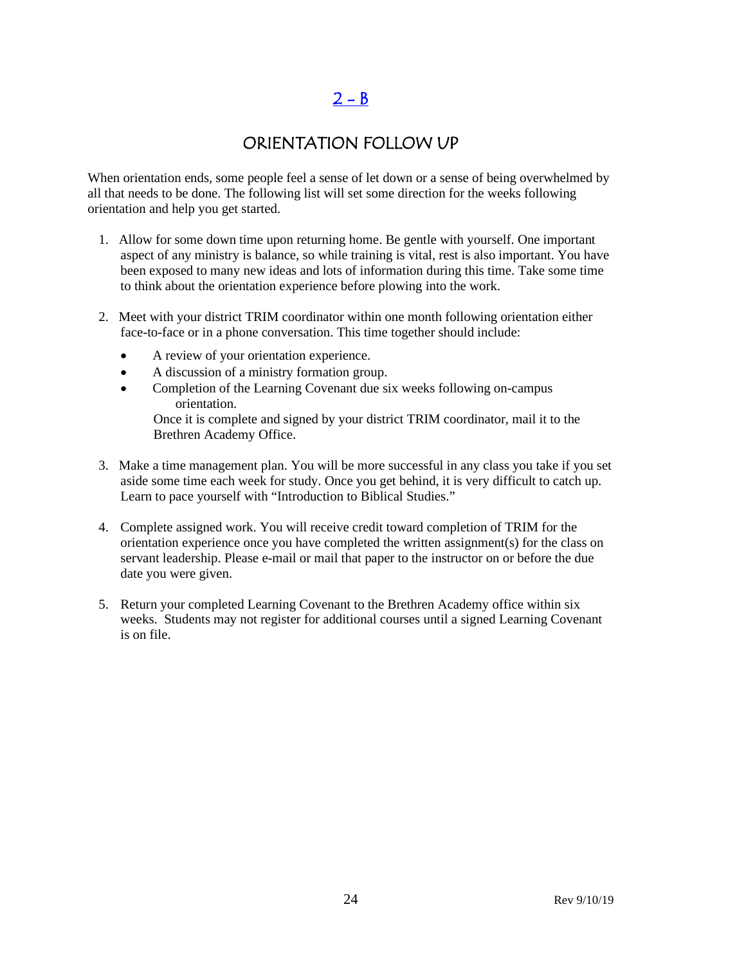## $2 - B$

## ORIENTATION FOLLOW UP

<span id="page-23-0"></span>When orientation ends, some people feel a sense of let down or a sense of being overwhelmed by all that needs to be done. The following list will set some direction for the weeks following orientation and help you get started.

- 1. Allow for some down time upon returning home. Be gentle with yourself. One important aspect of any ministry is balance, so while training is vital, rest is also important. You have been exposed to many new ideas and lots of information during this time. Take some time to think about the orientation experience before plowing into the work.
- 2. Meet with your district TRIM coordinator within one month following orientation either face-to-face or in a phone conversation. This time together should include:
	- A review of your orientation experience.
	- A discussion of a ministry formation group.
	- Completion of the Learning Covenant due six weeks following on-campus orientation.

Once it is complete and signed by your district TRIM coordinator, mail it to the Brethren Academy Office.

- 3. Make a time management plan. You will be more successful in any class you take if you set aside some time each week for study. Once you get behind, it is very difficult to catch up. Learn to pace yourself with "Introduction to Biblical Studies."
- 4. Complete assigned work. You will receive credit toward completion of TRIM for the orientation experience once you have completed the written assignment(s) for the class on servant leadership. Please e-mail or mail that paper to the instructor on or before the due date you were given.
- 5. Return your completed Learning Covenant to the Brethren Academy office within six weeks. Students may not register for additional courses until a signed Learning Covenant is on file.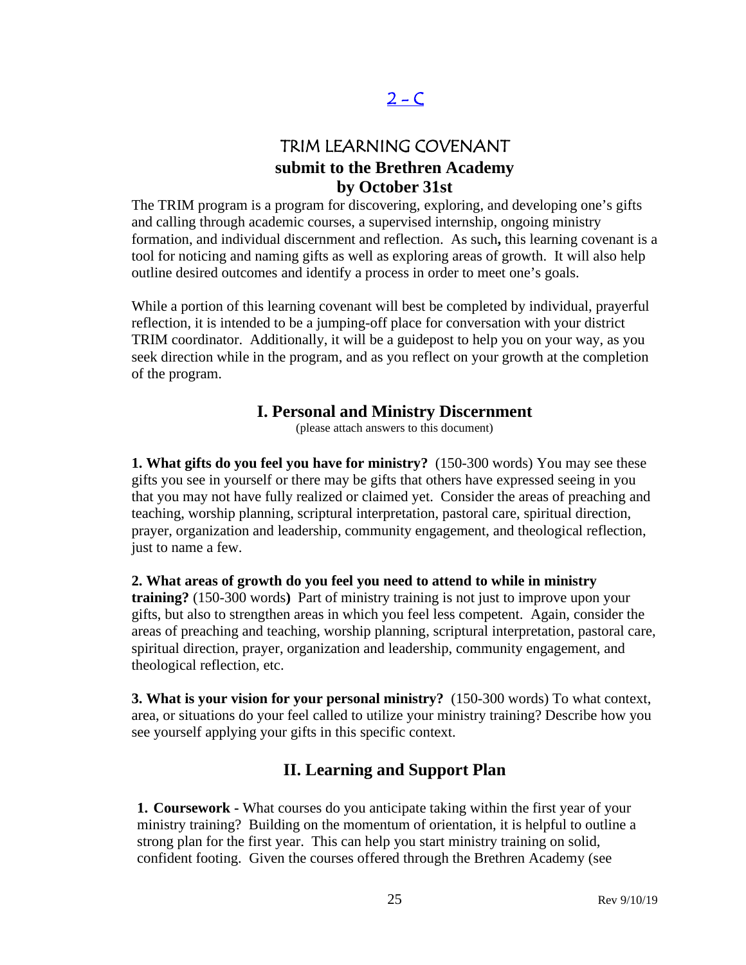## $2 - C$

## TRIM LEARNING COVENANT **submit to the Brethren Academy by October 31st**

<span id="page-24-0"></span>The TRIM program is a program for discovering, exploring, and developing one's gifts and calling through academic courses, a supervised internship, ongoing ministry formation, and individual discernment and reflection. As such**,** this learning covenant is a tool for noticing and naming gifts as well as exploring areas of growth. It will also help outline desired outcomes and identify a process in order to meet one's goals.

While a portion of this learning covenant will best be completed by individual, prayerful reflection, it is intended to be a jumping-off place for conversation with your district TRIM coordinator. Additionally, it will be a guidepost to help you on your way, as you seek direction while in the program, and as you reflect on your growth at the completion of the program.

## **I. Personal and Ministry Discernment**

(please attach answers to this document)

**1. What gifts do you feel you have for ministry?** (150-300 words) You may see these gifts you see in yourself or there may be gifts that others have expressed seeing in you that you may not have fully realized or claimed yet. Consider the areas of preaching and teaching, worship planning, scriptural interpretation, pastoral care, spiritual direction, prayer, organization and leadership, community engagement, and theological reflection, just to name a few.

**2. What areas of growth do you feel you need to attend to while in ministry training?** (150-300 words**)** Part of ministry training is not just to improve upon your gifts, but also to strengthen areas in which you feel less competent. Again, consider the areas of preaching and teaching, worship planning, scriptural interpretation, pastoral care, spiritual direction, prayer, organization and leadership, community engagement, and theological reflection, etc.

**3. What is your vision for your personal ministry?** (150-300 words) To what context, area, or situations do your feel called to utilize your ministry training? Describe how you see yourself applying your gifts in this specific context.

## **II. Learning and Support Plan**

**1. Coursework -** What courses do you anticipate taking within the first year of your ministry training? Building on the momentum of orientation, it is helpful to outline a strong plan for the first year. This can help you start ministry training on solid, confident footing. Given the courses offered through the Brethren Academy (see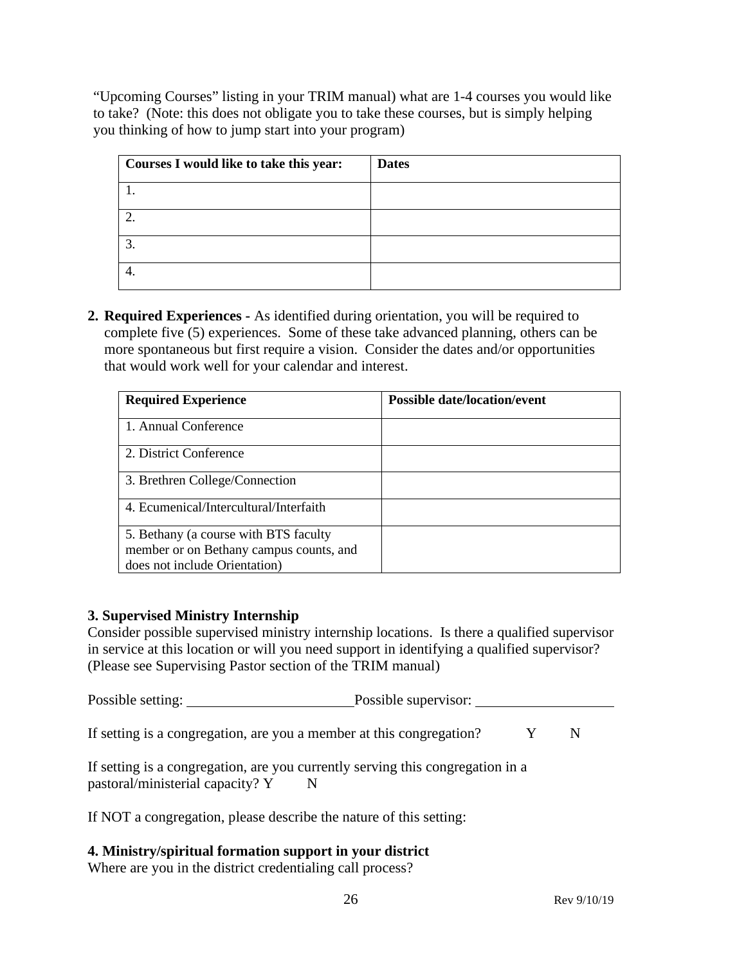"Upcoming Courses" listing in your TRIM manual) what are 1-4 courses you would like to take? (Note: this does not obligate you to take these courses, but is simply helping you thinking of how to jump start into your program)

| Courses I would like to take this year: | <b>Dates</b> |
|-----------------------------------------|--------------|
|                                         |              |
|                                         |              |
| ⌒                                       |              |
|                                         |              |

**2. Required Experiences -** As identified during orientation, you will be required to complete five (5) experiences. Some of these take advanced planning, others can be more spontaneous but first require a vision. Consider the dates and/or opportunities that would work well for your calendar and interest.

| <b>Required Experience</b>              | <b>Possible date/location/event</b> |
|-----------------------------------------|-------------------------------------|
| 1. Annual Conference                    |                                     |
| 2. District Conference                  |                                     |
| 3. Brethren College/Connection          |                                     |
| 4. Ecumenical/Intercultural/Interfaith  |                                     |
| 5. Bethany (a course with BTS faculty   |                                     |
| member or on Bethany campus counts, and |                                     |
| does not include Orientation)           |                                     |

#### **3. Supervised Ministry Internship**

Consider possible supervised ministry internship locations. Is there a qualified supervisor in service at this location or will you need support in identifying a qualified supervisor? (Please see Supervising Pastor section of the TRIM manual)

Possible setting: Possible supervisor:

If setting is a congregation, are you a member at this congregation?  $Y$  N

If setting is a congregation, are you currently serving this congregation in a pastoral/ministerial capacity? Y N

If NOT a congregation, please describe the nature of this setting:

#### **4. Ministry/spiritual formation support in your district**

Where are you in the district credentialing call process?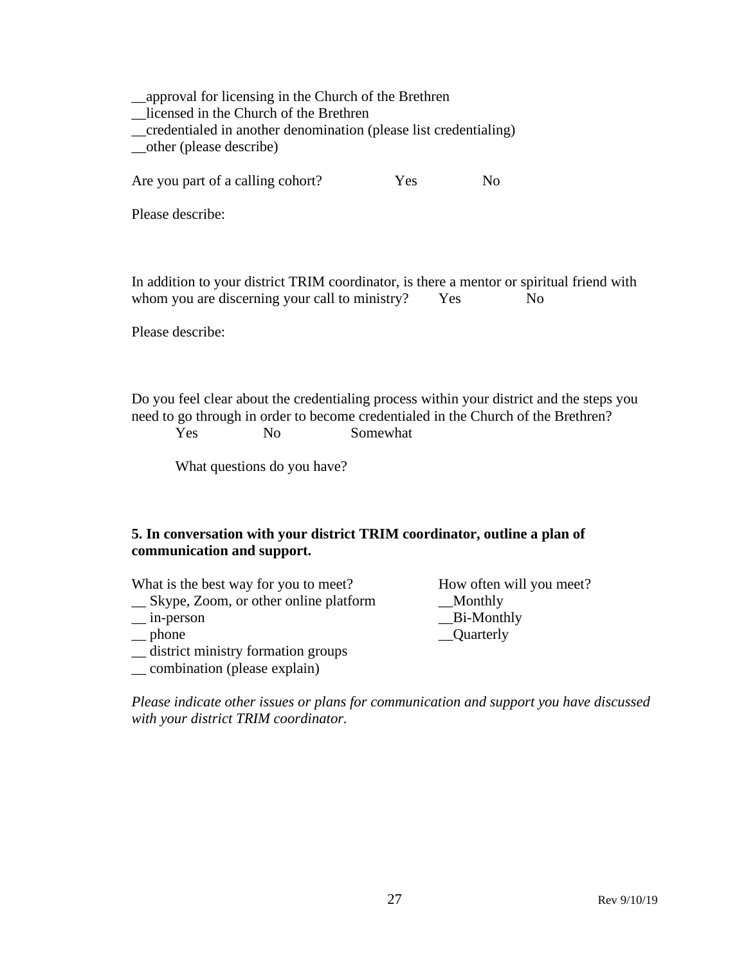\_\_approval for licensing in the Church of the Brethren \_\_licensed in the Church of the Brethren \_\_credentialed in another denomination (please list credentialing) \_\_other (please describe) Are you part of a calling cohort? Yes No Please describe: In addition to your district TRIM coordinator, is there a mentor or spiritual friend with whom you are discerning your call to ministry? Yes No Please describe:

Do you feel clear about the credentialing process within your district and the steps you need to go through in order to become credentialed in the Church of the Brethren? Yes No Somewhat

What questions do you have?

#### **5. In conversation with your district TRIM coordinator, outline a plan of communication and support.**

| What is the best way for you to meet?   | How often will you meet? |
|-----------------------------------------|--------------------------|
| _ Skype, Zoom, or other online platform | __Monthly                |
| $\equiv$ in-person                      | $B$ i-Monthly            |
| $\equiv$ phone                          | _Quarterly               |
| _ district ministry formation groups    |                          |
| __ combination (please explain)         |                          |

*Please indicate other issues or plans for communication and support you have discussed with your district TRIM coordinator.*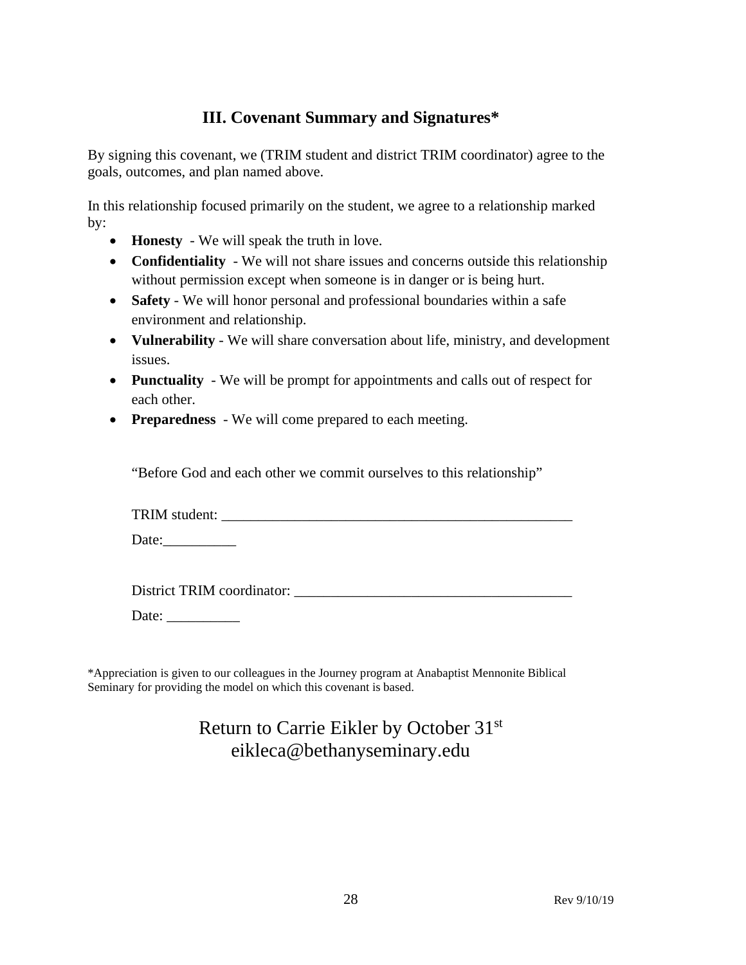## **III. Covenant Summary and Signatures\***

By signing this covenant, we (TRIM student and district TRIM coordinator) agree to the goals, outcomes, and plan named above.

In this relationship focused primarily on the student, we agree to a relationship marked by:

- **Honesty** We will speak the truth in love.
- **Confidentiality** We will not share issues and concerns outside this relationship without permission except when someone is in danger or is being hurt.
- **Safety** We will honor personal and professional boundaries within a safe environment and relationship.
- **Vulnerability** We will share conversation about life, ministry, and development issues.
- **Punctuality** We will be prompt for appointments and calls out of respect for each other.
- **Preparedness** We will come prepared to each meeting.

"Before God and each other we commit ourselves to this relationship"

| TRIM student: |
|---------------|
|---------------|

Date:\_\_\_\_\_\_\_\_\_\_

District TRIM coordinator:

Date: \_\_\_\_\_\_\_\_\_\_

\*Appreciation is given to our colleagues in the Journey program at Anabaptist Mennonite Biblical Seminary for providing the model on which this covenant is based.

## Return to Carrie Eikler by October 31st eikleca@bethanyseminary.edu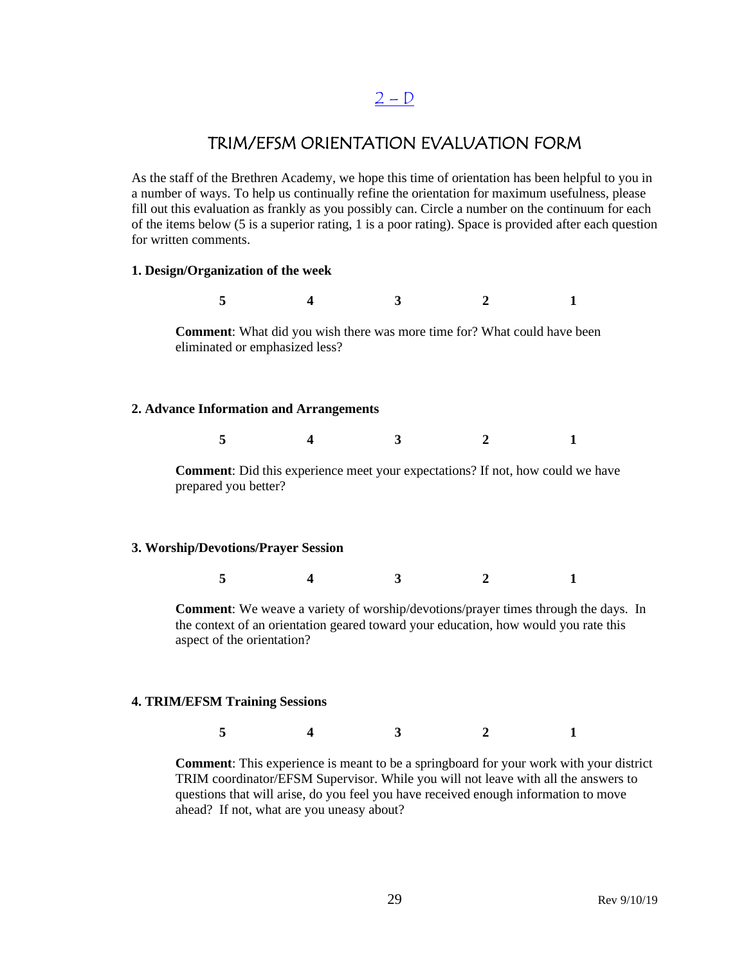## $2 - D$

## TRIM/EFSM ORIENTATION EVALUATION FORM

<span id="page-28-0"></span>As the staff of the Brethren Academy, we hope this time of orientation has been helpful to you in a number of ways. To help us continually refine the orientation for maximum usefulness, please fill out this evaluation as frankly as you possibly can. Circle a number on the continuum for each of the items below (5 is a superior rating, 1 is a poor rating). Space is provided after each question for written comments.

#### **1. Design/Organization of the week**

**5 4 3 2 1 Comment**: What did you wish there was more time for? What could have been eliminated or emphasized less?

#### **2. Advance Information and Arrangements**

| $\sim$ 5 |  |  |
|----------|--|--|
|          |  |  |

**Comment**: Did this experience meet your expectations? If not, how could we have prepared you better?

#### **3. Worship/Devotions/Prayer Session**

**5 4 3 2 1**

**Comment**: We weave a variety of worship/devotions/prayer times through the days. In the context of an orientation geared toward your education, how would you rate this aspect of the orientation?

#### **4. TRIM/EFSM Training Sessions**

**5 4 3 2 1**

**Comment**: This experience is meant to be a springboard for your work with your district TRIM coordinator/EFSM Supervisor. While you will not leave with all the answers to questions that will arise, do you feel you have received enough information to move ahead? If not, what are you uneasy about?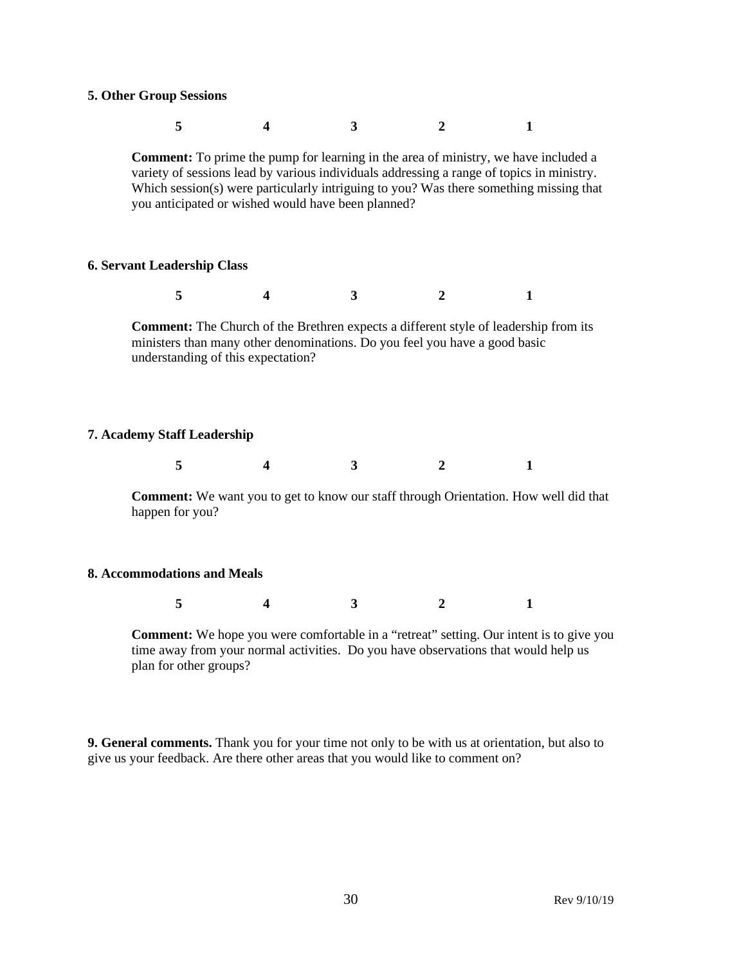#### **5. Other Group Sessions**

|                                                                                                                                                                                                                                                                                                                                         | 5 |  | 3 |   |  |  |  |  |  |
|-----------------------------------------------------------------------------------------------------------------------------------------------------------------------------------------------------------------------------------------------------------------------------------------------------------------------------------------|---|--|---|---|--|--|--|--|--|
| <b>Comment:</b> To prime the pump for learning in the area of ministry, we have included a<br>variety of sessions lead by various individuals addressing a range of topics in ministry.<br>Which session(s) were particularly intriguing to you? Was there something missing that<br>you anticipated or wished would have been planned? |   |  |   |   |  |  |  |  |  |
| <b>6. Servant Leadership Class</b>                                                                                                                                                                                                                                                                                                      |   |  |   |   |  |  |  |  |  |
|                                                                                                                                                                                                                                                                                                                                         | 5 |  | 3 | 2 |  |  |  |  |  |
| <b>Comment:</b> The Church of the Brethren expects a different style of leadership from its<br>ministers than many other denominations. Do you feel you have a good basic<br>understanding of this expectation?                                                                                                                         |   |  |   |   |  |  |  |  |  |
| <b>7. Academy Staff Leadership</b>                                                                                                                                                                                                                                                                                                      |   |  |   |   |  |  |  |  |  |
|                                                                                                                                                                                                                                                                                                                                         | 5 |  | 3 | 2 |  |  |  |  |  |

**Comment:** We want you to get to know our staff through Orientation. How well did that happen for you?

#### **8. Accommodations and Meals**

**5 4 3 2 1**

**Comment:** We hope you were comfortable in a "retreat" setting. Our intent is to give you time away from your normal activities. Do you have observations that would help us plan for other groups?

**9. General comments.** Thank you for your time not only to be with us at orientation, but also to give us your feedback. Are there other areas that you would like to comment on?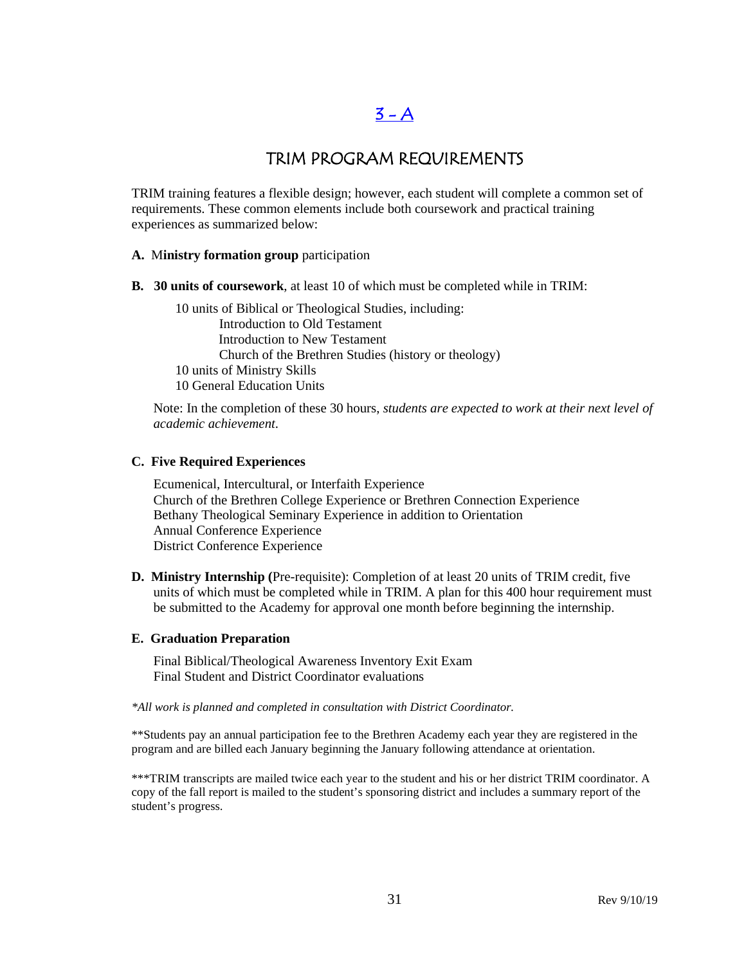## $3 - A$

## TRIM PROGRAM REQUIREMENTS

<span id="page-30-0"></span>TRIM training features a flexible design; however, each student will complete a common set of requirements. These common elements include both coursework and practical training experiences as summarized below:

#### **A.** M**inistry formation group** participation

**B. 30 units of coursework**, at least 10 of which must be completed while in TRIM:

10 units of Biblical or Theological Studies, including: Introduction to Old Testament Introduction to New Testament Church of the Brethren Studies (history or theology) 10 units of Ministry Skills 10 General Education Units

Note: In the completion of these 30 hours, *students are expected to work at their next level of academic achievement*.

#### **C. Five Required Experiences**

Ecumenical, Intercultural, or Interfaith Experience Church of the Brethren College Experience or Brethren Connection Experience Bethany Theological Seminary Experience in addition to Orientation Annual Conference Experience District Conference Experience

**D. Ministry Internship (**Pre-requisite): Completion of at least 20 units of TRIM credit, five units of which must be completed while in TRIM. A plan for this 400 hour requirement must be submitted to the Academy for approval one month before beginning the internship.

#### **E. Graduation Preparation**

Final Biblical/Theological Awareness Inventory Exit Exam Final Student and District Coordinator evaluations

*\*All work is planned and completed in consultation with District Coordinator.*

\*\*Students pay an annual participation fee to the Brethren Academy each year they are registered in the program and are billed each January beginning the January following attendance at orientation.

\*\*\*TRIM transcripts are mailed twice each year to the student and his or her district TRIM coordinator. A copy of the fall report is mailed to the student's sponsoring district and includes a summary report of the student's progress.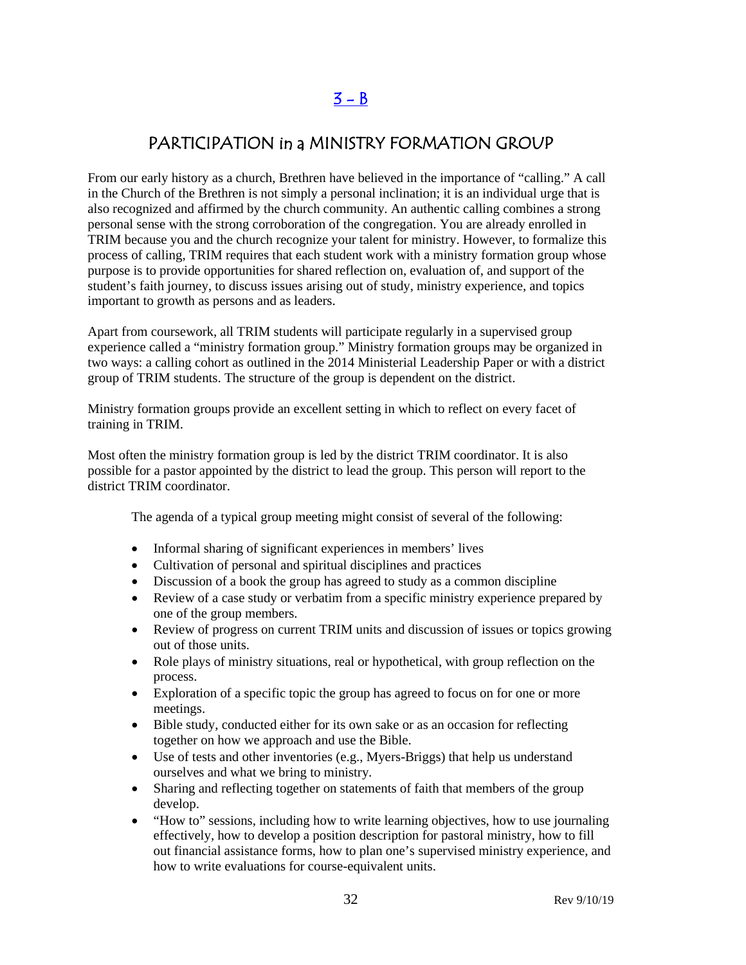## $3 - B$

## <span id="page-31-0"></span>PARTICIPATION in a MINISTRY FORMATION GROUP

From our early history as a church, Brethren have believed in the importance of "calling." A call in the Church of the Brethren is not simply a personal inclination; it is an individual urge that is also recognized and affirmed by the church community. An authentic calling combines a strong personal sense with the strong corroboration of the congregation. You are already enrolled in TRIM because you and the church recognize your talent for ministry. However, to formalize this process of calling, TRIM requires that each student work with a ministry formation group whose purpose is to provide opportunities for shared reflection on, evaluation of, and support of the student's faith journey, to discuss issues arising out of study, ministry experience, and topics important to growth as persons and as leaders.

Apart from coursework, all TRIM students will participate regularly in a supervised group experience called a "ministry formation group." Ministry formation groups may be organized in two ways: a calling cohort as outlined in the 2014 Ministerial Leadership Paper or with a district group of TRIM students. The structure of the group is dependent on the district.

Ministry formation groups provide an excellent setting in which to reflect on every facet of training in TRIM.

Most often the ministry formation group is led by the district TRIM coordinator. It is also possible for a pastor appointed by the district to lead the group. This person will report to the district TRIM coordinator.

The agenda of a typical group meeting might consist of several of the following:

- Informal sharing of significant experiences in members' lives
- Cultivation of personal and spiritual disciplines and practices
- Discussion of a book the group has agreed to study as a common discipline
- Review of a case study or verbatim from a specific ministry experience prepared by one of the group members.
- Review of progress on current TRIM units and discussion of issues or topics growing out of those units.
- Role plays of ministry situations, real or hypothetical, with group reflection on the process.
- Exploration of a specific topic the group has agreed to focus on for one or more meetings.
- Bible study, conducted either for its own sake or as an occasion for reflecting together on how we approach and use the Bible.
- Use of tests and other inventories (e.g., Myers-Briggs) that help us understand ourselves and what we bring to ministry.
- Sharing and reflecting together on statements of faith that members of the group develop.
- "How to" sessions, including how to write learning objectives, how to use journaling effectively, how to develop a position description for pastoral ministry, how to fill out financial assistance forms, how to plan one's supervised ministry experience, and how to write evaluations for course-equivalent units.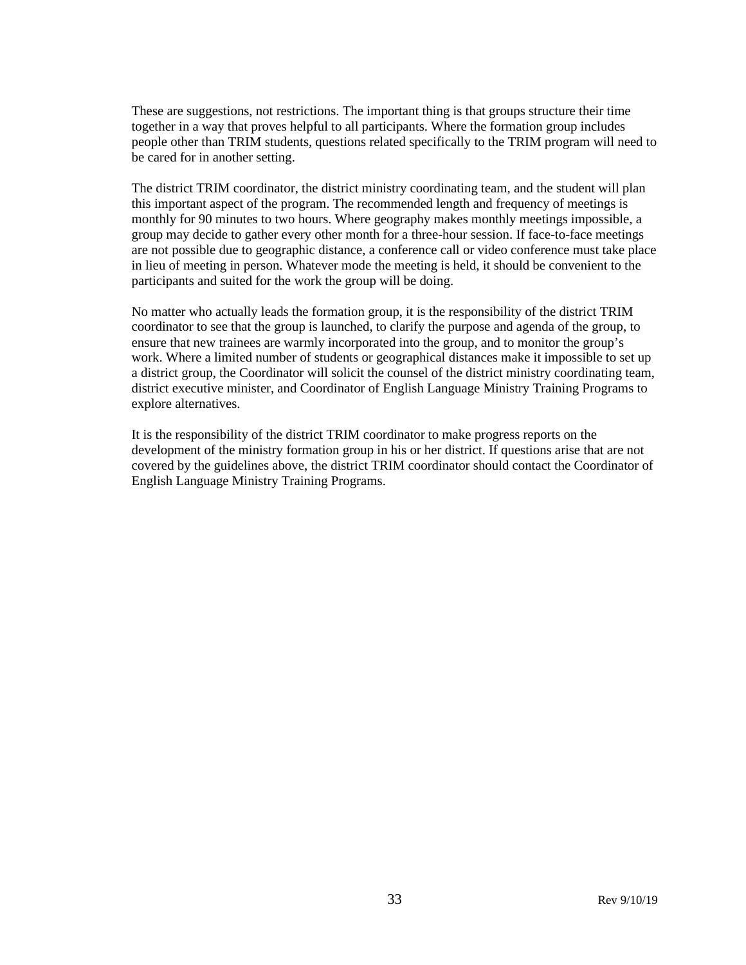These are suggestions, not restrictions. The important thing is that groups structure their time together in a way that proves helpful to all participants. Where the formation group includes people other than TRIM students, questions related specifically to the TRIM program will need to be cared for in another setting.

The district TRIM coordinator, the district ministry coordinating team, and the student will plan this important aspect of the program. The recommended length and frequency of meetings is monthly for 90 minutes to two hours. Where geography makes monthly meetings impossible, a group may decide to gather every other month for a three-hour session. If face-to-face meetings are not possible due to geographic distance, a conference call or video conference must take place in lieu of meeting in person. Whatever mode the meeting is held, it should be convenient to the participants and suited for the work the group will be doing.

No matter who actually leads the formation group, it is the responsibility of the district TRIM coordinator to see that the group is launched, to clarify the purpose and agenda of the group, to ensure that new trainees are warmly incorporated into the group, and to monitor the group's work. Where a limited number of students or geographical distances make it impossible to set up a district group, the Coordinator will solicit the counsel of the district ministry coordinating team, district executive minister, and Coordinator of English Language Ministry Training Programs to explore alternatives.

It is the responsibility of the district TRIM coordinator to make progress reports on the development of the ministry formation group in his or her district. If questions arise that are not covered by the guidelines above, the district TRIM coordinator should contact the Coordinator of English Language Ministry Training Programs.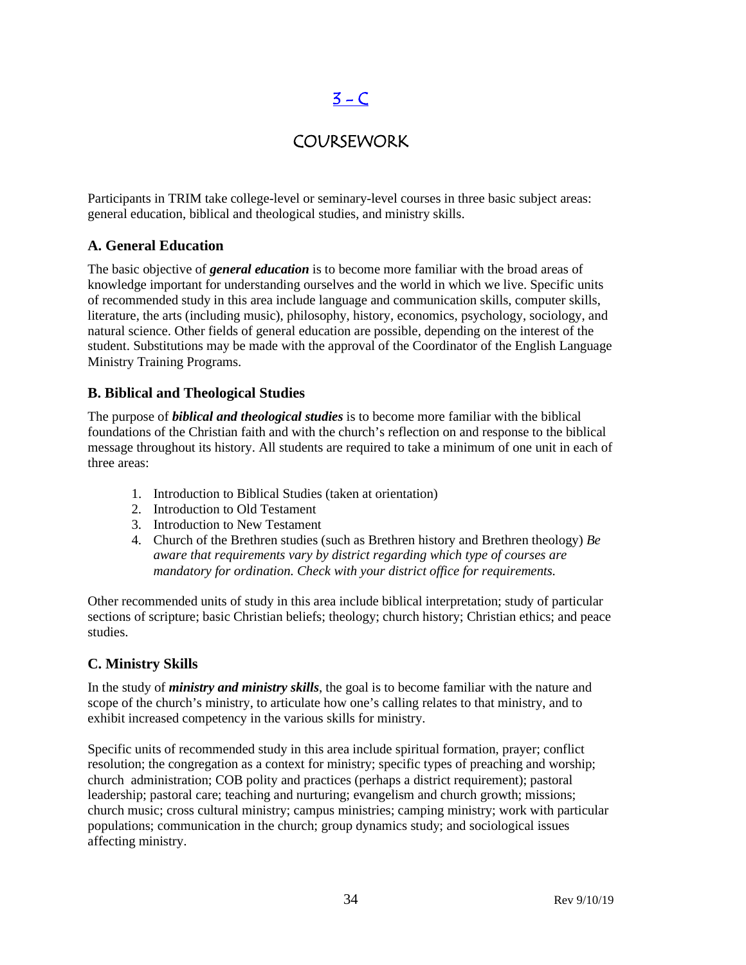# $3 - C$

## COURSEWORK

<span id="page-33-0"></span>Participants in TRIM take college-level or seminary-level courses in three basic subject areas: general education, biblical and theological studies, and ministry skills.

#### **A. General Education**

The basic objective of *general education* is to become more familiar with the broad areas of knowledge important for understanding ourselves and the world in which we live. Specific units of recommended study in this area include language and communication skills, computer skills, literature, the arts (including music), philosophy, history, economics, psychology, sociology, and natural science. Other fields of general education are possible, depending on the interest of the student. Substitutions may be made with the approval of the Coordinator of the English Language Ministry Training Programs.

#### **B. Biblical and Theological Studies**

The purpose of *biblical and theological studies* is to become more familiar with the biblical foundations of the Christian faith and with the church's reflection on and response to the biblical message throughout its history. All students are required to take a minimum of one unit in each of three areas:

- 1. Introduction to Biblical Studies (taken at orientation)
- 2. Introduction to Old Testament
- 3. Introduction to New Testament
- 4. Church of the Brethren studies (such as Brethren history and Brethren theology) *Be aware that requirements vary by district regarding which type of courses are mandatory for ordination. Check with your district office for requirements.*

Other recommended units of study in this area include biblical interpretation; study of particular sections of scripture; basic Christian beliefs; theology; church history; Christian ethics; and peace studies.

#### **C. Ministry Skills**

In the study of *ministry and ministry skills*, the goal is to become familiar with the nature and scope of the church's ministry, to articulate how one's calling relates to that ministry, and to exhibit increased competency in the various skills for ministry.

Specific units of recommended study in this area include spiritual formation, prayer; conflict resolution; the congregation as a context for ministry; specific types of preaching and worship; church administration; COB polity and practices (perhaps a district requirement); pastoral leadership; pastoral care; teaching and nurturing; evangelism and church growth; missions; church music; cross cultural ministry; campus ministries; camping ministry; work with particular populations; communication in the church; group dynamics study; and sociological issues affecting ministry.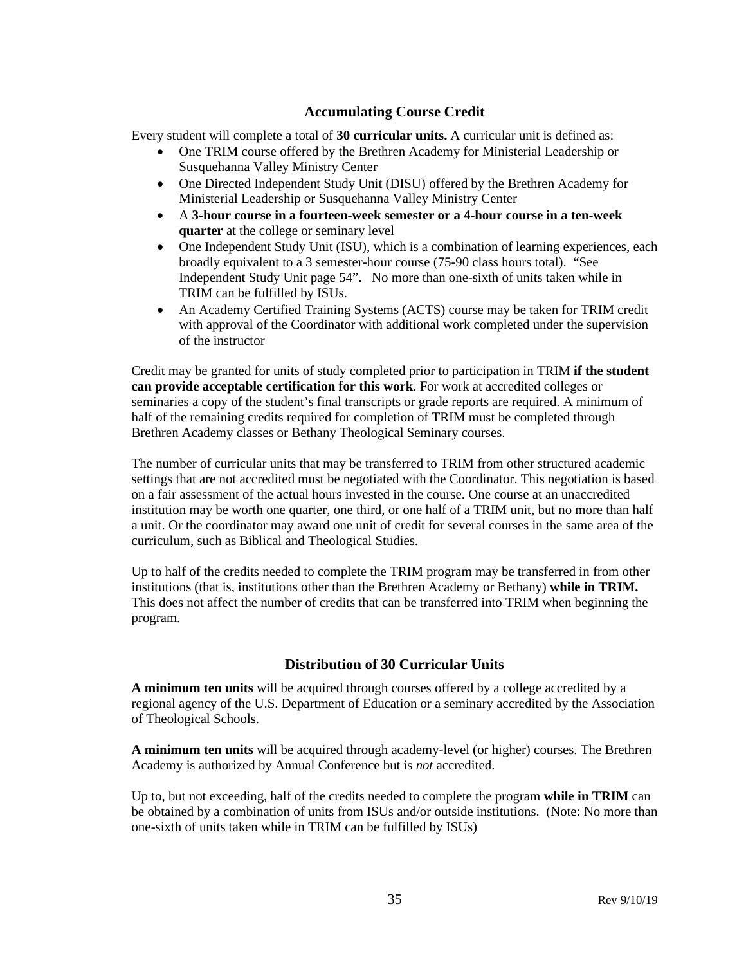#### **Accumulating Course Credit**

Every student will complete a total of **30 curricular units.** A curricular unit is defined as:

- One TRIM course offered by the Brethren Academy for Ministerial Leadership or Susquehanna Valley Ministry Center
- One Directed Independent Study Unit (DISU) offered by the Brethren Academy for Ministerial Leadership or Susquehanna Valley Ministry Center
- A **3-hour course in a fourteen-week semester or a 4-hour course in a ten-week quarter** at the college or seminary level
- One Independent Study Unit (ISU), which is a combination of learning experiences, each broadly equivalent to a 3 semester-hour course (75-90 class hours total). "See Independent Study Unit page 54". No more than one-sixth of units taken while in TRIM can be fulfilled by ISUs.
- An Academy Certified Training Systems (ACTS) course may be taken for TRIM credit with approval of the Coordinator with additional work completed under the supervision of the instructor

Credit may be granted for units of study completed prior to participation in TRIM **if the student can provide acceptable certification for this work**. For work at accredited colleges or seminaries a copy of the student's final transcripts or grade reports are required. A minimum of half of the remaining credits required for completion of TRIM must be completed through Brethren Academy classes or Bethany Theological Seminary courses.

The number of curricular units that may be transferred to TRIM from other structured academic settings that are not accredited must be negotiated with the Coordinator. This negotiation is based on a fair assessment of the actual hours invested in the course. One course at an unaccredited institution may be worth one quarter, one third, or one half of a TRIM unit, but no more than half a unit. Or the coordinator may award one unit of credit for several courses in the same area of the curriculum, such as Biblical and Theological Studies.

Up to half of the credits needed to complete the TRIM program may be transferred in from other institutions (that is, institutions other than the Brethren Academy or Bethany) **while in TRIM.**  This does not affect the number of credits that can be transferred into TRIM when beginning the program.

#### **Distribution of 30 Curricular Units**

**A minimum ten units** will be acquired through courses offered by a college accredited by a regional agency of the U.S. Department of Education or a seminary accredited by the Association of Theological Schools.

**A minimum ten units** will be acquired through academy-level (or higher) courses. The Brethren Academy is authorized by Annual Conference but is *not* accredited.

Up to, but not exceeding, half of the credits needed to complete the program **while in TRIM** can be obtained by a combination of units from ISUs and/or outside institutions. (Note: No more than one-sixth of units taken while in TRIM can be fulfilled by ISUs)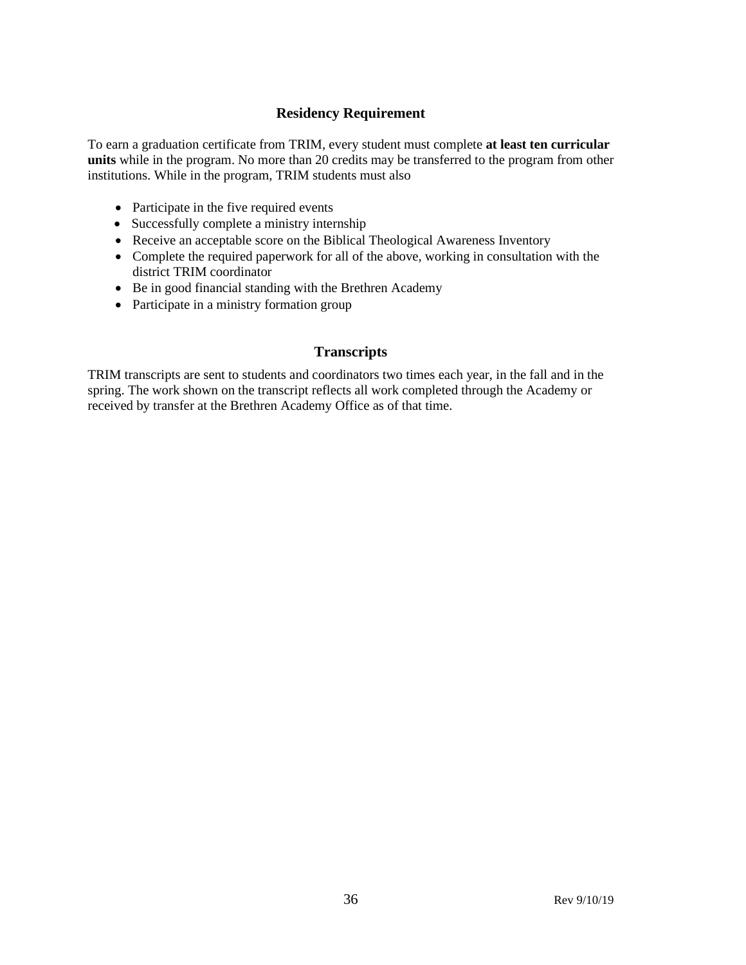#### **Residency Requirement**

To earn a graduation certificate from TRIM, every student must complete **at least ten curricular units** while in the program. No more than 20 credits may be transferred to the program from other institutions. While in the program, TRIM students must also

- Participate in the five required events
- Successfully complete a ministry internship
- Receive an acceptable score on the Biblical Theological Awareness Inventory
- Complete the required paperwork for all of the above, working in consultation with the district TRIM coordinator
- Be in good financial standing with the Brethren Academy
- Participate in a ministry formation group

#### **Transcripts**

TRIM transcripts are sent to students and coordinators two times each year, in the fall and in the spring. The work shown on the transcript reflects all work completed through the Academy or received by transfer at the Brethren Academy Office as of that time.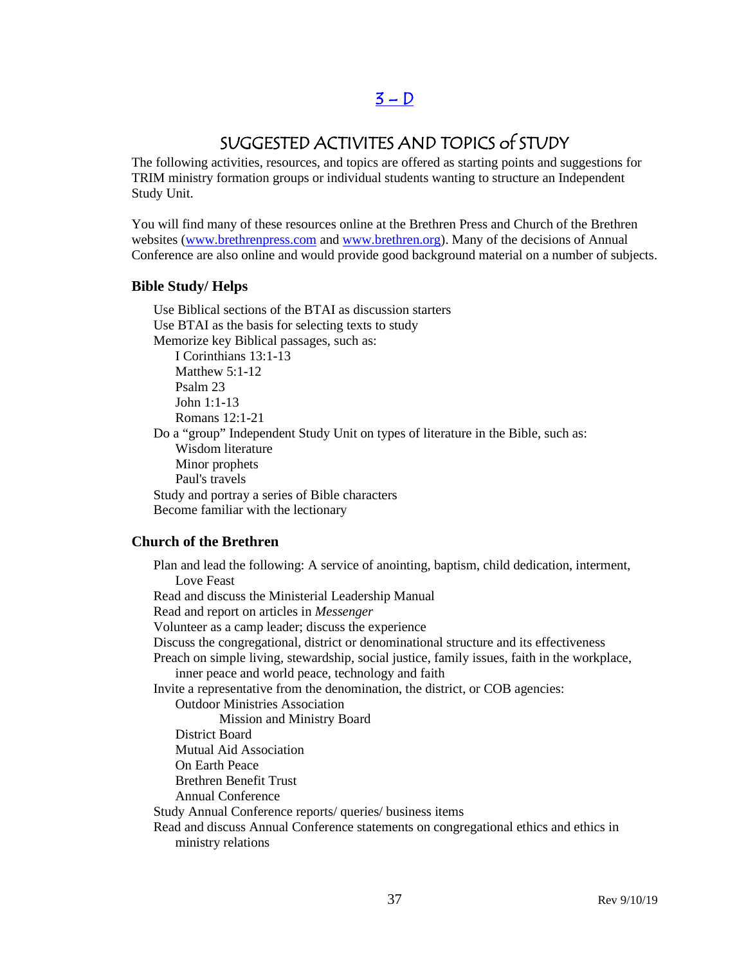### $3 - D$

# SUGGESTED ACTIVITES AND TOPICS of STUDY

The following activities, resources, and topics are offered as starting points and suggestions for TRIM ministry formation groups or individual students wanting to structure an Independent Study Unit.

You will find many of these resources online at the Brethren Press and Church of the Brethren websites [\(www.brethrenpress.com](http://www.brethrenpress.com/) and [www.brethren.org\)](http://www.brethren.org/). Many of the decisions of Annual Conference are also online and would provide good background material on a number of subjects.

#### **Bible Study/ Helps**

Use Biblical sections of the BTAI as discussion starters Use BTAI as the basis for selecting texts to study Memorize key Biblical passages, such as: I Corinthians 13:1-13 Matthew 5:1-12 Psalm 23 John 1:1-13 Romans 12:1-21 Do a "group" Independent Study Unit on types of literature in the Bible, such as: Wisdom literature Minor prophets Paul's travels Study and portray a series of Bible characters Become familiar with the lectionary

#### **Church of the Brethren**

Plan and lead the following: A service of anointing, baptism, child dedication, interment, Love Feast Read and discuss the Ministerial Leadership Manual Read and report on articles in *Messenger* Volunteer as a camp leader; discuss the experience Discuss the congregational, district or denominational structure and its effectiveness Preach on simple living, stewardship, social justice, family issues, faith in the workplace, inner peace and world peace, technology and faith Invite a representative from the denomination, the district, or COB agencies: Outdoor Ministries Association Mission and Ministry Board District Board Mutual Aid Association On Earth Peace Brethren Benefit Trust Annual Conference Study Annual Conference reports/ queries/ business items Read and discuss Annual Conference statements on congregational ethics and ethics in ministry relations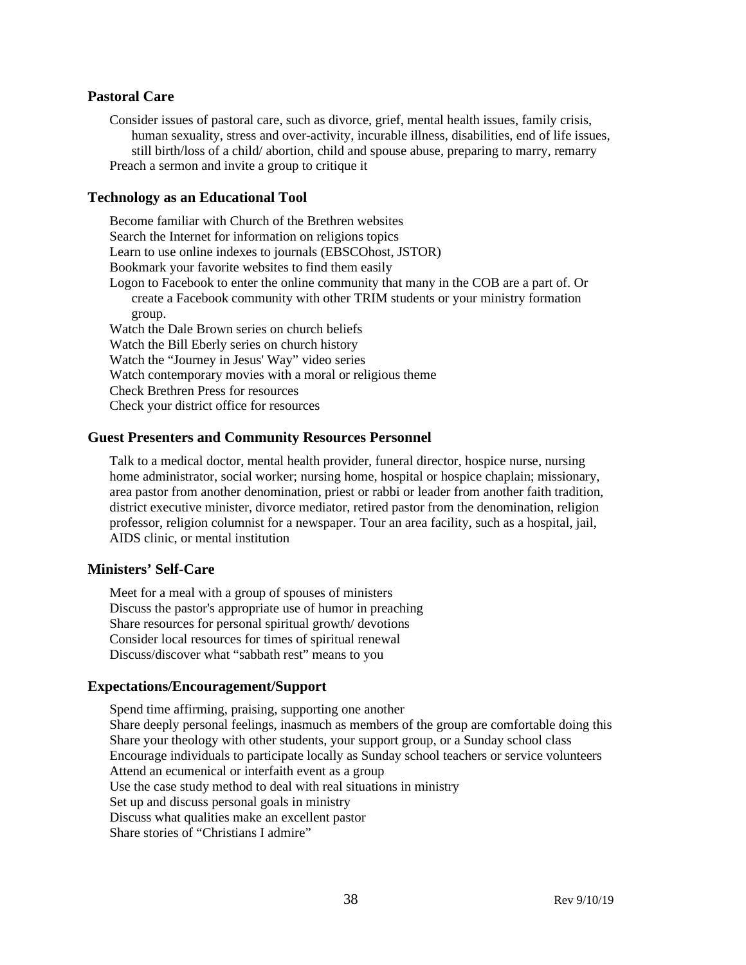#### **Pastoral Care**

Consider issues of pastoral care, such as divorce, grief, mental health issues, family crisis, human sexuality, stress and over-activity, incurable illness, disabilities, end of life issues, still birth/loss of a child/ abortion, child and spouse abuse, preparing to marry, remarry Preach a sermon and invite a group to critique it

#### **Technology as an Educational Tool**

Become familiar with Church of the Brethren websites Search the Internet for information on religions topics Learn to use online indexes to journals (EBSCOhost, JSTOR) Bookmark your favorite websites to find them easily Logon to Facebook to enter the online community that many in the COB are a part of. Or create a Facebook community with other TRIM students or your ministry formation group. Watch the Dale Brown series on church beliefs Watch the Bill Eberly series on church history Watch the "Journey in Jesus' Way" video series Watch contemporary movies with a moral or religious theme Check Brethren Press for resources Check your district office for resources

#### **Guest Presenters and Community Resources Personnel**

Talk to a medical doctor, mental health provider, funeral director, hospice nurse, nursing home administrator, social worker; nursing home, hospital or hospice chaplain; missionary, area pastor from another denomination, priest or rabbi or leader from another faith tradition, district executive minister, divorce mediator, retired pastor from the denomination, religion professor, religion columnist for a newspaper. Tour an area facility, such as a hospital, jail, AIDS clinic, or mental institution

#### **Ministers' Self-Care**

Meet for a meal with a group of spouses of ministers Discuss the pastor's appropriate use of humor in preaching Share resources for personal spiritual growth/ devotions Consider local resources for times of spiritual renewal Discuss/discover what "sabbath rest" means to you

#### **Expectations/Encouragement/Support**

Spend time affirming, praising, supporting one another Share deeply personal feelings, inasmuch as members of the group are comfortable doing this Share your theology with other students, your support group, or a Sunday school class Encourage individuals to participate locally as Sunday school teachers or service volunteers Attend an ecumenical or interfaith event as a group Use the case study method to deal with real situations in ministry Set up and discuss personal goals in ministry Discuss what qualities make an excellent pastor Share stories of "Christians I admire"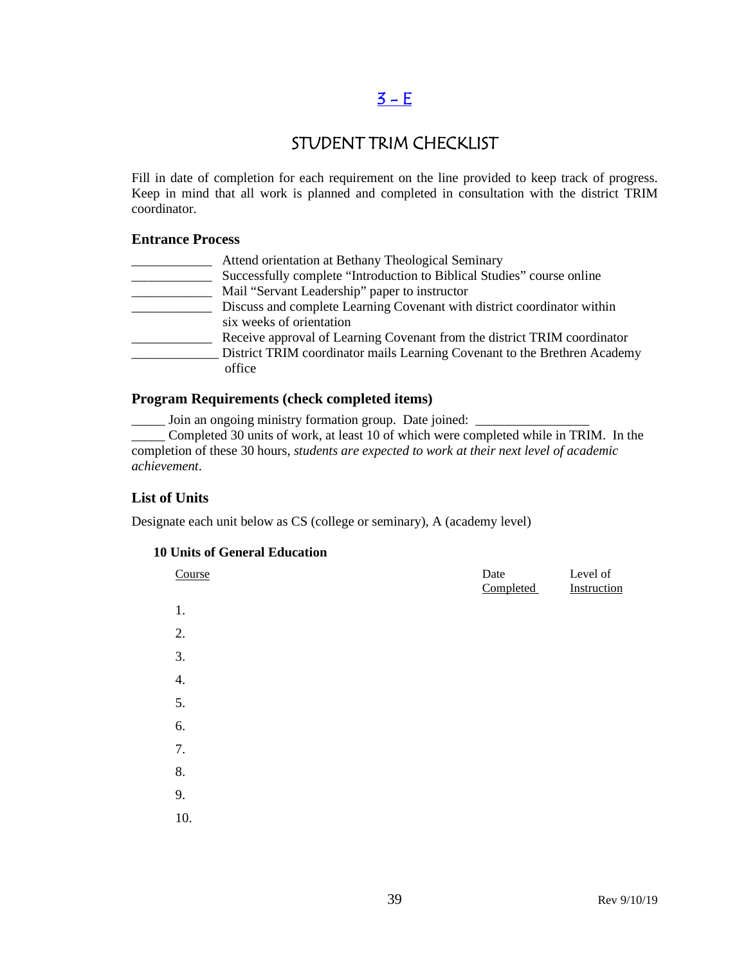# $3 - E$

# STUDENT TRIM CHECKLIST

Fill in date of completion for each requirement on the line provided to keep track of progress. Keep in mind that all work is planned and completed in consultation with the district TRIM coordinator.

#### **Entrance Process**

| Attend orientation at Bethany Theological Seminary                        |
|---------------------------------------------------------------------------|
| Successfully complete "Introduction to Biblical Studies" course online    |
| Mail "Servant Leadership" paper to instructor                             |
| Discuss and complete Learning Covenant with district coordinator within   |
| six weeks of orientation                                                  |
| Receive approval of Learning Covenant from the district TRIM coordinator  |
| District TRIM coordinator mails Learning Covenant to the Brethren Academy |
| office                                                                    |
|                                                                           |

#### **Program Requirements (check completed items)**

\_\_\_\_\_ Join an ongoing ministry formation group. Date joined: \_\_\_\_\_\_\_\_\_\_\_\_\_\_\_\_\_

\_\_\_\_\_ Completed 30 units of work, at least 10 of which were completed while in TRIM. In the completion of these 30 hours, *students are expected to work at their next level of academic achievement*.

#### **List of Units**

Designate each unit below as CS (college or seminary), A (academy level)

#### **10 Units of General Education**

| Course | Date<br>Completed | Level of<br>Instruction |
|--------|-------------------|-------------------------|
| 1.     |                   |                         |
| 2.     |                   |                         |
| 3.     |                   |                         |
| 4.     |                   |                         |
| 5.     |                   |                         |
| 6.     |                   |                         |
| 7.     |                   |                         |
| 8.     |                   |                         |
| 9.     |                   |                         |
| 10.    |                   |                         |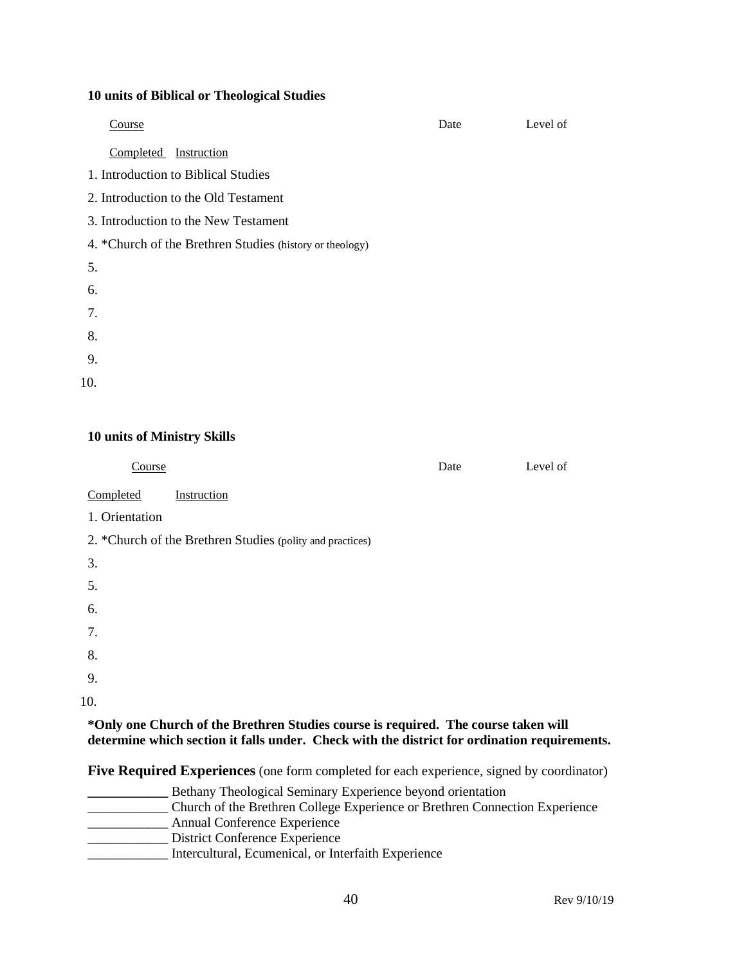#### **10 units of Biblical or Theological Studies**

| Course                                                   | Date | Level of |
|----------------------------------------------------------|------|----------|
| Completed Instruction                                    |      |          |
| 1. Introduction to Biblical Studies                      |      |          |
| 2. Introduction to the Old Testament                     |      |          |
| 3. Introduction to the New Testament                     |      |          |
| 4. *Church of the Brethren Studies (history or theology) |      |          |
| 5.                                                       |      |          |
| 6.                                                       |      |          |
| 7.                                                       |      |          |
| 8.                                                       |      |          |
| 9.                                                       |      |          |
| 10.                                                      |      |          |
|                                                          |      |          |

#### **10 units of Ministry Skills**

| Course                                                                               | Date | Level of |
|--------------------------------------------------------------------------------------|------|----------|
| Completed<br>Instruction                                                             |      |          |
| 1. Orientation                                                                       |      |          |
| 2. *Church of the Brethren Studies (polity and practices)                            |      |          |
| 3.                                                                                   |      |          |
| 5.                                                                                   |      |          |
| 6.                                                                                   |      |          |
| 7.                                                                                   |      |          |
| 8.                                                                                   |      |          |
| 9.                                                                                   |      |          |
| 10.                                                                                  |      |          |
| *Only and Church of the Drothron Studies course is required. The course to zero will |      |          |

**\*Only one Church of the Brethren Studies course is required. The course taken will determine which section it falls under. Check with the district for ordination requirements.**

**Five Required Experiences** (one form completed for each experience, signed by coordinator)

**\_\_\_\_\_\_\_\_\_\_\_\_** Bethany Theological Seminary Experience beyond orientation \_\_\_\_\_\_\_\_\_\_\_\_ Church of the Brethren College Experience or Brethren Connection Experience \_\_\_\_\_\_\_\_\_\_\_\_ Annual Conference Experience \_\_\_\_\_\_\_\_\_\_\_\_ District Conference Experience \_\_\_\_\_\_\_\_\_\_\_\_ Intercultural, Ecumenical, or Interfaith Experience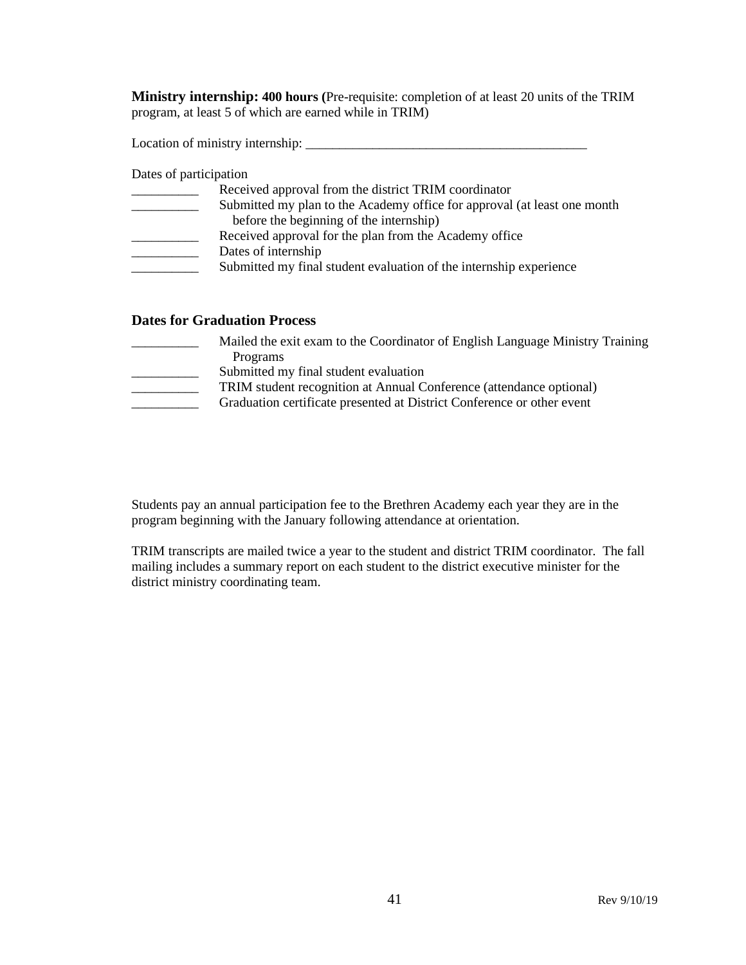**Ministry internship: 400 hours (**Pre-requisite: completion of at least 20 units of the TRIM program, at least 5 of which are earned while in TRIM)

Location of ministry internship: \_\_\_\_\_\_\_\_\_\_\_\_\_\_\_\_\_\_\_\_\_\_\_\_\_\_\_\_\_\_\_\_\_\_\_\_\_\_\_\_\_\_

Dates of participation

| Received approval from the district TRIM coordinator                     |
|--------------------------------------------------------------------------|
| Submitted my plan to the Academy office for approval (at least one month |
| before the beginning of the internship)                                  |
| Received approval for the plan from the Academy office                   |
| Dates of internship                                                      |
| Submitted my final student evaluation of the internship experience       |
|                                                                          |

#### **Dates for Graduation Process**

| Mailed the exit exam to the Coordinator of English Language Ministry Training |
|-------------------------------------------------------------------------------|
| Programs                                                                      |
| Submitted my final student evaluation                                         |
| TRIM student recognition at Annual Conference (attendance optional)           |
| Graduation certificate presented at District Conference or other event        |
|                                                                               |

Students pay an annual participation fee to the Brethren Academy each year they are in the program beginning with the January following attendance at orientation.

TRIM transcripts are mailed twice a year to the student and district TRIM coordinator. The fall mailing includes a summary report on each student to the district executive minister for the district ministry coordinating team.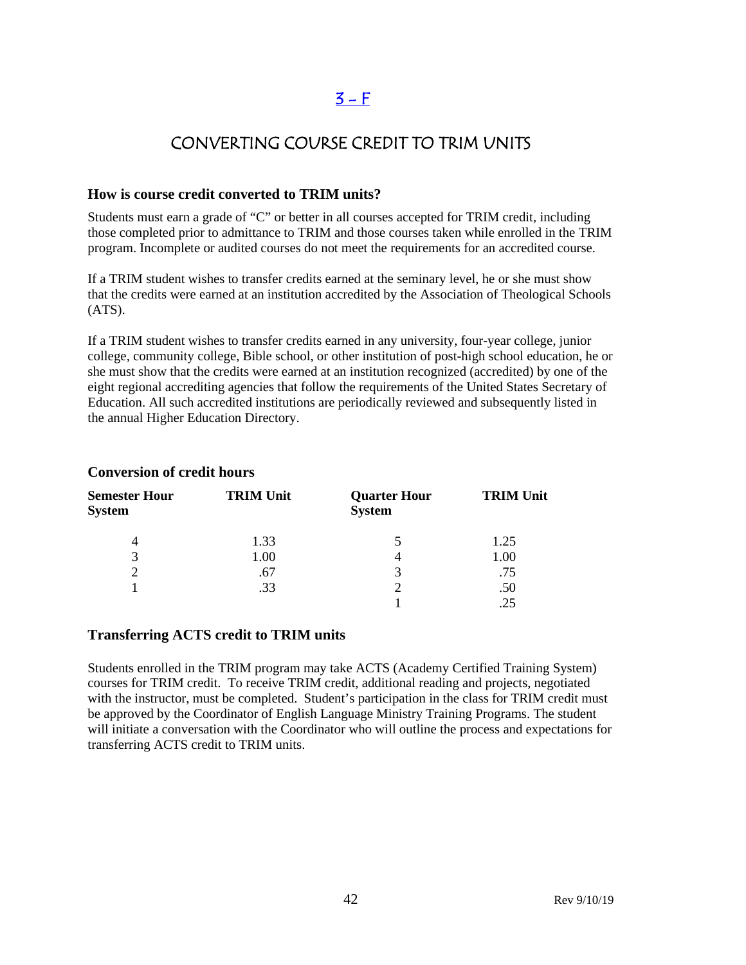# $3 - F$

# CONVERTING COURSE CREDIT TO TRIM UNITS

#### **How is course credit converted to TRIM units?**

Students must earn a grade of "C" or better in all courses accepted for TRIM credit, including those completed prior to admittance to TRIM and those courses taken while enrolled in the TRIM program. Incomplete or audited courses do not meet the requirements for an accredited course.

If a TRIM student wishes to transfer credits earned at the seminary level, he or she must show that the credits were earned at an institution accredited by the Association of Theological Schools  $(ATS)$ .

If a TRIM student wishes to transfer credits earned in any university, four-year college, junior college, community college, Bible school, or other institution of post-high school education, he or she must show that the credits were earned at an institution recognized (accredited) by one of the eight regional accrediting agencies that follow the requirements of the United States Secretary of Education. All such accredited institutions are periodically reviewed and subsequently listed in the annual Higher Education Directory.

| <b>Semester Hour</b><br><b>System</b> | <b>TRIM Unit</b> | <b>Quarter Hour</b><br><b>System</b> | <b>TRIM Unit</b> |
|---------------------------------------|------------------|--------------------------------------|------------------|
|                                       | 1.33             |                                      | 1.25             |
| 3                                     | 1.00             |                                      | 1.00             |
|                                       | .67              | 3                                    | .75              |
|                                       | .33              |                                      | .50              |
|                                       |                  |                                      |                  |

#### **Conversion of credit hours**

#### **Transferring ACTS credit to TRIM units**

Students enrolled in the TRIM program may take ACTS (Academy Certified Training System) courses for TRIM credit. To receive TRIM credit, additional reading and projects, negotiated with the instructor, must be completed. Student's participation in the class for TRIM credit must be approved by the Coordinator of English Language Ministry Training Programs. The student will initiate a conversation with the Coordinator who will outline the process and expectations for transferring ACTS credit to TRIM units.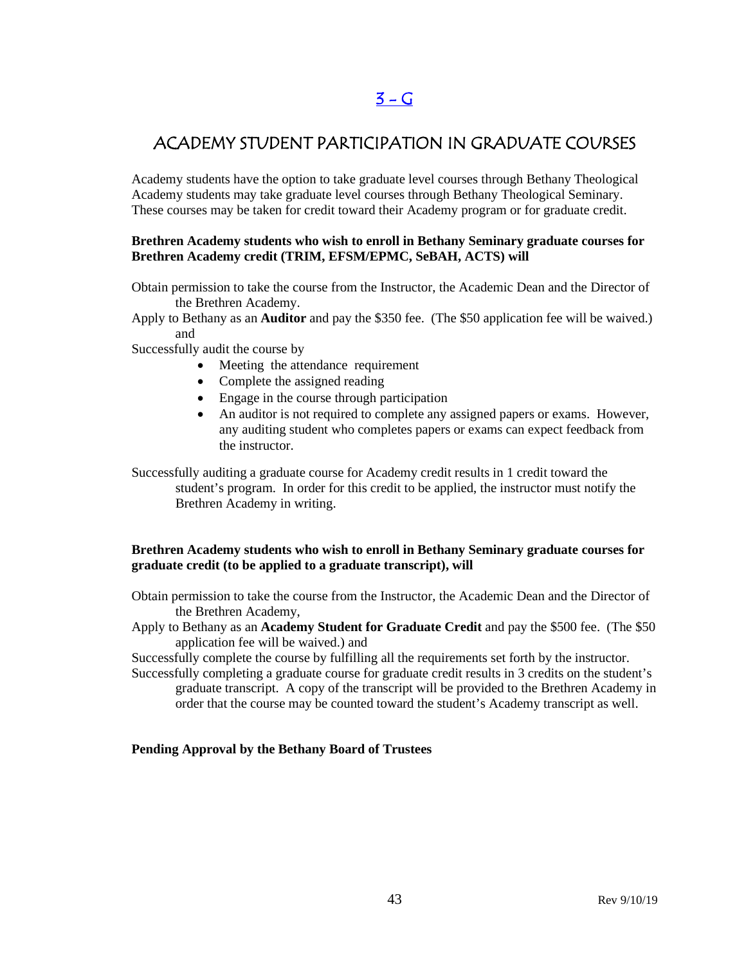# $3 - G$

# ACADEMY STUDENT PARTICIPATION IN GRADUATE COURSES

Academy students have the option to take graduate level courses through Bethany Theological Academy students may take graduate level courses through Bethany Theological Seminary. These courses may be taken for credit toward their Academy program or for graduate credit.

#### **Brethren Academy students who wish to enroll in Bethany Seminary graduate courses for Brethren Academy credit (TRIM, EFSM/EPMC, SeBAH, ACTS) will**

- Obtain permission to take the course from the Instructor, the Academic Dean and the Director of the Brethren Academy.
- Apply to Bethany as an **Auditor** and pay the \$350 fee. (The \$50 application fee will be waived.) and
- Successfully audit the course by
	- Meeting the attendance requirement
	- Complete the assigned reading
	- Engage in the course through participation
	- An auditor is not required to complete any assigned papers or exams. However, any auditing student who completes papers or exams can expect feedback from the instructor.
- Successfully auditing a graduate course for Academy credit results in 1 credit toward the student's program. In order for this credit to be applied, the instructor must notify the Brethren Academy in writing.

#### **Brethren Academy students who wish to enroll in Bethany Seminary graduate courses for graduate credit (to be applied to a graduate transcript), will**

Obtain permission to take the course from the Instructor, the Academic Dean and the Director of the Brethren Academy,

Apply to Bethany as an **Academy Student for Graduate Credit** and pay the \$500 fee. (The \$50 application fee will be waived.) and

Successfully complete the course by fulfilling all the requirements set forth by the instructor.

Successfully completing a graduate course for graduate credit results in 3 credits on the student's graduate transcript. A copy of the transcript will be provided to the Brethren Academy in order that the course may be counted toward the student's Academy transcript as well.

#### **Pending Approval by the Bethany Board of Trustees**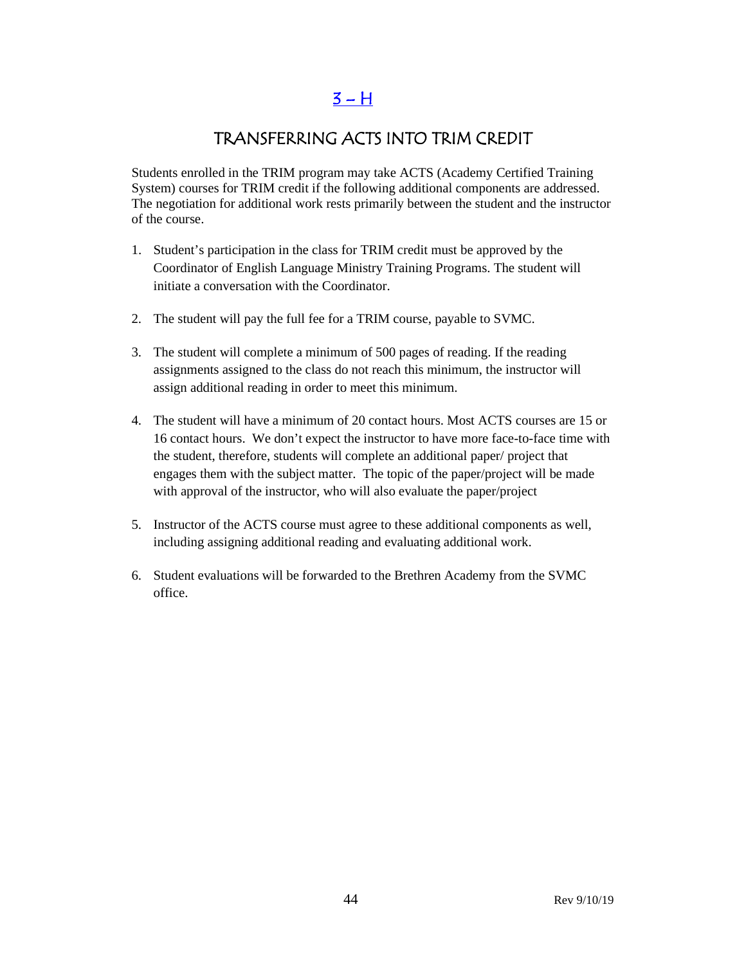$3 - H$ 

# TRANSFERRING ACTS INTO TRIM CREDIT

Students enrolled in the TRIM program may take ACTS (Academy Certified Training System) courses for TRIM credit if the following additional components are addressed. The negotiation for additional work rests primarily between the student and the instructor of the course.

- 1. Student's participation in the class for TRIM credit must be approved by the Coordinator of English Language Ministry Training Programs. The student will initiate a conversation with the Coordinator.
- 2. The student will pay the full fee for a TRIM course, payable to SVMC.
- 3. The student will complete a minimum of 500 pages of reading. If the reading assignments assigned to the class do not reach this minimum, the instructor will assign additional reading in order to meet this minimum.
- 4. The student will have a minimum of 20 contact hours. Most ACTS courses are 15 or 16 contact hours. We don't expect the instructor to have more face-to-face time with the student, therefore, students will complete an additional paper/ project that engages them with the subject matter. The topic of the paper/project will be made with approval of the instructor, who will also evaluate the paper/project
- 5. Instructor of the ACTS course must agree to these additional components as well, including assigning additional reading and evaluating additional work.
- 6. Student evaluations will be forwarded to the Brethren Academy from the SVMC office.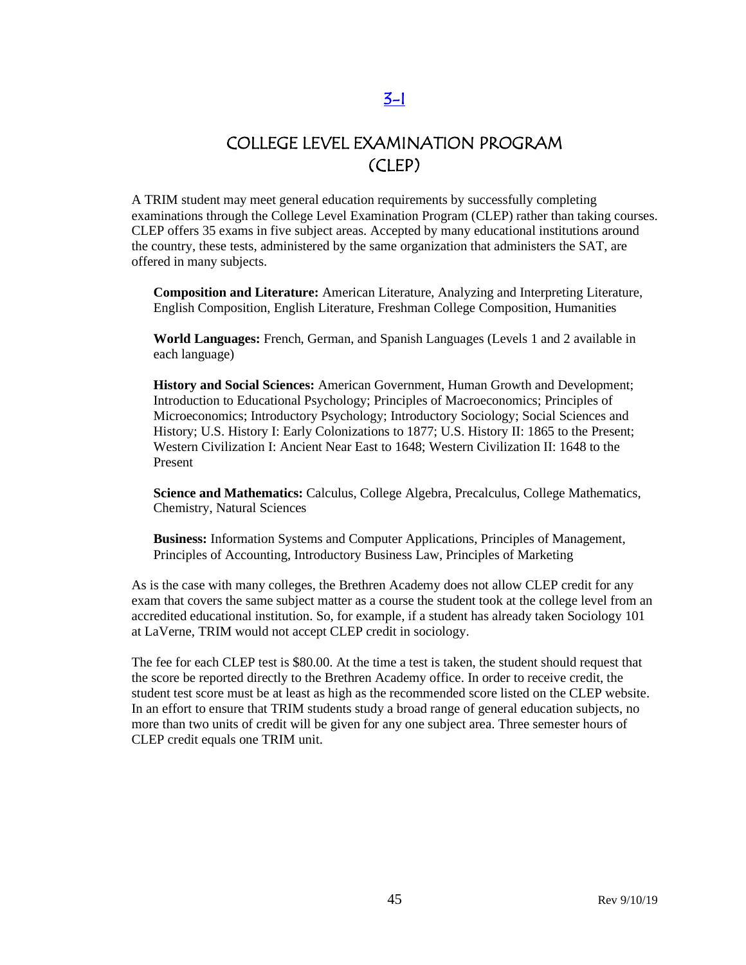# COLLEGE LEVEL EXAMINATION PROGRAM (CLEP)

A TRIM student may meet general education requirements by successfully completing examinations through the College Level Examination Program (CLEP) rather than taking courses. CLEP offers 35 exams in five subject areas. Accepted by many educational institutions around the country, these tests, administered by the same organization that administers the SAT, are offered in many subjects.

**Composition and Literature:** [American Literature,](http://www.collegeboard.com/student/testing/clep/ex_al.html) [Analyzing and Interpreting Literature,](http://www.collegeboard.com/student/testing/clep/ex_ail.html) [English Composition,](http://www.collegeboard.com/student/testing/clep/ex_ec.html) [English Literature,](http://www.collegeboard.com/student/testing/clep/ex_el.html) [Freshman College Composition,](http://www.collegeboard.com/student/testing/clep/ex_fcc.html) [Humanities](http://www.collegeboard.com/student/testing/clep/ex_hum.html)

**World Languages:** [French, German, and Spanish Languages \(Levels 1 and 2 available in](http://www.collegeboard.com/student/testing/clep/ex_clf.html)  [each language\)](http://www.collegeboard.com/student/testing/clep/ex_clf.html)

**History and Social Sciences:** [American Government,](http://www.collegeboard.com/student/testing/clep/ex_ag.html) [Human Growth and Development;](http://www.collegeboard.com/student/testing/clep/ex_hgd.html) [Introduction to Educational Psychology;](http://www.collegeboard.com/student/testing/clep/ex_iep.html) [Principles of Macroeconomics;](http://www.collegeboard.com/student/testing/clep/ex_pmac.html) [Principles of](http://www.collegeboard.com/student/testing/clep/ex_pmic.html)  [Microeconomics;](http://www.collegeboard.com/student/testing/clep/ex_pmic.html) [Introductory Psychology;](http://www.collegeboard.com/student/testing/clep/ex_ip.html) [Introductory Sociology;](http://www.collegeboard.com/student/testing/clep/ex_is.html) [Social Sciences and](http://www.collegeboard.com/student/testing/clep/ex_ssh.html)  [History;](http://www.collegeboard.com/student/testing/clep/ex_ssh.html) [U.S. History I: Early Colonizations to 1877;](http://www.collegeboard.com/student/testing/clep/ex_us1.html) [U.S. History II: 1865 to the Present;](http://www.collegeboard.com/student/testing/clep/ex_us2.html) [Western Civilization I: Ancient Near East to 1648;](http://www.collegeboard.com/student/testing/clep/ex_wc1.html) [Western Civilization II: 1648 to the](http://www.collegeboard.com/student/testing/clep/ex_wc2.html)  [Present](http://www.collegeboard.com/student/testing/clep/ex_wc2.html)

**Science and Mathematics:** [Calculus,](http://www.collegeboard.com/student/testing/clep/ex_calc.html) [College Algebra,](http://www.collegeboard.com/student/testing/clep/ex_ca.html) [Precalculus,](http://www.collegeboard.com/student/testing/clep/ex_pcal.html) [College Mathematics,](http://www.collegeboard.com/student/testing/clep/ex_cm.html) [Chemistry,](http://www.collegeboard.com/student/testing/clep/ex_chem.html) [Natural Sciences](http://www.collegeboard.com/student/testing/clep/ex_ns.html)

**Business:** [Information Systems and Computer Applications,](http://www.collegeboard.com/student/testing/clep/ex_isca.html) [Principles of Management,](http://www.collegeboard.com/student/testing/clep/ex_pman.html) [Principles of Accounting,](http://www.collegeboard.com/student/testing/clep/ex_pa.html) [Introductory Business Law,](http://www.collegeboard.com/student/testing/clep/ex_ibl.html) [Principles of Marketing](http://www.collegeboard.com/student/testing/clep/ex_pmark.html) 

As is the case with many colleges, the Brethren Academy does not allow CLEP credit for any exam that covers the same subject matter as a course the student took at the college level from an accredited educational institution. So, for example, if a student has already taken Sociology 101 at LaVerne, TRIM would not accept CLEP credit in sociology.

The fee for each CLEP test is \$80.00. At the time a test is taken, the student should request that the score be reported directly to the Brethren Academy office. In order to receive credit, the student test score must be at least as high as the recommended score listed on the CLEP website. In an effort to ensure that TRIM students study a broad range of general education subjects, no more than two units of credit will be given for any one subject area. Three semester hours of CLEP credit equals one TRIM unit.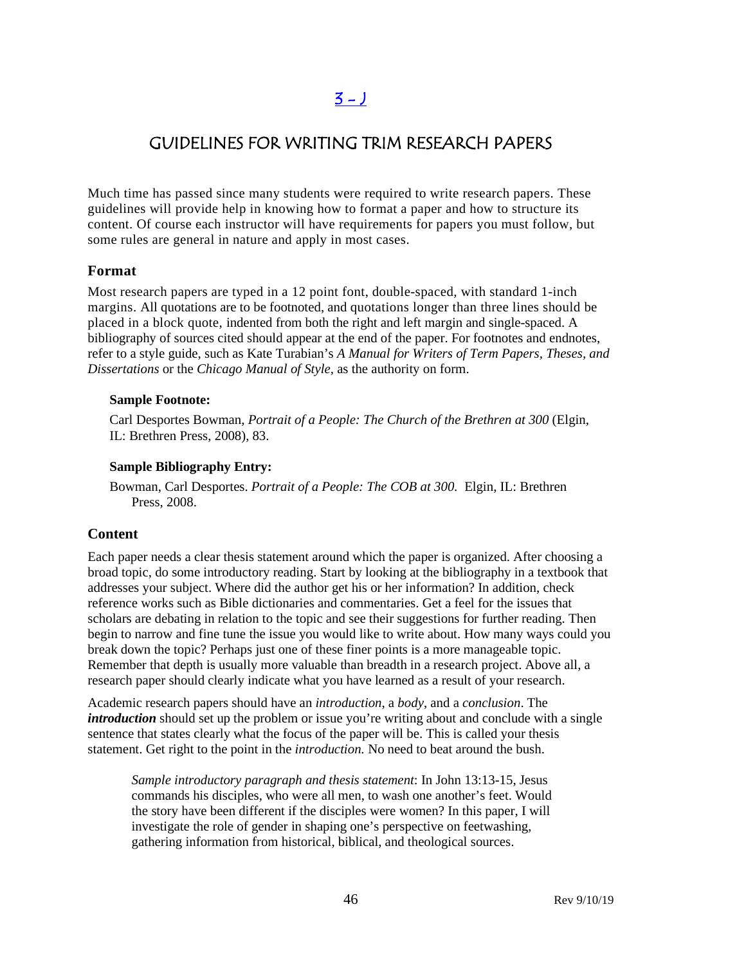# $3 - 1$

# GUIDELINES FOR WRITING TRIM RESEARCH PAPERS

Much time has passed since many students were required to write research papers. These guidelines will provide help in knowing how to format a paper and how to structure its content. Of course each instructor will have requirements for papers you must follow, but some rules are general in nature and apply in most cases.

#### **Format**

Most research papers are typed in a 12 point font, double-spaced, with standard 1-inch margins. All quotations are to be footnoted, and quotations longer than three lines should be placed in a block quote, indented from both the right and left margin and single-spaced. A bibliography of sources cited should appear at the end of the paper. For footnotes and endnotes, refer to a style guide, such as Kate Turabian's *A Manual for Writers of Term Papers, Theses, and Dissertations* or the *Chicago Manual of Style,* as the authority on form.

#### **Sample Footnote:**

Carl Desportes Bowman, *Portrait of a People: The Church of the Brethren at 300* (Elgin, IL: Brethren Press, 2008), 83.

#### **Sample Bibliography Entry:**

Bowman, Carl Desportes. *Portrait of a People: The COB at 300.* Elgin, IL: Brethren Press, 2008.

#### **Content**

Each paper needs a clear thesis statement around which the paper is organized. After choosing a broad topic, do some introductory reading. Start by looking at the bibliography in a textbook that addresses your subject. Where did the author get his or her information? In addition, check reference works such as Bible dictionaries and commentaries. Get a feel for the issues that scholars are debating in relation to the topic and see their suggestions for further reading. Then begin to narrow and fine tune the issue you would like to write about. How many ways could you break down the topic? Perhaps just one of these finer points is a more manageable topic. Remember that depth is usually more valuable than breadth in a research project. Above all, a research paper should clearly indicate what you have learned as a result of your research.

Academic research papers should have an *introduction*, a *body*, and a *conclusion*. The *introduction* should set up the problem or issue you're writing about and conclude with a single sentence that states clearly what the focus of the paper will be. This is called your thesis statement. Get right to the point in the *introduction.* No need to beat around the bush.

*Sample introductory paragraph and thesis statement*: In John 13:13-15, Jesus commands his disciples, who were all men, to wash one another's feet. Would the story have been different if the disciples were women? In this paper, I will investigate the role of gender in shaping one's perspective on feetwashing, gathering information from historical, biblical, and theological sources.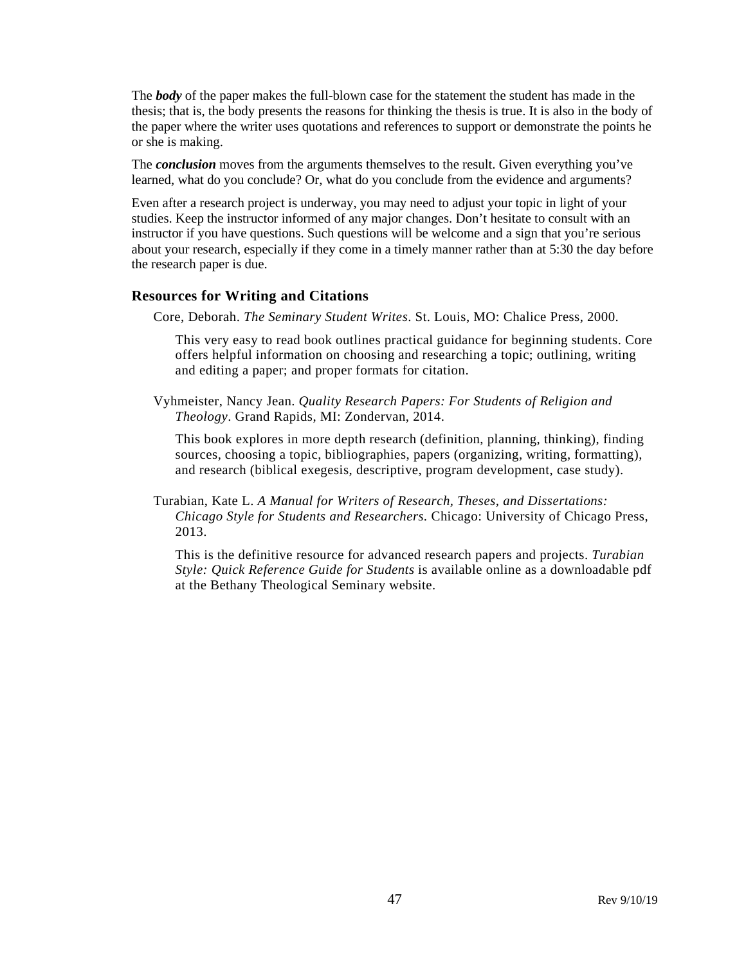The *body* of the paper makes the full-blown case for the statement the student has made in the thesis; that is, the body presents the reasons for thinking the thesis is true. It is also in the body of the paper where the writer uses quotations and references to support or demonstrate the points he or she is making.

The *conclusion* moves from the arguments themselves to the result. Given everything you've learned, what do you conclude? Or, what do you conclude from the evidence and arguments?

Even after a research project is underway, you may need to adjust your topic in light of your studies. Keep the instructor informed of any major changes. Don't hesitate to consult with an instructor if you have questions. Such questions will be welcome and a sign that you're serious about your research, especially if they come in a timely manner rather than at 5:30 the day before the research paper is due.

#### **Resources for Writing and Citations**

Core, Deborah. *The Seminary Student Writes*. St. Louis, MO: Chalice Press, 2000.

This very easy to read book outlines practical guidance for beginning students. Core offers helpful information on choosing and researching a topic; outlining, writing and editing a paper; and proper formats for citation.

Vyhmeister, Nancy Jean. *Quality Research Papers: For Students of Religion and Theology*. Grand Rapids, MI: Zondervan, 2014.

This book explores in more depth research (definition, planning, thinking), finding sources, choosing a topic, bibliographies, papers (organizing, writing, formatting), and research (biblical exegesis, descriptive, program development, case study).

Turabian, Kate L. *A Manual for Writers of Research, Theses, and Dissertations: Chicago Style for Students and Researchers.* Chicago: University of Chicago Press, 2013.

This is the definitive resource for advanced research papers and projects. *Turabian Style: Quick Reference Guide for Students* is available online as a downloadable pdf at the Bethany Theological Seminary website.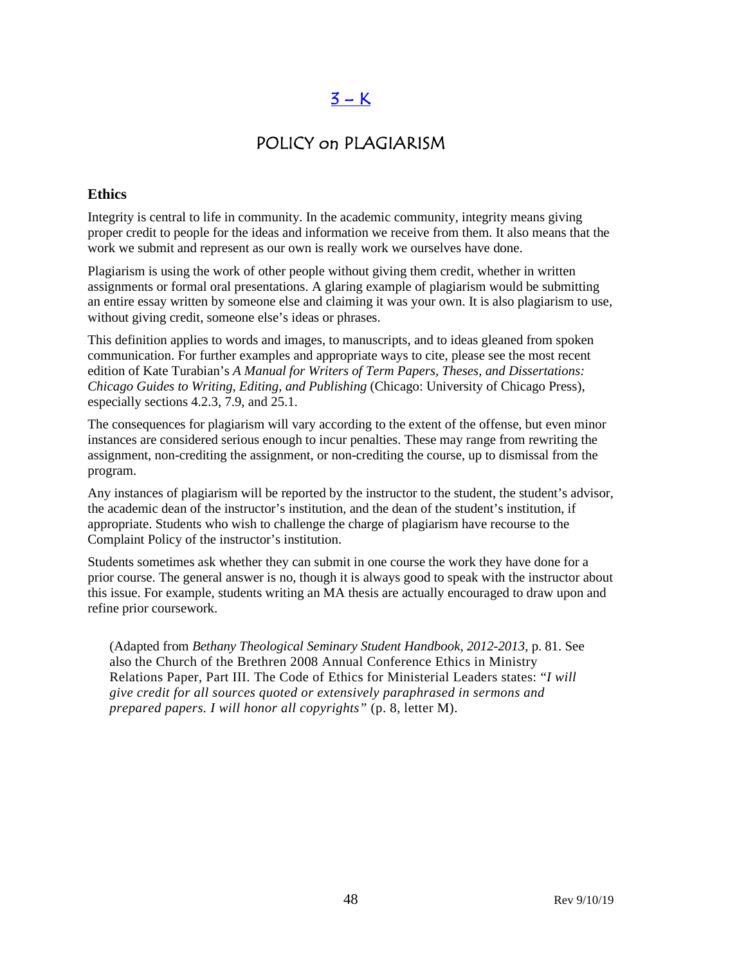# $3 - K$

# POLICY on PLAGIARISM

#### **Ethics**

Integrity is central to life in community. In the academic community, integrity means giving proper credit to people for the ideas and information we receive from them. It also means that the work we submit and represent as our own is really work we ourselves have done.

Plagiarism is using the work of other people without giving them credit, whether in written assignments or formal oral presentations. A glaring example of plagiarism would be submitting an entire essay written by someone else and claiming it was your own. It is also plagiarism to use, without giving credit, someone else's ideas or phrases.

This definition applies to words and images, to manuscripts, and to ideas gleaned from spoken communication. For further examples and appropriate ways to cite, please see the most recent edition of Kate Turabian's *A Manual for Writers of Term Papers, Theses, and Dissertations: Chicago Guides to Writing, Editing, and Publishing* (Chicago: University of Chicago Press), especially sections 4.2.3, 7.9, and 25.1.

The consequences for plagiarism will vary according to the extent of the offense, but even minor instances are considered serious enough to incur penalties. These may range from rewriting the assignment, non-crediting the assignment, or non-crediting the course, up to dismissal from the program.

Any instances of plagiarism will be reported by the instructor to the student, the student's advisor, the academic dean of the instructor's institution, and the dean of the student's institution, if appropriate. Students who wish to challenge the charge of plagiarism have recourse to the Complaint Policy of the instructor's institution.

Students sometimes ask whether they can submit in one course the work they have done for a prior course. The general answer is no, though it is always good to speak with the instructor about this issue. For example, students writing an MA thesis are actually encouraged to draw upon and refine prior coursework.

(Adapted from *Bethany Theological Seminary Student Handbook, 2012-2013*, p. 81. See also the Church of the Brethren 2008 Annual Conference Ethics in Ministry Relations Paper, Part III. The Code of Ethics for Ministerial Leaders states: "*I will give credit for all sources quoted or extensively paraphrased in sermons and prepared papers. I will honor all copyrights"* (p. 8, letter M).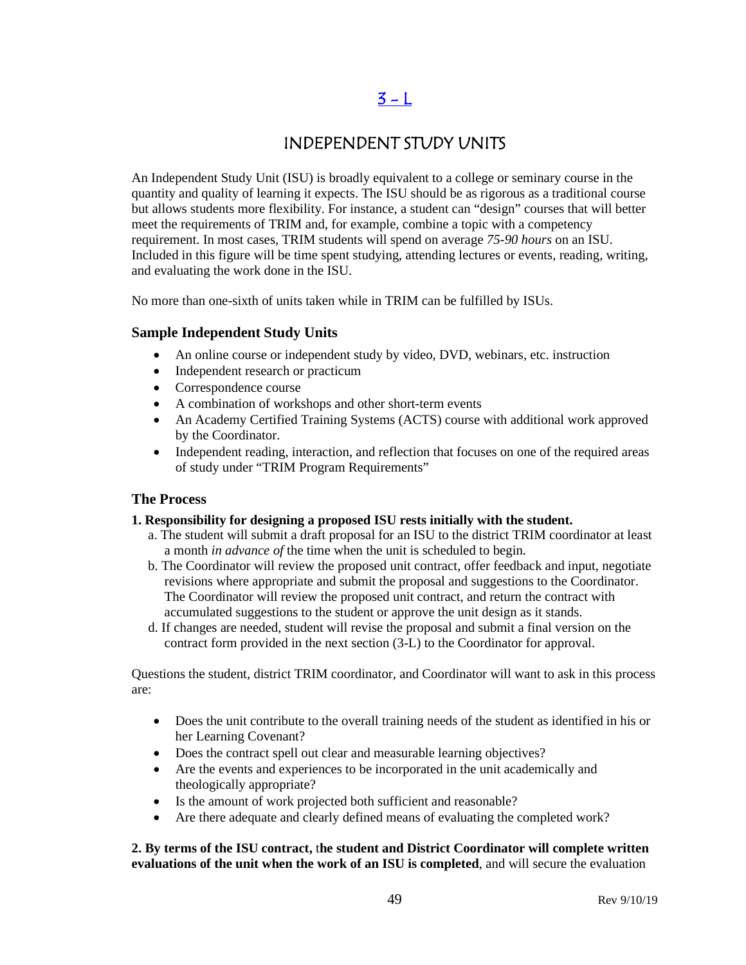# [3 - L](#page-2-0)

## INDEPENDENT STUDY UNITS

An Independent Study Unit (ISU) is broadly equivalent to a college or seminary course in the quantity and quality of learning it expects. The ISU should be as rigorous as a traditional course but allows students more flexibility. For instance, a student can "design" courses that will better meet the requirements of TRIM and, for example, combine a topic with a competency requirement. In most cases, TRIM students will spend on average *75-90 hours* on an ISU. Included in this figure will be time spent studying, attending lectures or events, reading, writing, and evaluating the work done in the ISU.

No more than one-sixth of units taken while in TRIM can be fulfilled by ISUs.

#### **Sample Independent Study Units**

- An online course or independent study by video, DVD, webinars, etc. instruction
- Independent research or practicum
- Correspondence course
- A combination of workshops and other short-term events
- An Academy Certified Training Systems (ACTS) course with additional work approved by the Coordinator.
- Independent reading, interaction, and reflection that focuses on one of the required areas of study under "TRIM Program Requirements"

#### **The Process**

#### **1. Responsibility for designing a proposed ISU rests initially with the student.**

- a. The student will submit a draft proposal for an ISU to the district TRIM coordinator at least a month *in advance of* the time when the unit is scheduled to begin.
- b. The Coordinator will review the proposed unit contract, offer feedback and input, negotiate revisions where appropriate and submit the proposal and suggestions to the Coordinator. The Coordinator will review the proposed unit contract, and return the contract with accumulated suggestions to the student or approve the unit design as it stands.
- d. If changes are needed, student will revise the proposal and submit a final version on the contract form provided in the next section (3-L) to the Coordinator for approval.

Questions the student, district TRIM coordinator, and Coordinator will want to ask in this process are:

- Does the unit contribute to the overall training needs of the student as identified in his or her Learning Covenant?
- Does the contract spell out clear and measurable learning objectives?
- Are the events and experiences to be incorporated in the unit academically and theologically appropriate?
- Is the amount of work projected both sufficient and reasonable?
- Are there adequate and clearly defined means of evaluating the completed work?

#### **2. By terms of the ISU contract,** t**he student and District Coordinator will complete written evaluations of the unit when the work of an ISU is completed**, and will secure the evaluation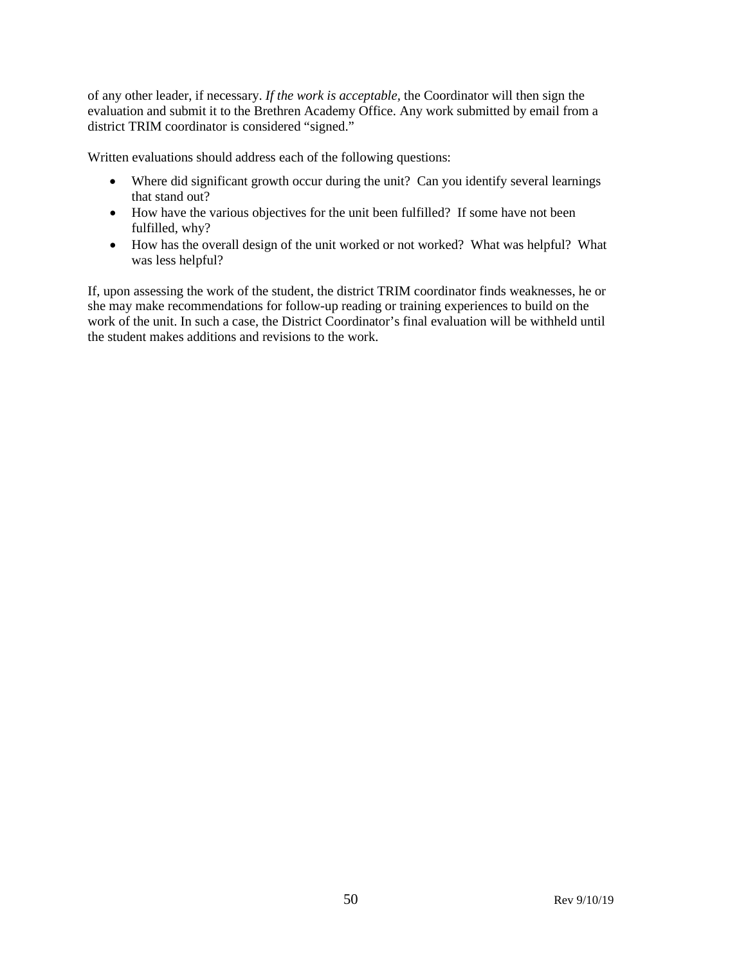of any other leader, if necessary. *If the work is acceptable,* the Coordinator will then sign the evaluation and submit it to the Brethren Academy Office. Any work submitted by email from a district TRIM coordinator is considered "signed."

Written evaluations should address each of the following questions:

- Where did significant growth occur during the unit? Can you identify several learnings that stand out?
- How have the various objectives for the unit been fulfilled? If some have not been fulfilled, why?
- How has the overall design of the unit worked or not worked? What was helpful? What was less helpful?

If, upon assessing the work of the student, the district TRIM coordinator finds weaknesses, he or she may make recommendations for follow-up reading or training experiences to build on the work of the unit. In such a case, the District Coordinator's final evaluation will be withheld until the student makes additions and revisions to the work.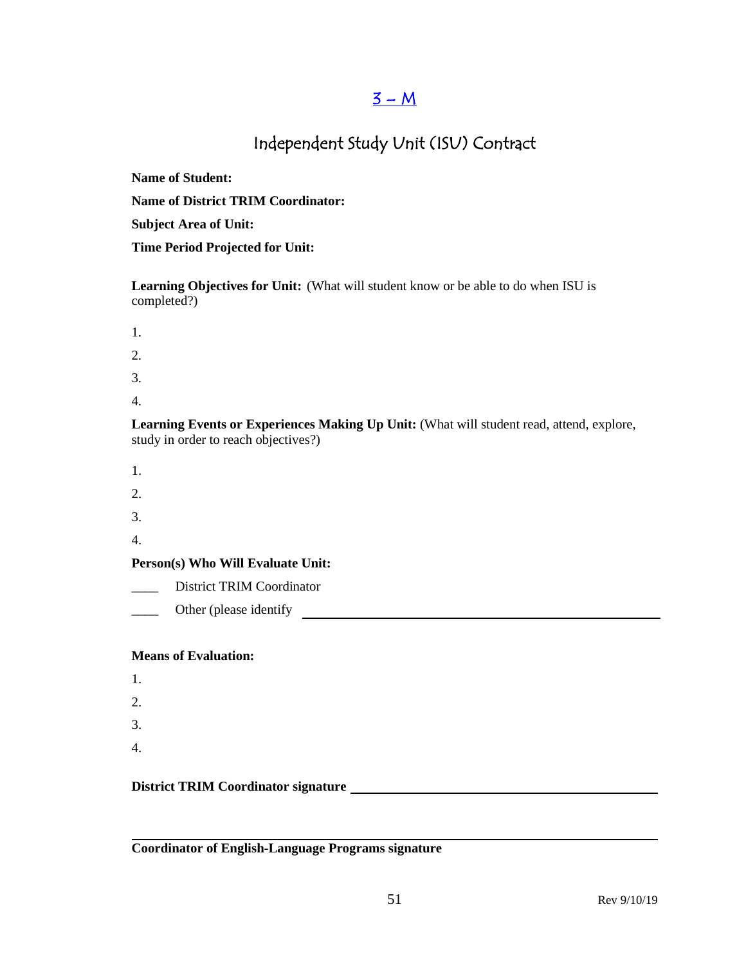### $3 - M$

# Independent Study Unit (ISU) Contract

**Name of Student:**

**Name of District TRIM Coordinator:**

**Subject Area of Unit:**

**Time Period Projected for Unit:**

**Learning Objectives for Unit:** (What will student know or be able to do when ISU is completed?)

- 1.
- 2.
- 3.
- 
- 4.

**Learning Events or Experiences Making Up Unit:** (What will student read, attend, explore, study in order to reach objectives?)

- 1.
- 2.
- 3.
- 4.

**Person(s) Who Will Evaluate Unit:**

District TRIM Coordinator

Lacken Community Lacken identify Lacken and School and School and School and School and School and School and School and School and School and School and School and School and School and School and School and School and Sc

#### **Means of Evaluation:**

1. 2. 3. 4.

#### **District TRIM Coordinator signature**

**Coordinator of English-Language Programs signature**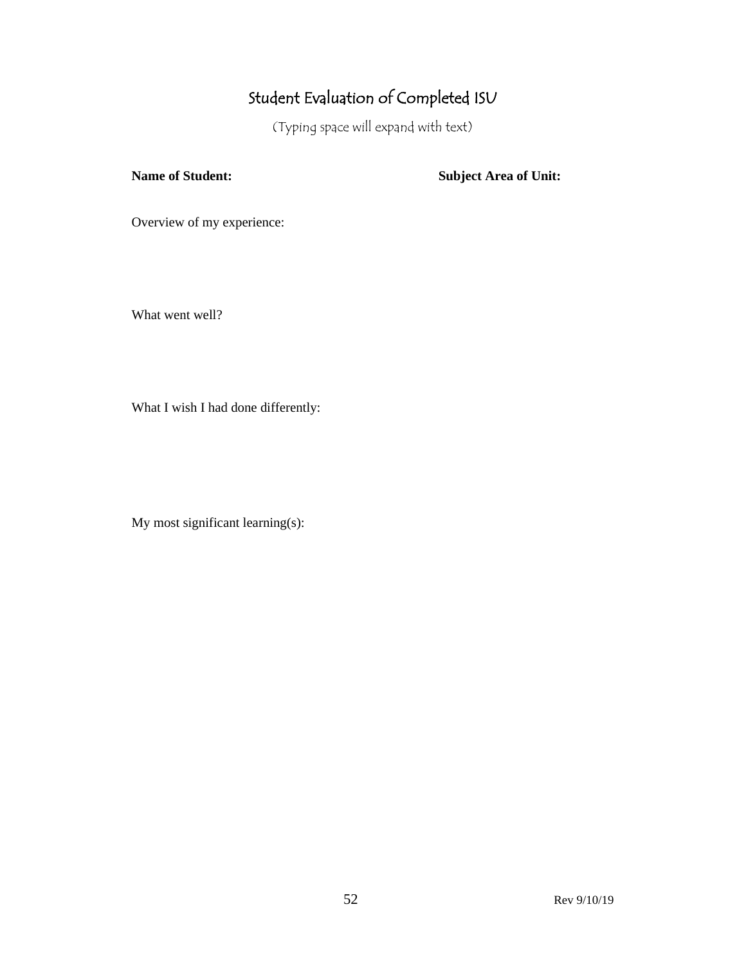# Student Evaluation of Completed ISU

(Typing space will expand with text)

**Name of Student: Subject Area of Unit:**

Overview of my experience:

What went well?

What I wish I had done differently:

My most significant learning(s):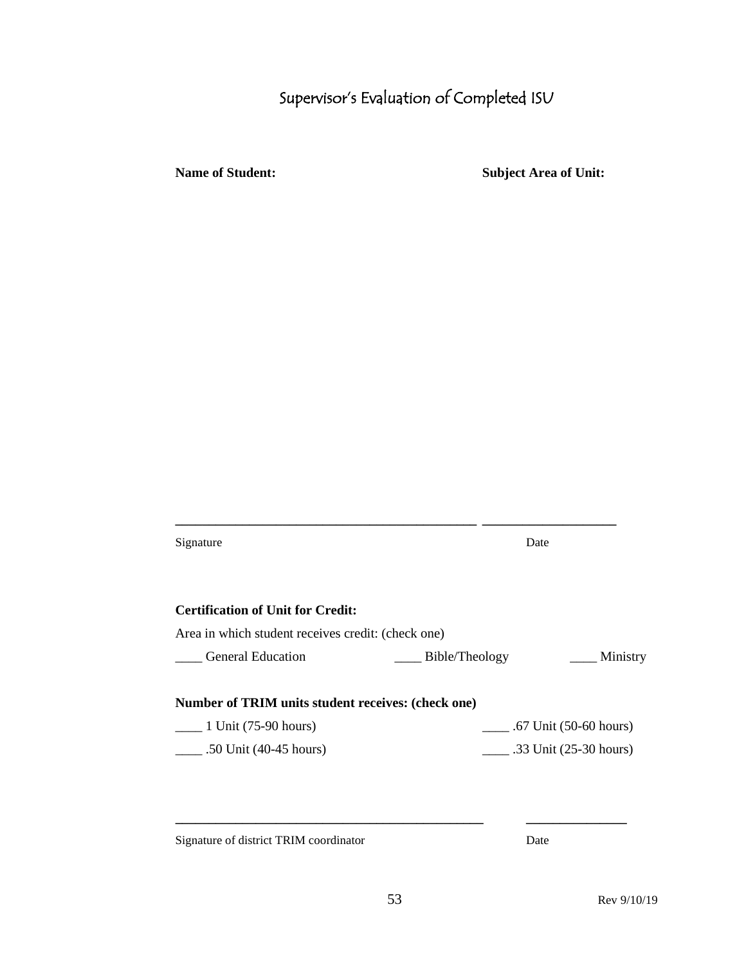# Supervisor's Evaluation of Completed ISU

**Name of Student: Subject Area of Unit:**

| Signature                                          | Date                                 |  |
|----------------------------------------------------|--------------------------------------|--|
| <b>Certification of Unit for Credit:</b>           |                                      |  |
| Area in which student receives credit: (check one) |                                      |  |
| <b>General Education</b>                           | Bible/Theology<br><u>__</u> Ministry |  |
| Number of TRIM units student receives: (check one) |                                      |  |
| $\frac{1 \text{ Unit}}{(75-90 \text{ hours})}$     | $\frac{1}{2}$ .67 Unit (50-60 hours) |  |
| $\_ .50$ Unit (40-45 hours)                        | .33 Unit $(25-30$ hours)             |  |
|                                                    |                                      |  |
|                                                    |                                      |  |
|                                                    |                                      |  |

**\_\_\_\_\_\_\_\_\_\_\_\_\_\_\_\_\_\_\_\_\_\_\_\_\_\_\_\_\_\_\_\_\_\_\_\_\_\_\_\_\_\_\_\_\_ \_\_\_\_\_\_\_\_\_\_\_\_\_\_\_\_\_\_\_\_**

Signature of district TRIM coordinator Date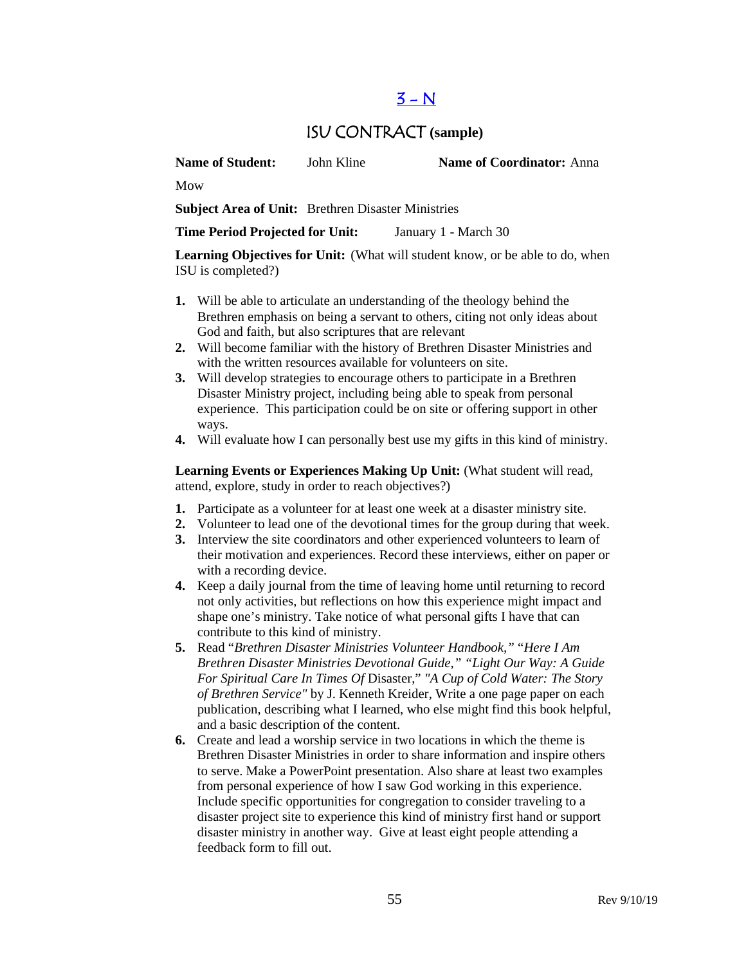# $3 - N$

### ISU CONTRACT **(sample)**

**Name of Student:** John Kline **Name of Coordinator:** Anna

Mow

**Subject Area of Unit:** Brethren Disaster Ministries

**Time Period Projected for Unit:** January 1 - March 30

**Learning Objectives for Unit:** (What will student know, or be able to do, when ISU is completed?)

- **1.** Will be able to articulate an understanding of the theology behind the Brethren emphasis on being a servant to others, citing not only ideas about God and faith, but also scriptures that are relevant
- **2.** Will become familiar with the history of Brethren Disaster Ministries and with the written resources available for volunteers on site.
- **3.** Will develop strategies to encourage others to participate in a Brethren Disaster Ministry project, including being able to speak from personal experience. This participation could be on site or offering support in other ways.
- **4.** Will evaluate how I can personally best use my gifts in this kind of ministry.

Learning Events or Experiences Making Up Unit: (What student will read, attend, explore, study in order to reach objectives?)

- **1.** Participate as a volunteer for at least one week at a disaster ministry site.
- **2.** Volunteer to lead one of the devotional times for the group during that week.
- **3.** Interview the site coordinators and other experienced volunteers to learn of their motivation and experiences. Record these interviews, either on paper or with a recording device.
- **4.** Keep a daily journal from the time of leaving home until returning to record not only activities, but reflections on how this experience might impact and shape one's ministry. Take notice of what personal gifts I have that can contribute to this kind of ministry.
- **5.** Read "*Brethren Disaster Ministries Volunteer Handbook,"* "*Here I Am Brethren Disaster Ministries Devotional Guide," "Light Our Way: A Guide For Spiritual Care In Times Of* Disaster," *"A Cup of Cold Water: The Story of Brethren Service"* by J. Kenneth Kreider, Write a one page paper on each publication, describing what I learned, who else might find this book helpful, and a basic description of the content.
- **6.** Create and lead a worship service in two locations in which the theme is Brethren Disaster Ministries in order to share information and inspire others to serve. Make a PowerPoint presentation. Also share at least two examples from personal experience of how I saw God working in this experience. Include specific opportunities for congregation to consider traveling to a disaster project site to experience this kind of ministry first hand or support disaster ministry in another way. Give at least eight people attending a feedback form to fill out.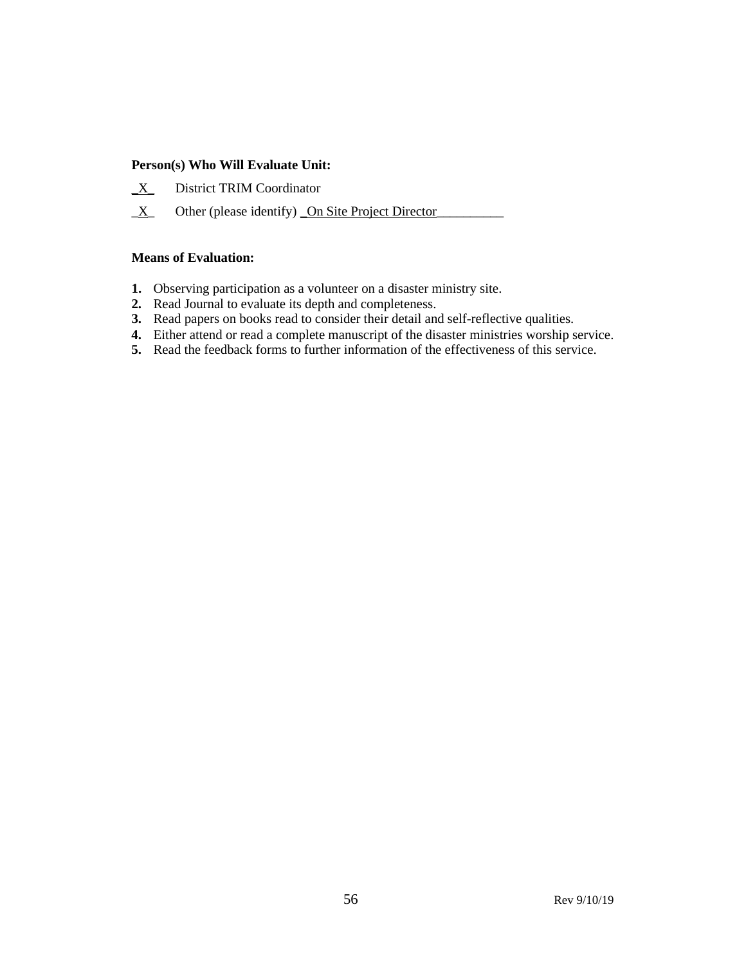#### **Person(s) Who Will Evaluate Unit:**

- **\_**X\_ District TRIM Coordinator
- $\underline{X}$  Other (please identify) On Site Project Director

#### **Means of Evaluation:**

- **1.** Observing participation as a volunteer on a disaster ministry site.
- **2.** Read Journal to evaluate its depth and completeness.
- **3.** Read papers on books read to consider their detail and self-reflective qualities.
- **4.** Either attend or read a complete manuscript of the disaster ministries worship service.
- **5.** Read the feedback forms to further information of the effectiveness of this service.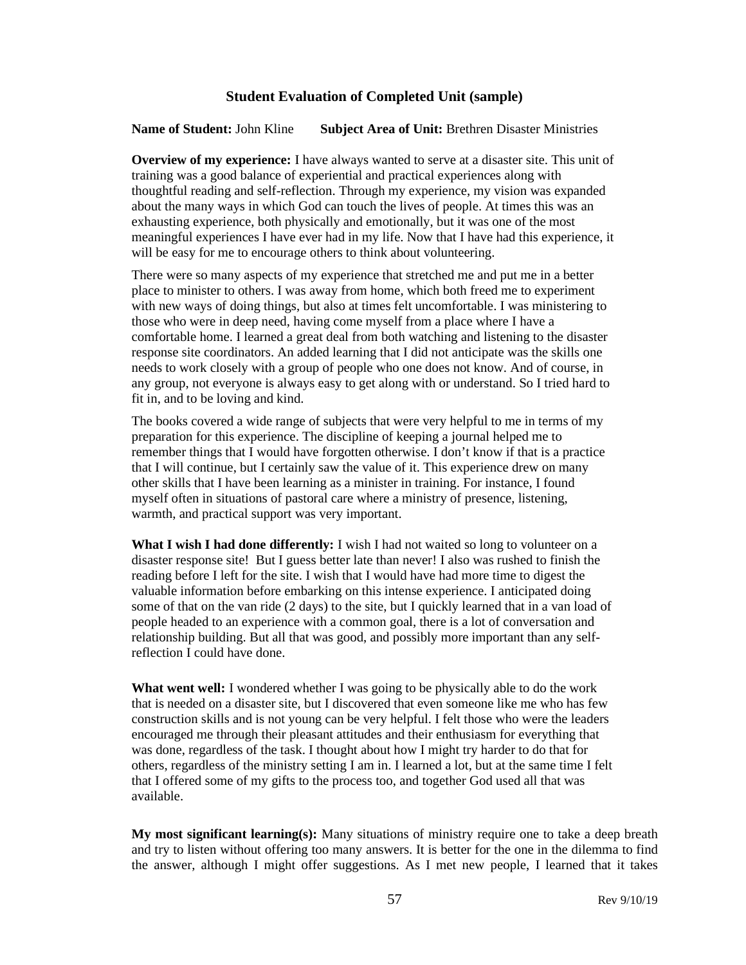#### **Student Evaluation of Completed Unit (sample)**

**Name of Student:** John Kline **Subject Area of Unit:** Brethren Disaster Ministries

**Overview of my experience:** I have always wanted to serve at a disaster site. This unit of training was a good balance of experiential and practical experiences along with thoughtful reading and self-reflection. Through my experience, my vision was expanded about the many ways in which God can touch the lives of people. At times this was an exhausting experience, both physically and emotionally, but it was one of the most meaningful experiences I have ever had in my life. Now that I have had this experience, it will be easy for me to encourage others to think about volunteering.

There were so many aspects of my experience that stretched me and put me in a better place to minister to others. I was away from home, which both freed me to experiment with new ways of doing things, but also at times felt uncomfortable. I was ministering to those who were in deep need, having come myself from a place where I have a comfortable home. I learned a great deal from both watching and listening to the disaster response site coordinators. An added learning that I did not anticipate was the skills one needs to work closely with a group of people who one does not know. And of course, in any group, not everyone is always easy to get along with or understand. So I tried hard to fit in, and to be loving and kind.

The books covered a wide range of subjects that were very helpful to me in terms of my preparation for this experience. The discipline of keeping a journal helped me to remember things that I would have forgotten otherwise. I don't know if that is a practice that I will continue, but I certainly saw the value of it. This experience drew on many other skills that I have been learning as a minister in training. For instance, I found myself often in situations of pastoral care where a ministry of presence, listening, warmth, and practical support was very important.

**What I wish I had done differently:** I wish I had not waited so long to volunteer on a disaster response site! But I guess better late than never! I also was rushed to finish the reading before I left for the site. I wish that I would have had more time to digest the valuable information before embarking on this intense experience. I anticipated doing some of that on the van ride (2 days) to the site, but I quickly learned that in a van load of people headed to an experience with a common goal, there is a lot of conversation and relationship building. But all that was good, and possibly more important than any selfreflection I could have done.

**What went well:** I wondered whether I was going to be physically able to do the work that is needed on a disaster site, but I discovered that even someone like me who has few construction skills and is not young can be very helpful. I felt those who were the leaders encouraged me through their pleasant attitudes and their enthusiasm for everything that was done, regardless of the task. I thought about how I might try harder to do that for others, regardless of the ministry setting I am in. I learned a lot, but at the same time I felt that I offered some of my gifts to the process too, and together God used all that was available.

**My most significant learning(s):** Many situations of ministry require one to take a deep breath and try to listen without offering too many answers. It is better for the one in the dilemma to find the answer, although I might offer suggestions. As I met new people, I learned that it takes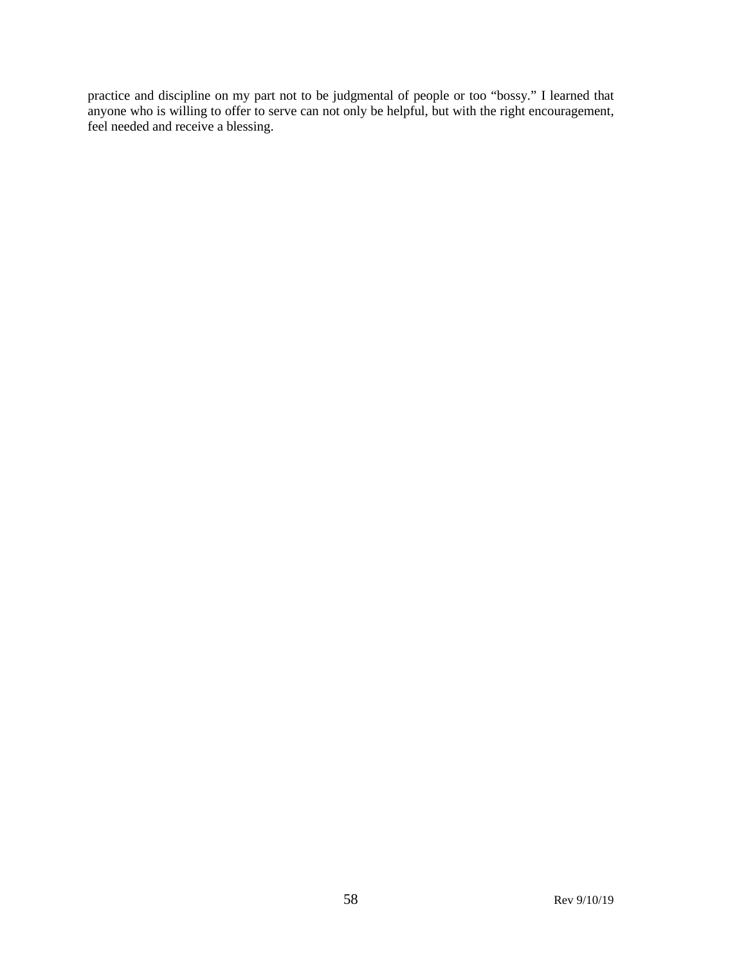practice and discipline on my part not to be judgmental of people or too "bossy." I learned that anyone who is willing to offer to serve can not only be helpful, but with the right encouragement, feel needed and receive a blessing.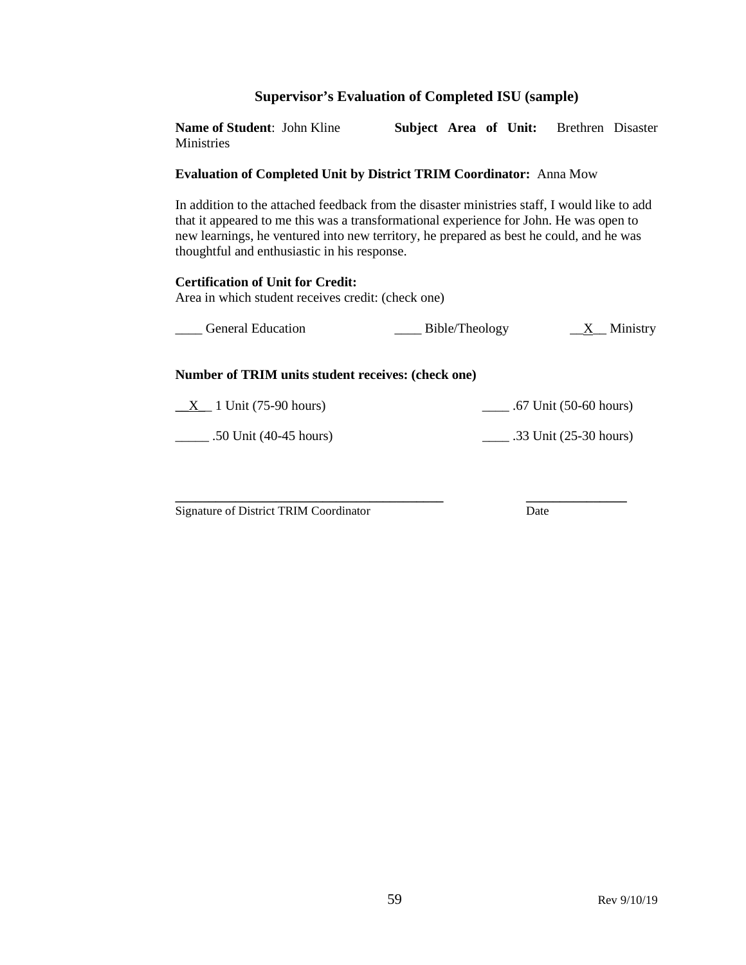#### **Supervisor's Evaluation of Completed ISU (sample)**

**Name of Student**: John Kline **Subject Area of Unit:** Brethren Disaster **Ministries** 

#### **Evaluation of Completed Unit by District TRIM Coordinator:** Anna Mow

In addition to the attached feedback from the disaster ministries staff, I would like to add that it appeared to me this was a transformational experience for John. He was open to new learnings, he ventured into new territory, he prepared as best he could, and he was thoughtful and enthusiastic in his response.

#### **Certification of Unit for Credit:**

Area in which student receives credit: (check one)

| <b>General Education</b> | Bible/Theology | Ministry<br>$\frac{X}{X}$ |
|--------------------------|----------------|---------------------------|
|                          |                |                           |

#### **Number of TRIM units student receives: (check one)**

 $\_X\_$  1 Unit (75-90 hours)  $\_$  .67 Unit (50-60 hours)

\_\_\_\_\_ .50 Unit (40-45 hours) \_\_\_\_ .33 Unit (25-30 hours)

**\_\_\_\_\_\_\_\_\_\_\_\_\_\_\_\_\_\_\_\_\_\_\_\_\_\_\_\_\_\_\_\_\_\_\_\_\_\_\_\_ \_\_\_\_\_\_\_\_\_\_\_\_\_\_\_** Signature of District TRIM Coordinator Date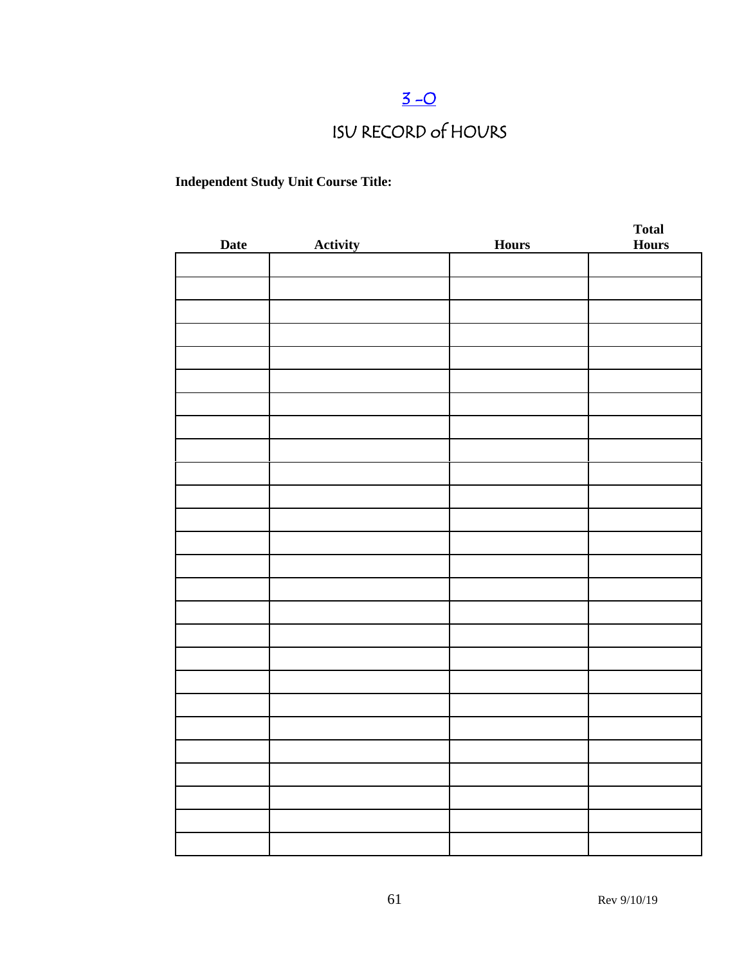# $3 - 0$

# ISU RECORD of HOURS

### **Independent Study Unit Course Title:**

| <b>Date</b> | Activity | <b>Hours</b> | <b>Total</b><br><b>Hours</b> |
|-------------|----------|--------------|------------------------------|
|             |          |              |                              |
|             |          |              |                              |
|             |          |              |                              |
|             |          |              |                              |
|             |          |              |                              |
|             |          |              |                              |
|             |          |              |                              |
|             |          |              |                              |
|             |          |              |                              |
|             |          |              |                              |
|             |          |              |                              |
|             |          |              |                              |
|             |          |              |                              |
|             |          |              |                              |
|             |          |              |                              |
|             |          |              |                              |
|             |          |              |                              |
|             |          |              |                              |
|             |          |              |                              |
|             |          |              |                              |
|             |          |              |                              |
|             |          |              |                              |
|             |          |              |                              |
|             |          |              |                              |
|             |          |              |                              |
|             |          |              |                              |
|             |          |              |                              |
|             |          |              |                              |
|             |          |              |                              |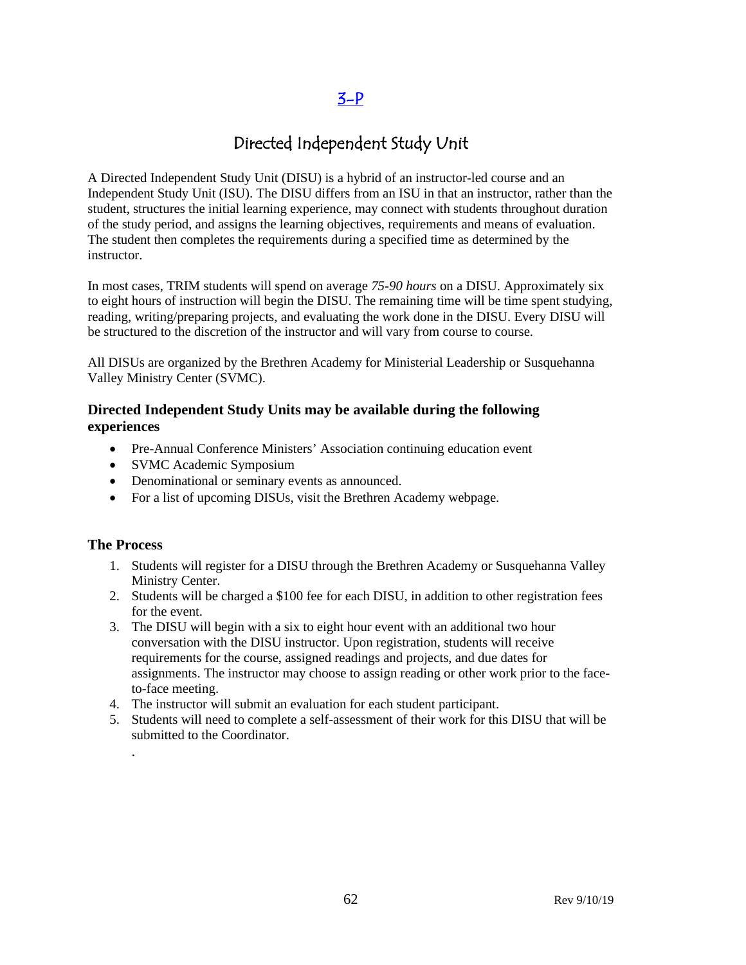### $3-P$

## Directed Independent Study Unit

A Directed Independent Study Unit (DISU) is a hybrid of an instructor-led course and an Independent Study Unit (ISU). The DISU differs from an ISU in that an instructor, rather than the student, structures the initial learning experience, may connect with students throughout duration of the study period, and assigns the learning objectives, requirements and means of evaluation. The student then completes the requirements during a specified time as determined by the instructor.

In most cases, TRIM students will spend on average *75-90 hours* on a DISU. Approximately six to eight hours of instruction will begin the DISU. The remaining time will be time spent studying, reading, writing/preparing projects, and evaluating the work done in the DISU. Every DISU will be structured to the discretion of the instructor and will vary from course to course.

All DISUs are organized by the Brethren Academy for Ministerial Leadership or Susquehanna Valley Ministry Center (SVMC).

#### **Directed Independent Study Units may be available during the following experiences**

- Pre-Annual Conference Ministers' Association continuing education event
- SVMC Academic Symposium
- Denominational or seminary events as announced.
- For a list of upcoming DISUs, visit the Brethren Academy webpage.

#### **The Process**

.

- 1. Students will register for a DISU through the Brethren Academy or Susquehanna Valley Ministry Center.
- 2. Students will be charged a \$100 fee for each DISU, in addition to other registration fees for the event.
- 3. The DISU will begin with a six to eight hour event with an additional two hour conversation with the DISU instructor. Upon registration, students will receive requirements for the course, assigned readings and projects, and due dates for assignments. The instructor may choose to assign reading or other work prior to the faceto-face meeting.
- 4. The instructor will submit an evaluation for each student participant.
- 5. Students will need to complete a self-assessment of their work for this DISU that will be submitted to the Coordinator.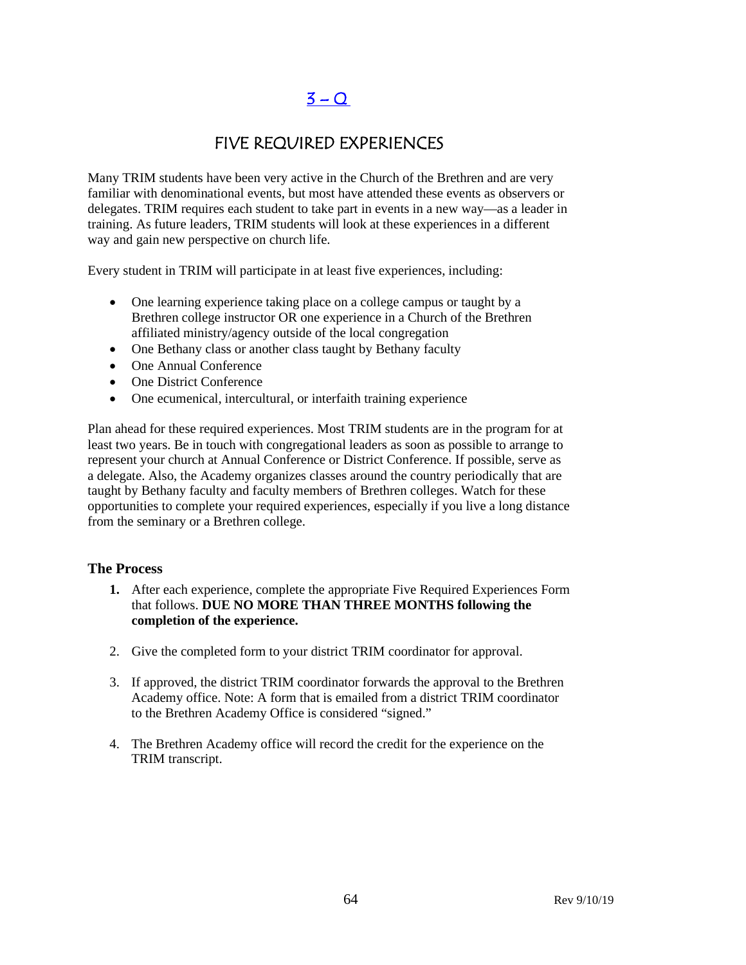# $3 - Q$

# FIVE REQUIRED EXPERIENCES

Many TRIM students have been very active in the Church of the Brethren and are very familiar with denominational events, but most have attended these events as observers or delegates. TRIM requires each student to take part in events in a new way—as a leader in training. As future leaders, TRIM students will look at these experiences in a different way and gain new perspective on church life.

Every student in TRIM will participate in at least five experiences, including:

- One learning experience taking place on a college campus or taught by a Brethren college instructor OR one experience in a Church of the Brethren affiliated ministry/agency outside of the local congregation
- One Bethany class or another class taught by Bethany faculty
- One Annual Conference
- One District Conference
- One ecumenical, intercultural, or interfaith training experience

Plan ahead for these required experiences. Most TRIM students are in the program for at least two years. Be in touch with congregational leaders as soon as possible to arrange to represent your church at Annual Conference or District Conference. If possible, serve as a delegate. Also, the Academy organizes classes around the country periodically that are taught by Bethany faculty and faculty members of Brethren colleges. Watch for these opportunities to complete your required experiences, especially if you live a long distance from the seminary or a Brethren college.

#### **The Process**

- **1.** After each experience, complete the appropriate Five Required Experiences Form that follows. **DUE NO MORE THAN THREE MONTHS following the completion of the experience.**
- 2. Give the completed form to your district TRIM coordinator for approval.
- 3. If approved, the district TRIM coordinator forwards the approval to the Brethren Academy office. Note: A form that is emailed from a district TRIM coordinator to the Brethren Academy Office is considered "signed."
- 4. The Brethren Academy office will record the credit for the experience on the TRIM transcript.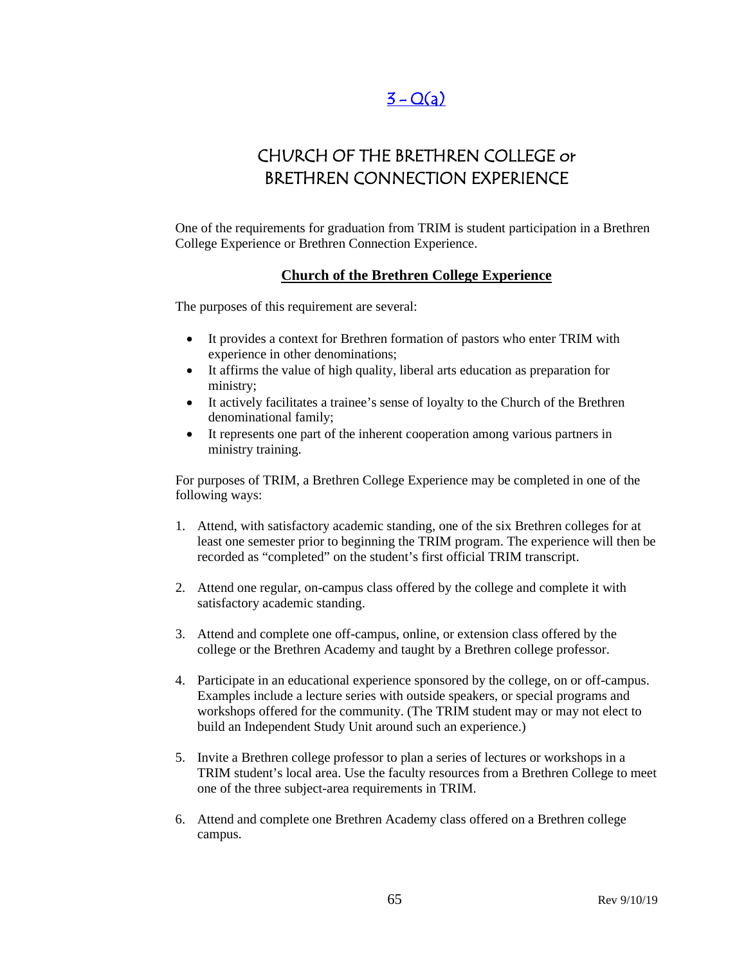# $3 - Q(a)$

# CHURCH OF THE BRETHREN COLLEGE or BRETHREN CONNECTION EXPERIENCE

One of the requirements for graduation from TRIM is student participation in a Brethren College Experience or Brethren Connection Experience.

#### **Church of the Brethren College Experience**

The purposes of this requirement are several:

- It provides a context for Brethren formation of pastors who enter TRIM with experience in other denominations;
- It affirms the value of high quality, liberal arts education as preparation for ministry;
- It actively facilitates a trainee's sense of loyalty to the Church of the Brethren denominational family;
- It represents one part of the inherent cooperation among various partners in ministry training.

For purposes of TRIM, a Brethren College Experience may be completed in one of the following ways:

- 1. Attend, with satisfactory academic standing, one of the six Brethren colleges for at least one semester prior to beginning the TRIM program. The experience will then be recorded as "completed" on the student's first official TRIM transcript.
- 2. Attend one regular, on-campus class offered by the college and complete it with satisfactory academic standing.
- 3. Attend and complete one off-campus, online, or extension class offered by the college or the Brethren Academy and taught by a Brethren college professor.
- 4. Participate in an educational experience sponsored by the college, on or off-campus. Examples include a lecture series with outside speakers, or special programs and workshops offered for the community. (The TRIM student may or may not elect to build an Independent Study Unit around such an experience.)
- 5. Invite a Brethren college professor to plan a series of lectures or workshops in a TRIM student's local area. Use the faculty resources from a Brethren College to meet one of the three subject-area requirements in TRIM.
- 6. Attend and complete one Brethren Academy class offered on a Brethren college campus.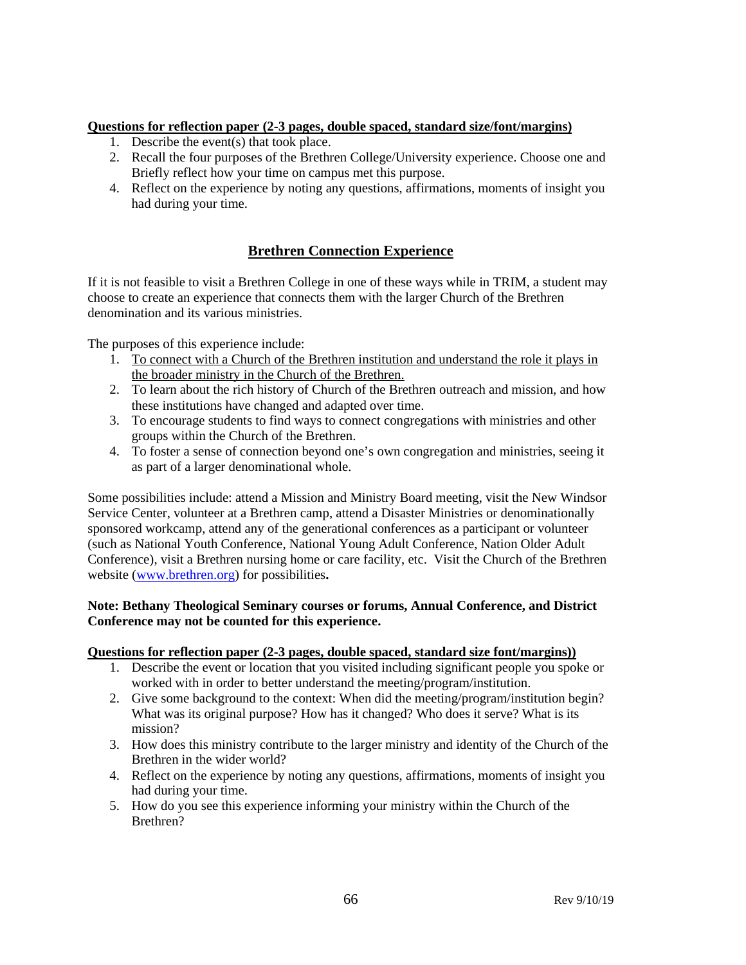#### **Questions for reflection paper (2-3 pages, double spaced, standard size/font/margins)**

- 1. Describe the event(s) that took place.
- 2. Recall the four purposes of the Brethren College/University experience. Choose one and Briefly reflect how your time on campus met this purpose.
- 4. Reflect on the experience by noting any questions, affirmations, moments of insight you had during your time.

### **Brethren Connection Experience**

If it is not feasible to visit a Brethren College in one of these ways while in TRIM, a student may choose to create an experience that connects them with the larger Church of the Brethren denomination and its various ministries.

The purposes of this experience include:

- 1. To connect with a Church of the Brethren institution and understand the role it plays in the broader ministry in the Church of the Brethren.
- 2. To learn about the rich history of Church of the Brethren outreach and mission, and how these institutions have changed and adapted over time.
- 3. To encourage students to find ways to connect congregations with ministries and other groups within the Church of the Brethren.
- 4. To foster a sense of connection beyond one's own congregation and ministries, seeing it as part of a larger denominational whole.

Some possibilities include: attend a Mission and Ministry Board meeting, visit the New Windsor Service Center, volunteer at a Brethren camp, attend a Disaster Ministries or denominationally sponsored workcamp, attend any of the generational conferences as a participant or volunteer (such as National Youth Conference, National Young Adult Conference, Nation Older Adult Conference), visit a Brethren nursing home or care facility, etc. Visit the Church of the Brethren website [\(www.brethren.org\)](http://www.brethren.org/) for possibilities**.** 

#### **Note: Bethany Theological Seminary courses or forums, Annual Conference, and District Conference may not be counted for this experience.**

#### **Questions for reflection paper (2-3 pages, double spaced, standard size font/margins))**

- 1. Describe the event or location that you visited including significant people you spoke or worked with in order to better understand the meeting/program/institution.
- 2. Give some background to the context: When did the meeting/program/institution begin? What was its original purpose? How has it changed? Who does it serve? What is its mission?
- 3. How does this ministry contribute to the larger ministry and identity of the Church of the Brethren in the wider world?
- 4. Reflect on the experience by noting any questions, affirmations, moments of insight you had during your time.
- 5. How do you see this experience informing your ministry within the Church of the Brethren?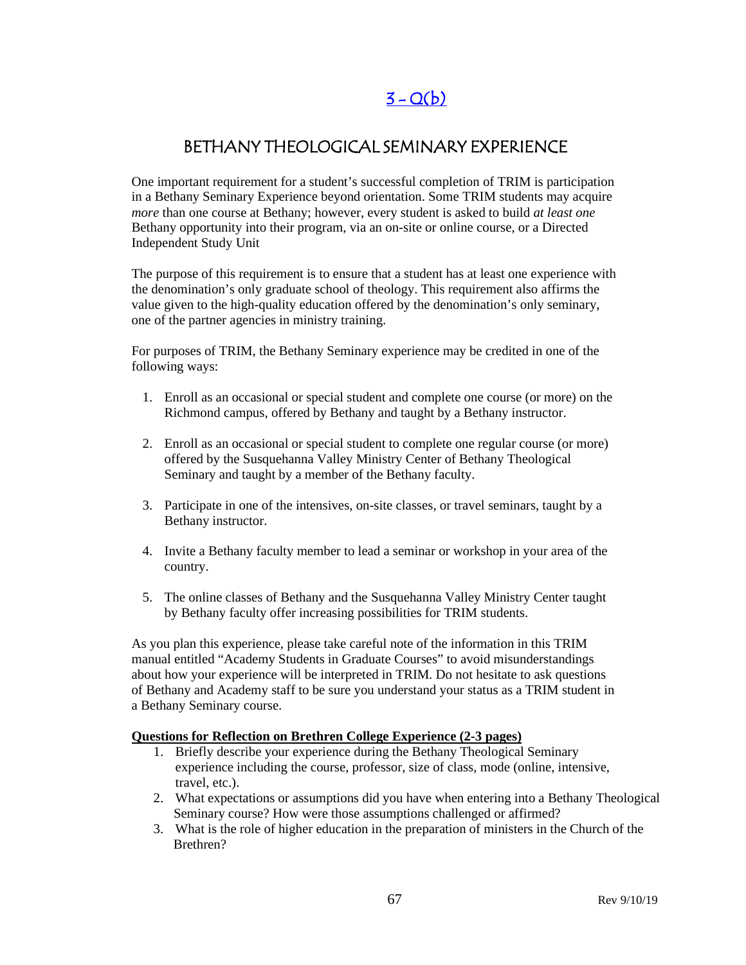# $3 - Q(b)$

# BETHANY THEOLOGICAL SEMINARY EXPERIENCE

One important requirement for a student's successful completion of TRIM is participation in a Bethany Seminary Experience beyond orientation. Some TRIM students may acquire *more* than one course at Bethany; however, every student is asked to build *at least one* Bethany opportunity into their program, via an on-site or online course, or a Directed Independent Study Unit

The purpose of this requirement is to ensure that a student has at least one experience with the denomination's only graduate school of theology. This requirement also affirms the value given to the high-quality education offered by the denomination's only seminary, one of the partner agencies in ministry training.

For purposes of TRIM, the Bethany Seminary experience may be credited in one of the following ways:

- 1. Enroll as an occasional or special student and complete one course (or more) on the Richmond campus, offered by Bethany and taught by a Bethany instructor.
- 2. Enroll as an occasional or special student to complete one regular course (or more) offered by the Susquehanna Valley Ministry Center of Bethany Theological Seminary and taught by a member of the Bethany faculty.
- 3. Participate in one of the intensives, on-site classes, or travel seminars, taught by a Bethany instructor.
- 4. Invite a Bethany faculty member to lead a seminar or workshop in your area of the country.
- 5. The online classes of Bethany and the Susquehanna Valley Ministry Center taught by Bethany faculty offer increasing possibilities for TRIM students.

As you plan this experience, please take careful note of the information in this TRIM manual entitled "Academy Students in Graduate Courses" to avoid misunderstandings about how your experience will be interpreted in TRIM. Do not hesitate to ask questions of Bethany and Academy staff to be sure you understand your status as a TRIM student in a Bethany Seminary course.

#### **Questions for Reflection on Brethren College Experience (2-3 pages)**

- 1. Briefly describe your experience during the Bethany Theological Seminary experience including the course, professor, size of class, mode (online, intensive, travel, etc.).
- 2. What expectations or assumptions did you have when entering into a Bethany Theological Seminary course? How were those assumptions challenged or affirmed?
- 3. What is the role of higher education in the preparation of ministers in the Church of the Brethren?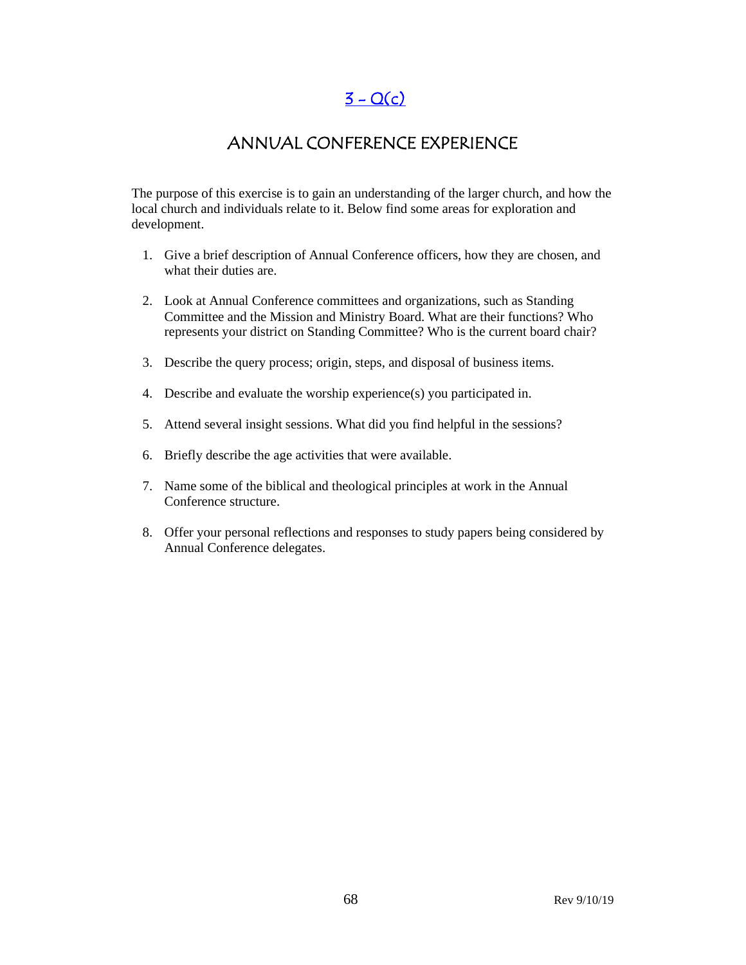$3 - Q(c)$ 

### ANNUAL CONFERENCE EXPERIENCE

The purpose of this exercise is to gain an understanding of the larger church, and how the local church and individuals relate to it. Below find some areas for exploration and development.

- 1. Give a brief description of Annual Conference officers, how they are chosen, and what their duties are.
- 2. Look at Annual Conference committees and organizations, such as Standing Committee and the Mission and Ministry Board. What are their functions? Who represents your district on Standing Committee? Who is the current board chair?
- 3. Describe the query process; origin, steps, and disposal of business items.
- 4. Describe and evaluate the worship experience(s) you participated in.
- 5. Attend several insight sessions. What did you find helpful in the sessions?
- 6. Briefly describe the age activities that were available.
- 7. Name some of the biblical and theological principles at work in the Annual Conference structure.
- 8. Offer your personal reflections and responses to study papers being considered by Annual Conference delegates.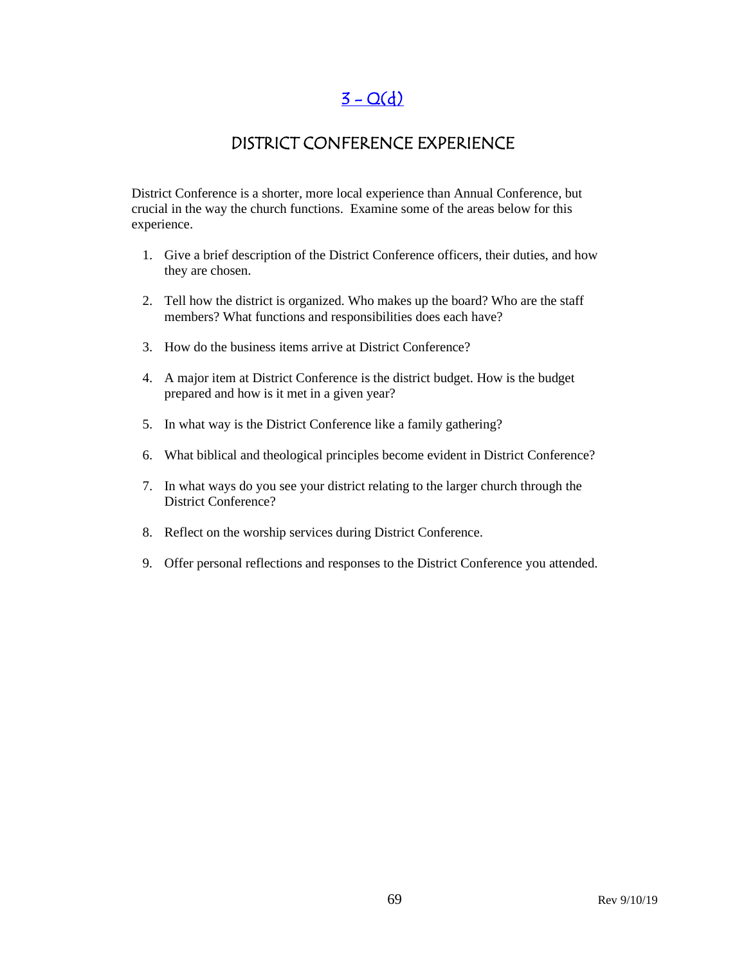# $3 - Q(d)$

### DISTRICT CONFERENCE EXPERIENCE

District Conference is a shorter, more local experience than Annual Conference, but crucial in the way the church functions. Examine some of the areas below for this experience.

- 1. Give a brief description of the District Conference officers, their duties, and how they are chosen.
- 2. Tell how the district is organized. Who makes up the board? Who are the staff members? What functions and responsibilities does each have?
- 3. How do the business items arrive at District Conference?
- 4. A major item at District Conference is the district budget. How is the budget prepared and how is it met in a given year?
- 5. In what way is the District Conference like a family gathering?
- 6. What biblical and theological principles become evident in District Conference?
- 7. In what ways do you see your district relating to the larger church through the District Conference?
- 8. Reflect on the worship services during District Conference.
- 9. Offer personal reflections and responses to the District Conference you attended.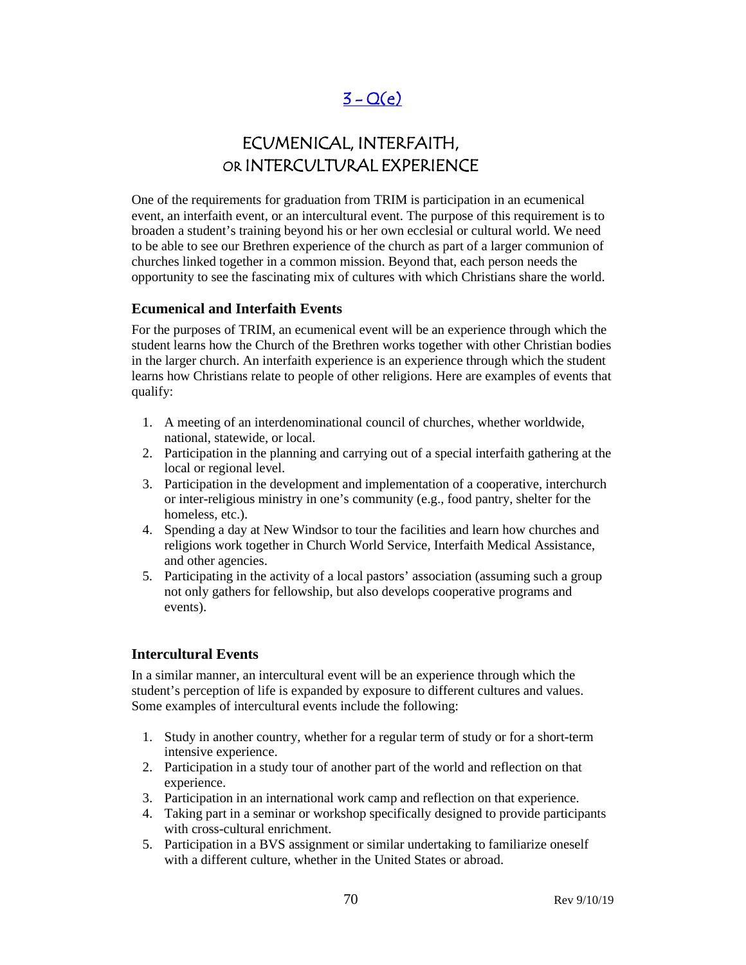# $3 - Q(e)$

# ECUMENICAL, INTERFAITH, OR INTERCULTURAL EXPERIENCE

One of the requirements for graduation from TRIM is participation in an ecumenical event, an interfaith event, or an intercultural event. The purpose of this requirement is to broaden a student's training beyond his or her own ecclesial or cultural world. We need to be able to see our Brethren experience of the church as part of a larger communion of churches linked together in a common mission. Beyond that, each person needs the opportunity to see the fascinating mix of cultures with which Christians share the world.

#### **Ecumenical and Interfaith Events**

For the purposes of TRIM, an ecumenical event will be an experience through which the student learns how the Church of the Brethren works together with other Christian bodies in the larger church. An interfaith experience is an experience through which the student learns how Christians relate to people of other religions. Here are examples of events that qualify:

- 1. A meeting of an interdenominational council of churches, whether worldwide, national, statewide, or local.
- 2. Participation in the planning and carrying out of a special interfaith gathering at the local or regional level.
- 3. Participation in the development and implementation of a cooperative, interchurch or inter-religious ministry in one's community (e.g., food pantry, shelter for the homeless, etc.).
- 4. Spending a day at New Windsor to tour the facilities and learn how churches and religions work together in Church World Service, Interfaith Medical Assistance, and other agencies.
- 5. Participating in the activity of a local pastors' association (assuming such a group not only gathers for fellowship, but also develops cooperative programs and events).

#### **Intercultural Events**

In a similar manner, an intercultural event will be an experience through which the student's perception of life is expanded by exposure to different cultures and values. Some examples of intercultural events include the following:

- 1. Study in another country, whether for a regular term of study or for a short-term intensive experience.
- 2. Participation in a study tour of another part of the world and reflection on that experience.
- 3. Participation in an international work camp and reflection on that experience.
- 4. Taking part in a seminar or workshop specifically designed to provide participants with cross-cultural enrichment.
- 5. Participation in a BVS assignment or similar undertaking to familiarize oneself with a different culture, whether in the United States or abroad.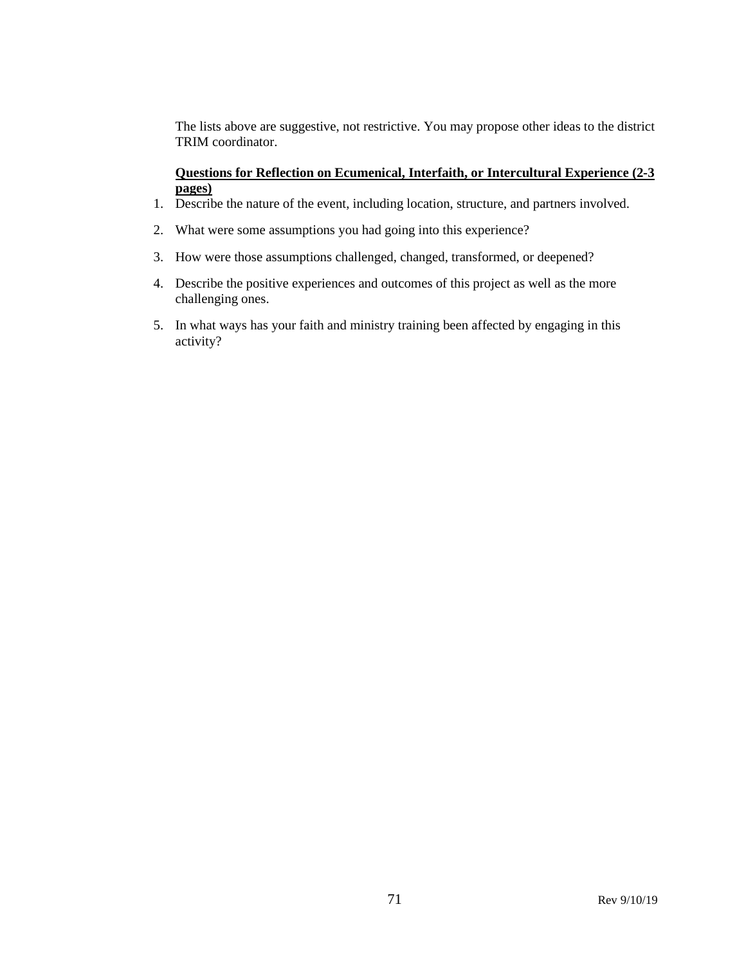The lists above are suggestive, not restrictive. You may propose other ideas to the district TRIM coordinator.

#### **Questions for Reflection on Ecumenical, Interfaith, or Intercultural Experience (2-3 pages)**

- 1. Describe the nature of the event, including location, structure, and partners involved.
- 2. What were some assumptions you had going into this experience?
- 3. How were those assumptions challenged, changed, transformed, or deepened?
- 4. Describe the positive experiences and outcomes of this project as well as the more challenging ones.
- 5. In what ways has your faith and ministry training been affected by engaging in this activity?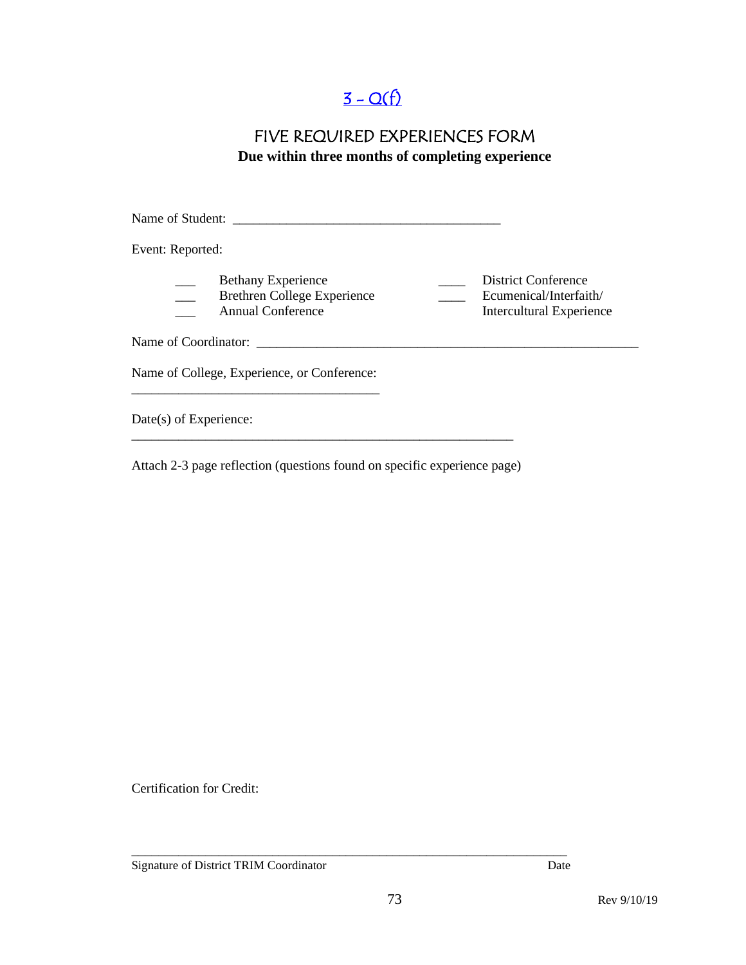# $3 - Q(f)$

### FIVE REQUIRED EXPERIENCES FORM **Due within three months of completing experience**

Name of Student: \_\_\_\_\_\_\_\_\_\_\_\_\_\_\_\_\_\_\_\_\_\_\_\_\_\_\_\_\_\_\_\_\_\_\_\_\_\_\_\_ Event: Reported: Bethany Experience<br>Brethren College Experience<br>Ecumenical/Interfaith/ \_\_\_ Brethren College Experience \_\_\_\_ Ecumenical/Interfaith/ \_\_\_ Annual Conference Intercultural Experience Name of Coordinator: \_\_\_\_\_\_\_\_\_\_\_\_\_\_\_\_\_\_\_\_\_\_\_\_\_\_\_\_\_\_\_\_\_\_\_\_\_\_\_\_\_\_\_\_\_\_\_\_\_\_\_\_\_\_\_\_\_ Name of College, Experience, or Conference: \_\_\_\_\_\_\_\_\_\_\_\_\_\_\_\_\_\_\_\_\_\_\_\_\_\_\_\_\_\_\_\_\_\_\_\_\_ Date(s) of Experience: \_\_\_\_\_\_\_\_\_\_\_\_\_\_\_\_\_\_\_\_\_\_\_\_\_\_\_\_\_\_\_\_\_\_\_\_\_\_\_\_\_\_\_\_\_\_\_\_\_\_\_\_\_\_\_\_\_

Attach 2-3 page reflection (questions found on specific experience page)

Certification for Credit:

Signature of District TRIM Coordinator Date

\_\_\_\_\_\_\_\_\_\_\_\_\_\_\_\_\_\_\_\_\_\_\_\_\_\_\_\_\_\_\_\_\_\_\_\_\_\_\_\_\_\_\_\_\_\_\_\_\_\_\_\_\_\_\_\_\_\_\_\_\_\_\_\_\_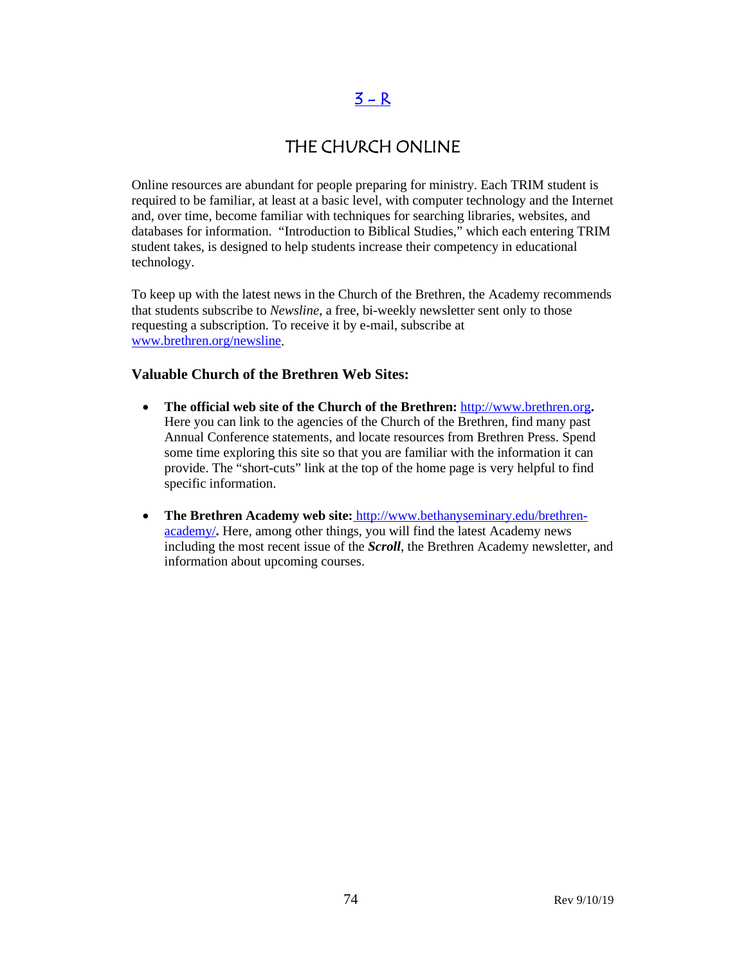### $3 - R$

### THE CHURCH ONLINE

Online resources are abundant for people preparing for ministry. Each TRIM student is required to be familiar, at least at a basic level, with computer technology and the Internet and, over time, become familiar with techniques for searching libraries, websites, and databases for information. "Introduction to Biblical Studies," which each entering TRIM student takes, is designed to help students increase their competency in educational technology.

To keep up with the latest news in the Church of the Brethren, the Academy recommends that students subscribe to *Newsline*, a free, bi-weekly newsletter sent only to those requesting a subscription. To receive it by e-mail, subscribe at [www.brethren.org/newsline.](http://www.brethren.org/newsline)

#### **Valuable Church of the Brethren Web Sites:**

- **The official web site of the Church of the Brethren:** [http://www.brethren.org](http://www.brethren.org/)**.** Here you can link to the agencies of the Church of the Brethren, find many past Annual Conference statements, and locate resources from Brethren Press. Spend some time exploring this site so that you are familiar with the information it can provide. The "short-cuts" link at the top of the home page is very helpful to find specific information.
- **The Brethren Academy web site:** [http://www.bethanyseminary.edu/brethren](http://www.bethanyseminary.edu/brethren-academy/)[academy/](http://www.bethanyseminary.edu/brethren-academy/)**.** Here, among other things, you will find the latest Academy news including the most recent issue of the *Scroll*, the Brethren Academy newsletter, and information about upcoming courses.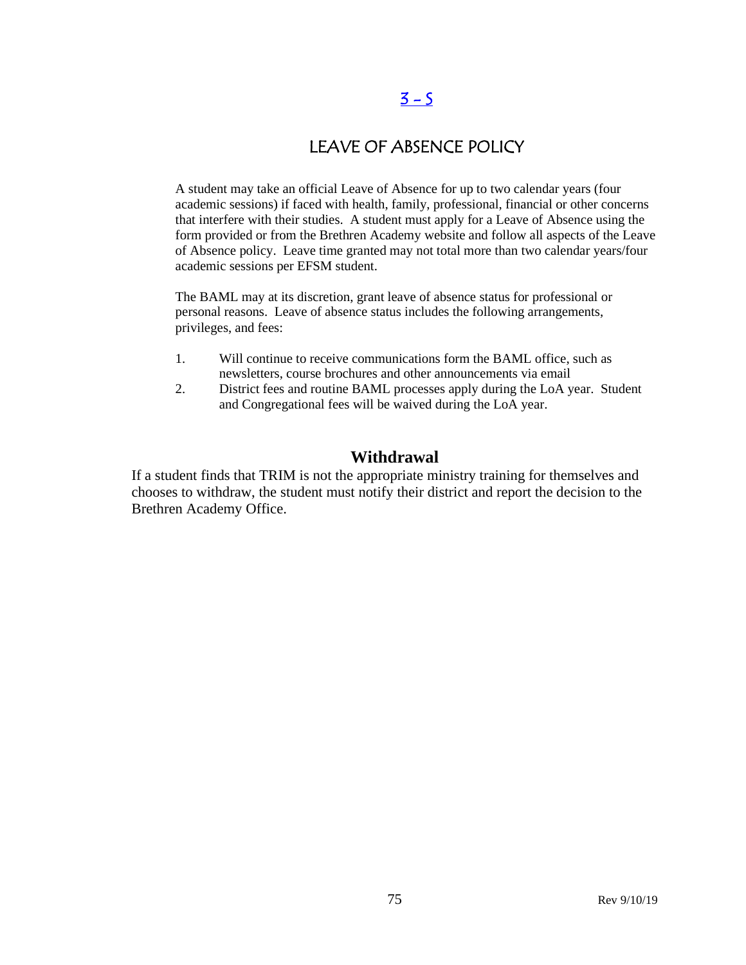## $3 - 5$

## LEAVE OF ABSENCE POLICY

A student may take an official Leave of Absence for up to two calendar years (four academic sessions) if faced with health, family, professional, financial or other concerns that interfere with their studies. A student must apply for a Leave of Absence using the form provided or from the Brethren Academy website and follow all aspects of the Leave of Absence policy. Leave time granted may not total more than two calendar years/four academic sessions per EFSM student.

The BAML may at its discretion, grant leave of absence status for professional or personal reasons. Leave of absence status includes the following arrangements, privileges, and fees:

- 1. Will continue to receive communications form the BAML office, such as newsletters, course brochures and other announcements via email
- 2. District fees and routine BAML processes apply during the LoA year. Student and Congregational fees will be waived during the LoA year.

### **Withdrawal**

If a student finds that TRIM is not the appropriate ministry training for themselves and chooses to withdraw, the student must notify their district and report the decision to the Brethren Academy Office.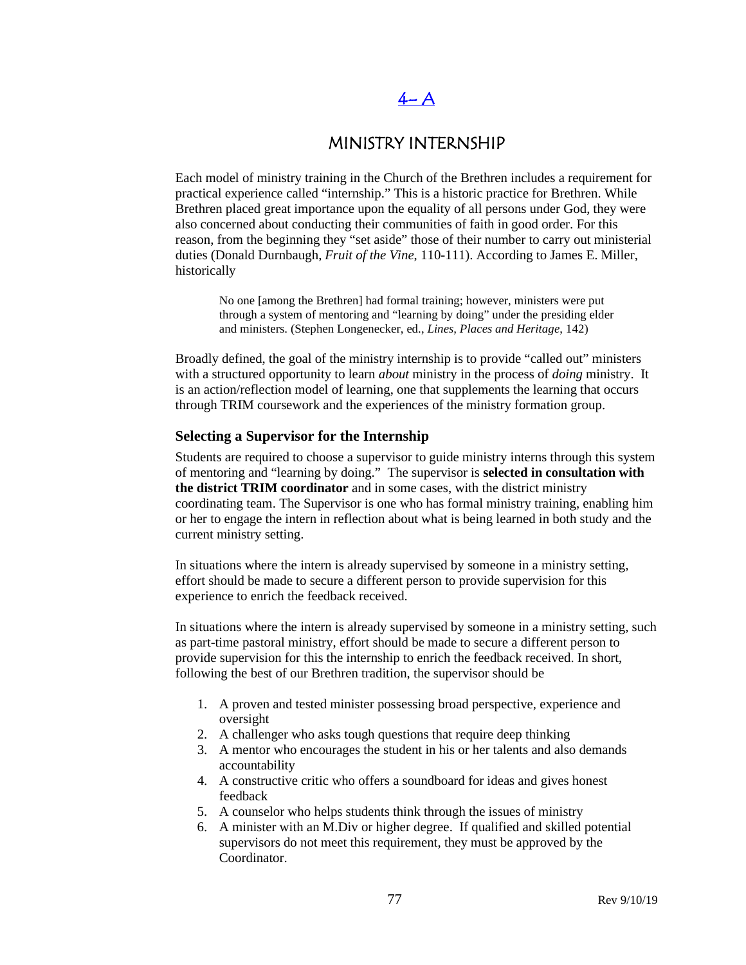# $4-A$

### MINISTRY INTERNSHIP

Each model of ministry training in the Church of the Brethren includes a requirement for practical experience called "internship." This is a historic practice for Brethren. While Brethren placed great importance upon the equality of all persons under God, they were also concerned about conducting their communities of faith in good order. For this reason, from the beginning they "set aside" those of their number to carry out ministerial duties (Donald Durnbaugh, *Fruit of the Vine*, 110-111). According to James E. Miller, historically

No one [among the Brethren] had formal training; however, ministers were put through a system of mentoring and "learning by doing" under the presiding elder and ministers. (Stephen Longenecker, ed., *Lines, Places and Heritage*, 142)

Broadly defined, the goal of the ministry internship is to provide "called out" ministers with a structured opportunity to learn *about* ministry in the process of *doing* ministry. It is an action/reflection model of learning, one that supplements the learning that occurs through TRIM coursework and the experiences of the ministry formation group.

#### **Selecting a Supervisor for the Internship**

Students are required to choose a supervisor to guide ministry interns through this system of mentoring and "learning by doing." The supervisor is **selected in consultation with the district TRIM coordinator** and in some cases, with the district ministry coordinating team. The Supervisor is one who has formal ministry training, enabling him or her to engage the intern in reflection about what is being learned in both study and the current ministry setting.

In situations where the intern is already supervised by someone in a ministry setting, effort should be made to secure a different person to provide supervision for this experience to enrich the feedback received.

In situations where the intern is already supervised by someone in a ministry setting, such as part-time pastoral ministry, effort should be made to secure a different person to provide supervision for this the internship to enrich the feedback received. In short, following the best of our Brethren tradition, the supervisor should be

- 1. A proven and tested minister possessing broad perspective, experience and oversight
- 2. A challenger who asks tough questions that require deep thinking
- 3. A mentor who encourages the student in his or her talents and also demands accountability
- 4. A constructive critic who offers a soundboard for ideas and gives honest feedback
- 5. A counselor who helps students think through the issues of ministry
- 6. A minister with an M.Div or higher degree. If qualified and skilled potential supervisors do not meet this requirement, they must be approved by the Coordinator.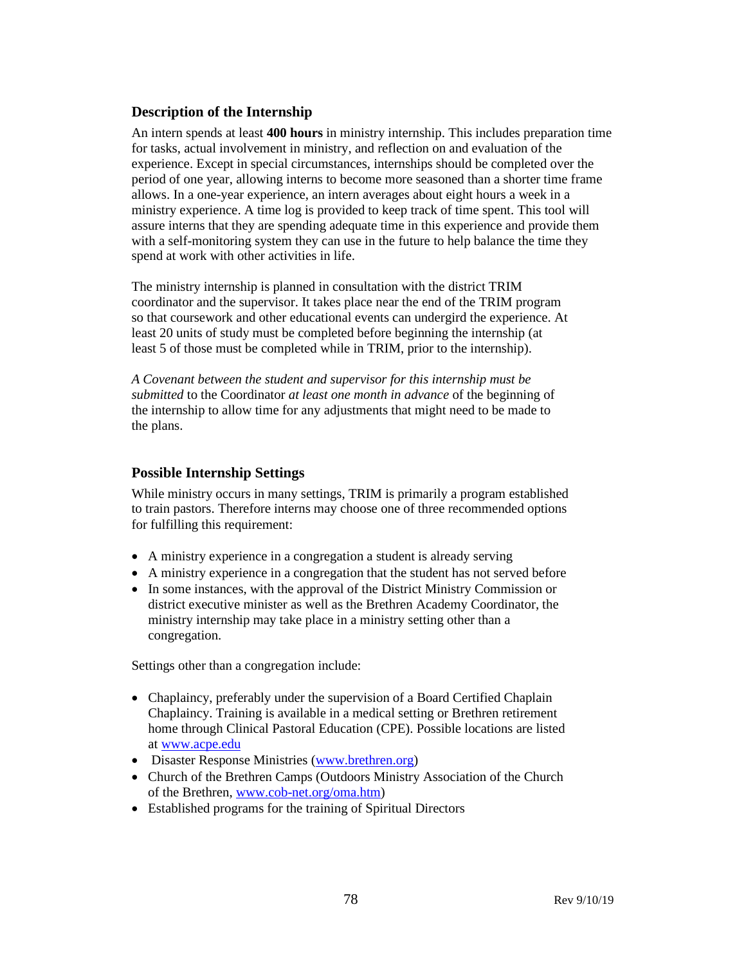#### **Description of the Internship**

An intern spends at least **400 hours** in ministry internship. This includes preparation time for tasks, actual involvement in ministry, and reflection on and evaluation of the experience. Except in special circumstances, internships should be completed over the period of one year, allowing interns to become more seasoned than a shorter time frame allows. In a one-year experience, an intern averages about eight hours a week in a ministry experience. A time log is provided to keep track of time spent. This tool will assure interns that they are spending adequate time in this experience and provide them with a self-monitoring system they can use in the future to help balance the time they spend at work with other activities in life.

The ministry internship is planned in consultation with the district TRIM coordinator and the supervisor. It takes place near the end of the TRIM program so that coursework and other educational events can undergird the experience. At least 20 units of study must be completed before beginning the internship (at least 5 of those must be completed while in TRIM, prior to the internship).

*A Covenant between the student and supervisor for this internship must be submitted* to the Coordinator *at least one month in advance* of the beginning of the internship to allow time for any adjustments that might need to be made to the plans.

#### **Possible Internship Settings**

While ministry occurs in many settings, TRIM is primarily a program established to train pastors. Therefore interns may choose one of three recommended options for fulfilling this requirement:

- A ministry experience in a congregation a student is already serving
- A ministry experience in a congregation that the student has not served before
- In some instances, with the approval of the District Ministry Commission or district executive minister as well as the Brethren Academy Coordinator, the ministry internship may take place in a ministry setting other than a congregation.

Settings other than a congregation include:

- Chaplaincy, preferably under the supervision of a Board Certified Chaplain Chaplaincy. Training is available in a medical setting or Brethren retirement home through Clinical Pastoral Education (CPE). Possible locations are listed at [www.acpe.edu](http://www.acpe.edu/)
- Disaster Response Ministries [\(www.brethren.org\)](http://www.brethren.org/)
- Church of the Brethren Camps (Outdoors Ministry Association of the Church of the Brethren[, www.cob-net.org/oma.htm\)](http://www.cob-net.org/oma.htm)
- Established programs for the training of Spiritual Directors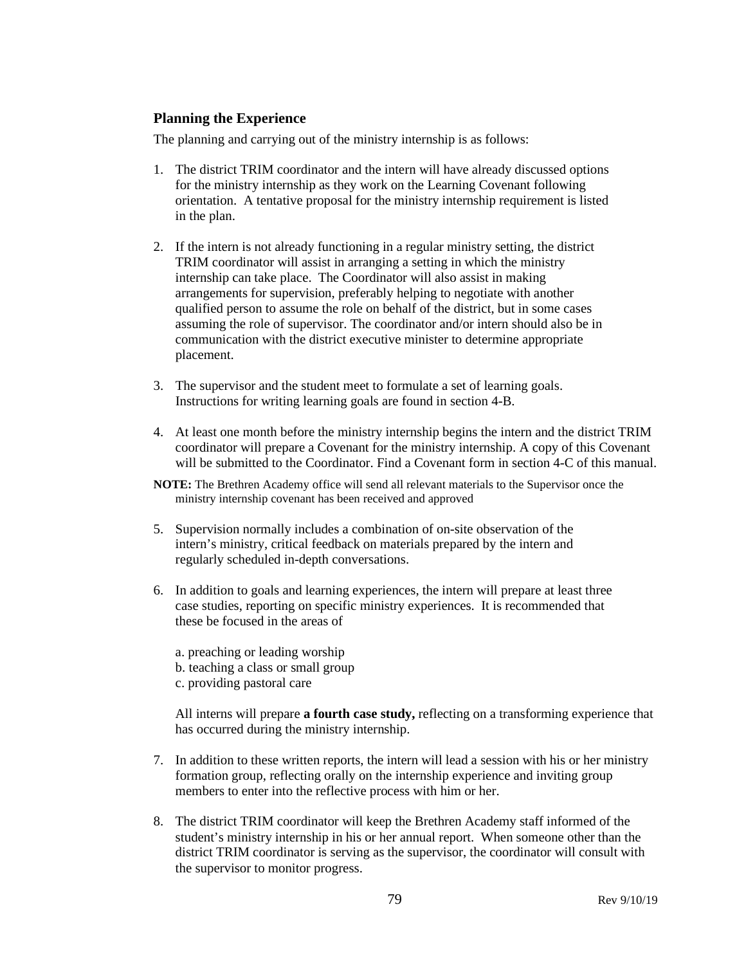#### **Planning the Experience**

The planning and carrying out of the ministry internship is as follows:

- 1. The district TRIM coordinator and the intern will have already discussed options for the ministry internship as they work on the Learning Covenant following orientation. A tentative proposal for the ministry internship requirement is listed in the plan.
- 2. If the intern is not already functioning in a regular ministry setting, the district TRIM coordinator will assist in arranging a setting in which the ministry internship can take place. The Coordinator will also assist in making arrangements for supervision, preferably helping to negotiate with another qualified person to assume the role on behalf of the district, but in some cases assuming the role of supervisor. The coordinator and/or intern should also be in communication with the district executive minister to determine appropriate placement.
- 3. The supervisor and the student meet to formulate a set of learning goals. Instructions for writing learning goals are found in section 4-B.
- 4. At least one month before the ministry internship begins the intern and the district TRIM coordinator will prepare a Covenant for the ministry internship. A copy of this Covenant will be submitted to the Coordinator. Find a Covenant form in section 4-C of this manual.
- **NOTE:** The Brethren Academy office will send all relevant materials to the Supervisor once the ministry internship covenant has been received and approved
- 5. Supervision normally includes a combination of on-site observation of the intern's ministry, critical feedback on materials prepared by the intern and regularly scheduled in-depth conversations.
- 6. In addition to goals and learning experiences, the intern will prepare at least three case studies, reporting on specific ministry experiences. It is recommended that these be focused in the areas of
	- a. preaching or leading worship b. teaching a class or small group
	- c. providing pastoral care

All interns will prepare **a fourth case study,** reflecting on a transforming experience that has occurred during the ministry internship.

- 7. In addition to these written reports, the intern will lead a session with his or her ministry formation group, reflecting orally on the internship experience and inviting group members to enter into the reflective process with him or her.
- 8. The district TRIM coordinator will keep the Brethren Academy staff informed of the student's ministry internship in his or her annual report. When someone other than the district TRIM coordinator is serving as the supervisor, the coordinator will consult with the supervisor to monitor progress.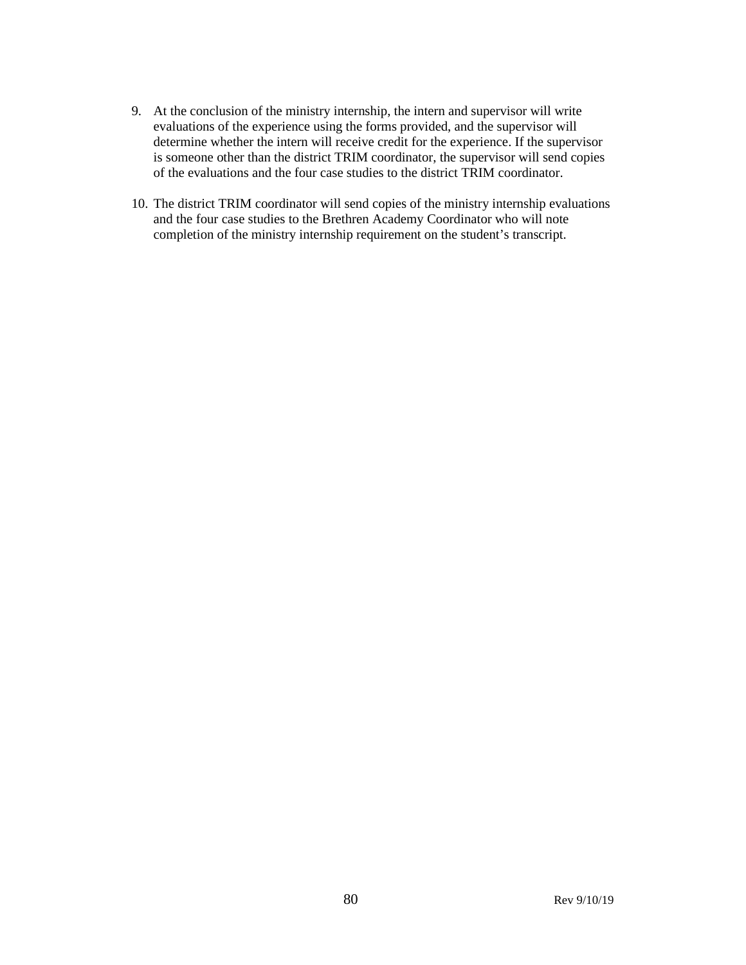- 9. At the conclusion of the ministry internship, the intern and supervisor will write evaluations of the experience using the forms provided, and the supervisor will determine whether the intern will receive credit for the experience. If the supervisor is someone other than the district TRIM coordinator, the supervisor will send copies of the evaluations and the four case studies to the district TRIM coordinator.
- 10. The district TRIM coordinator will send copies of the ministry internship evaluations and the four case studies to the Brethren Academy Coordinator who will note completion of the ministry internship requirement on the student's transcript.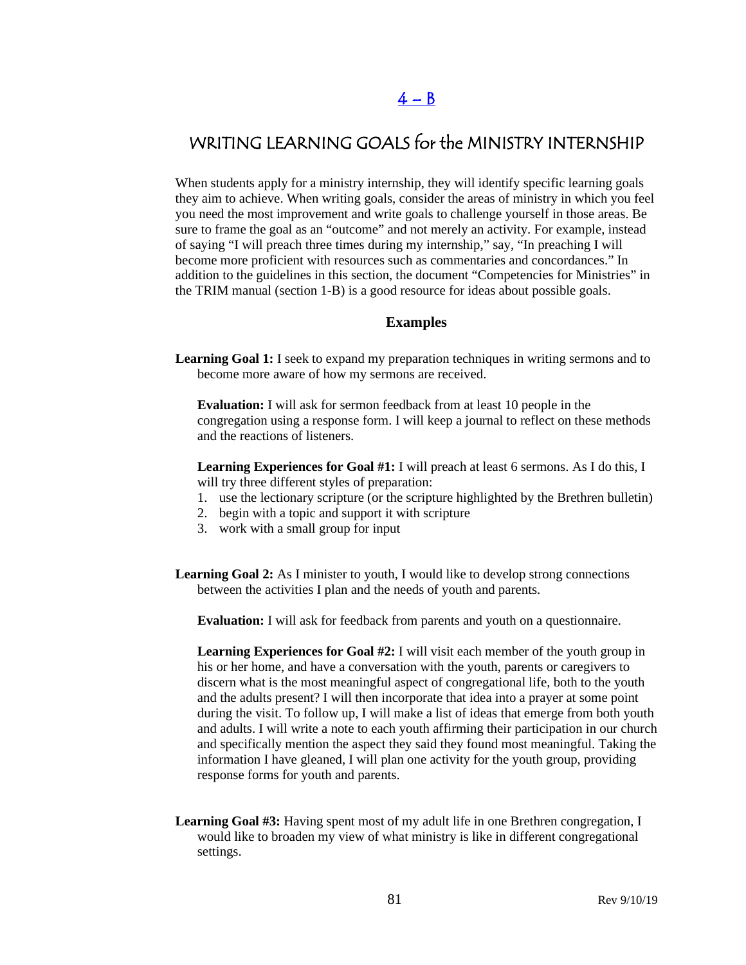## WRITING LEARNING GOALS for the MINISTRY INTERNSHIP

When students apply for a ministry internship, they will identify specific learning goals they aim to achieve. When writing goals, consider the areas of ministry in which you feel you need the most improvement and write goals to challenge yourself in those areas. Be sure to frame the goal as an "outcome" and not merely an activity. For example, instead of saying "I will preach three times during my internship," say, "In preaching I will become more proficient with resources such as commentaries and concordances." In addition to the guidelines in this section, the document "Competencies for Ministries" in the TRIM manual (section 1-B) is a good resource for ideas about possible goals.

#### **Examples**

**Learning Goal 1:** I seek to expand my preparation techniques in writing sermons and to become more aware of how my sermons are received.

**Evaluation:** I will ask for sermon feedback from at least 10 people in the congregation using a response form. I will keep a journal to reflect on these methods and the reactions of listeners.

**Learning Experiences for Goal #1:** I will preach at least 6 sermons. As I do this, I will try three different styles of preparation:

- 1. use the lectionary scripture (or the scripture highlighted by the Brethren bulletin)
- 2. begin with a topic and support it with scripture
- 3. work with a small group for input
- **Learning Goal 2:** As I minister to youth, I would like to develop strong connections between the activities I plan and the needs of youth and parents.

**Evaluation:** I will ask for feedback from parents and youth on a questionnaire.

**Learning Experiences for Goal #2:** I will visit each member of the youth group in his or her home, and have a conversation with the youth, parents or caregivers to discern what is the most meaningful aspect of congregational life, both to the youth and the adults present? I will then incorporate that idea into a prayer at some point during the visit. To follow up, I will make a list of ideas that emerge from both youth and adults. I will write a note to each youth affirming their participation in our church and specifically mention the aspect they said they found most meaningful. Taking the information I have gleaned, I will plan one activity for the youth group, providing response forms for youth and parents.

**Learning Goal #3:** Having spent most of my adult life in one Brethren congregation, I would like to broaden my view of what ministry is like in different congregational settings.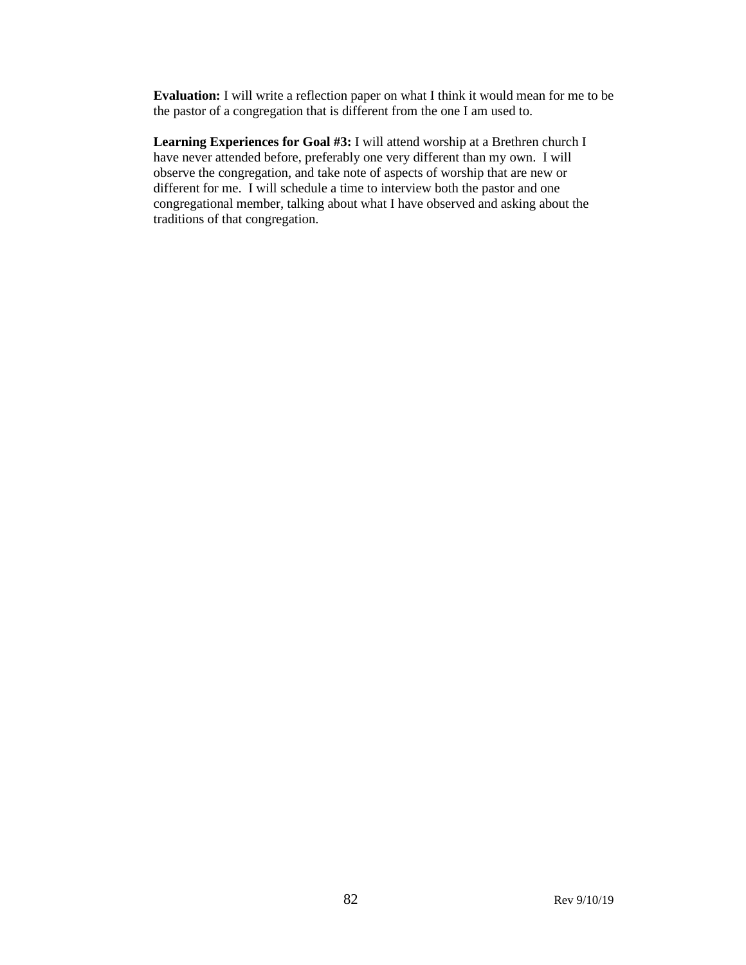**Evaluation:** I will write a reflection paper on what I think it would mean for me to be the pastor of a congregation that is different from the one I am used to.

**Learning Experiences for Goal #3:** I will attend worship at a Brethren church I have never attended before, preferably one very different than my own. I will observe the congregation, and take note of aspects of worship that are new or different for me. I will schedule a time to interview both the pastor and one congregational member, talking about what I have observed and asking about the traditions of that congregation.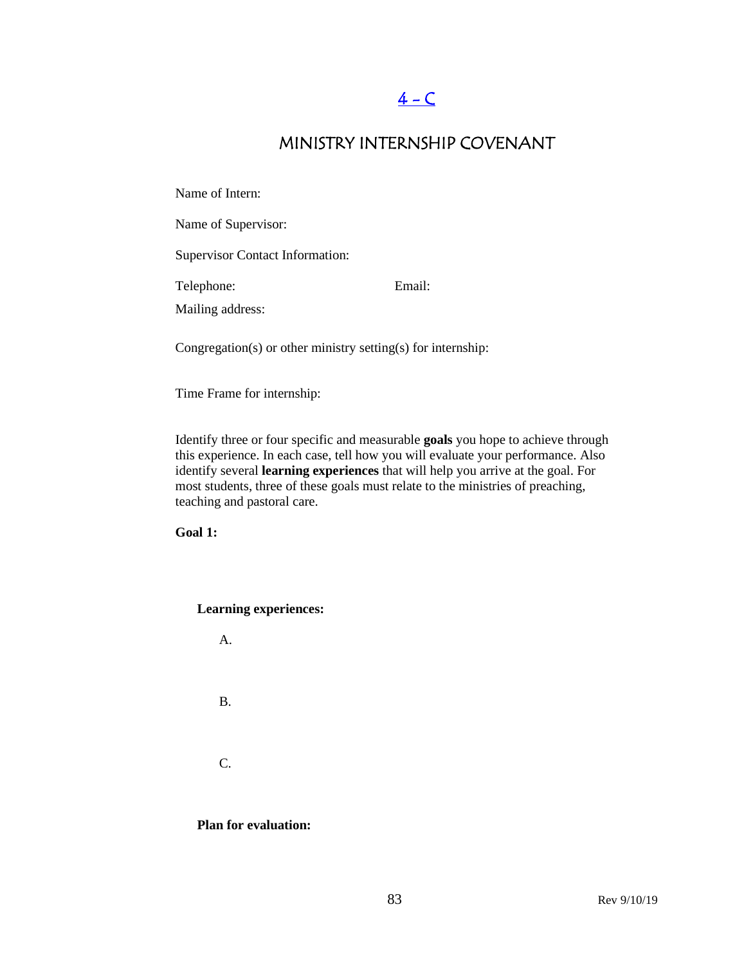# $4 - C$

## MINISTRY INTERNSHIP COVENANT

Name of Intern:

Name of Supervisor:

Supervisor Contact Information:

Telephone: Email:

Mailing address:

Congregation(s) or other ministry setting(s) for internship:

Time Frame for internship:

Identify three or four specific and measurable **goals** you hope to achieve through this experience. In each case, tell how you will evaluate your performance. Also identify several **learning experiences** that will help you arrive at the goal. For most students, three of these goals must relate to the ministries of preaching, teaching and pastoral care.

**Goal 1:**

**Learning experiences:** 

A.

B.

C.

**Plan for evaluation:**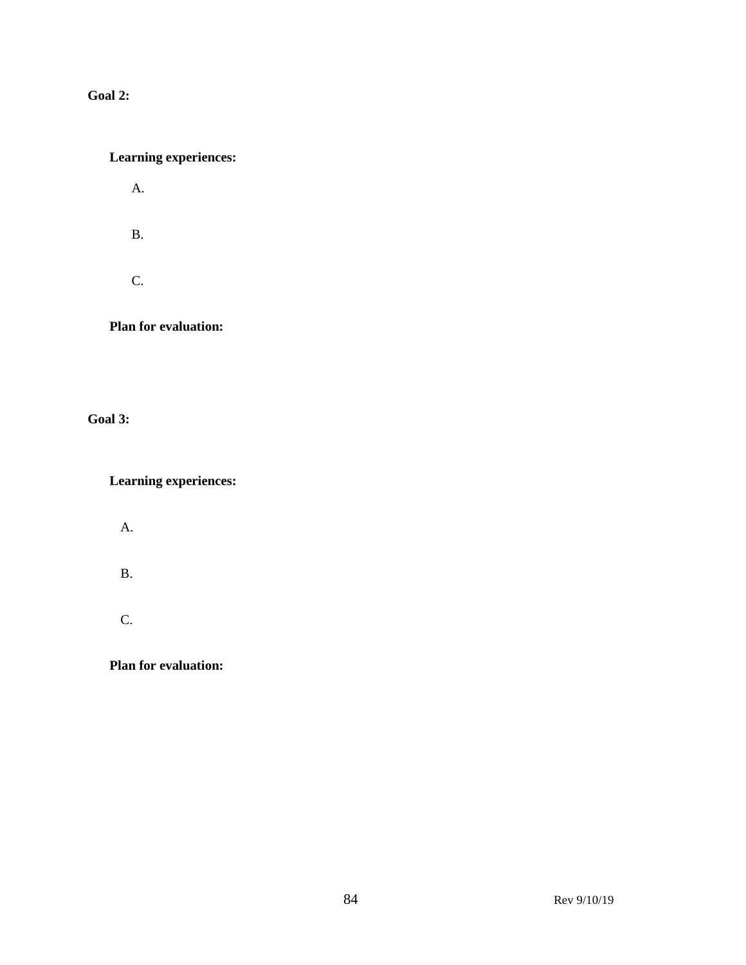**Goal 2:**

### **Learning experiences:**

A.

B.

C.

**Plan for evaluation:**

**Goal 3:**

**Learning experiences:**

A.

B.

C.

**Plan for evaluation:**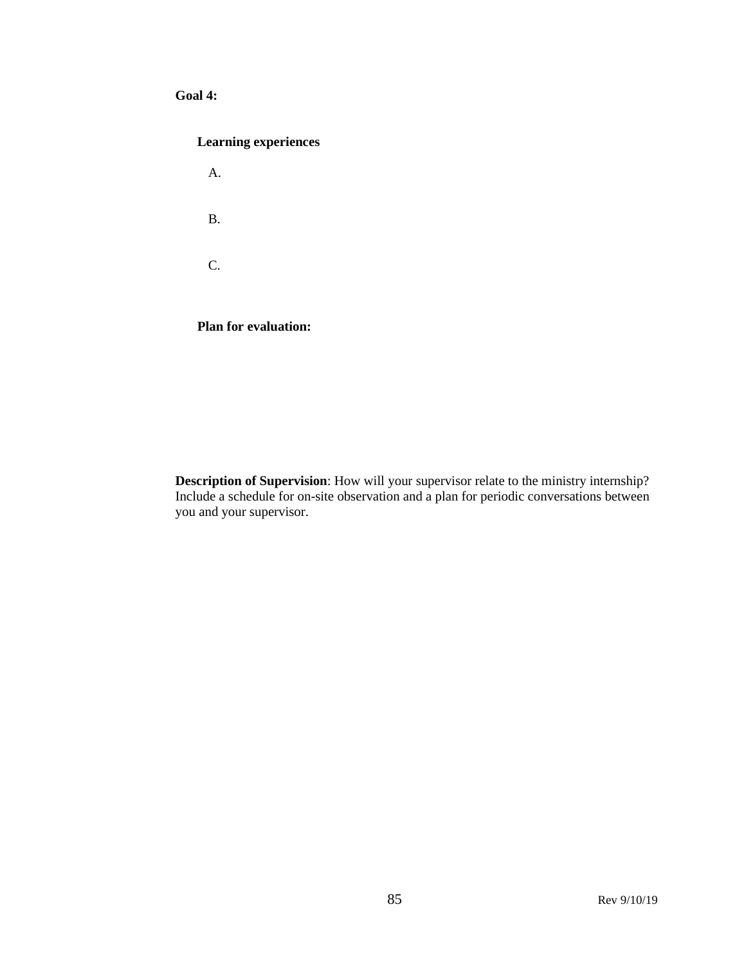#### **Goal 4:**

#### **Learning experiences**

A. B. C.

**Plan for evaluation:** 

**Description of Supervision**: How will your supervisor relate to the ministry internship? Include a schedule for on-site observation and a plan for periodic conversations between you and your supervisor.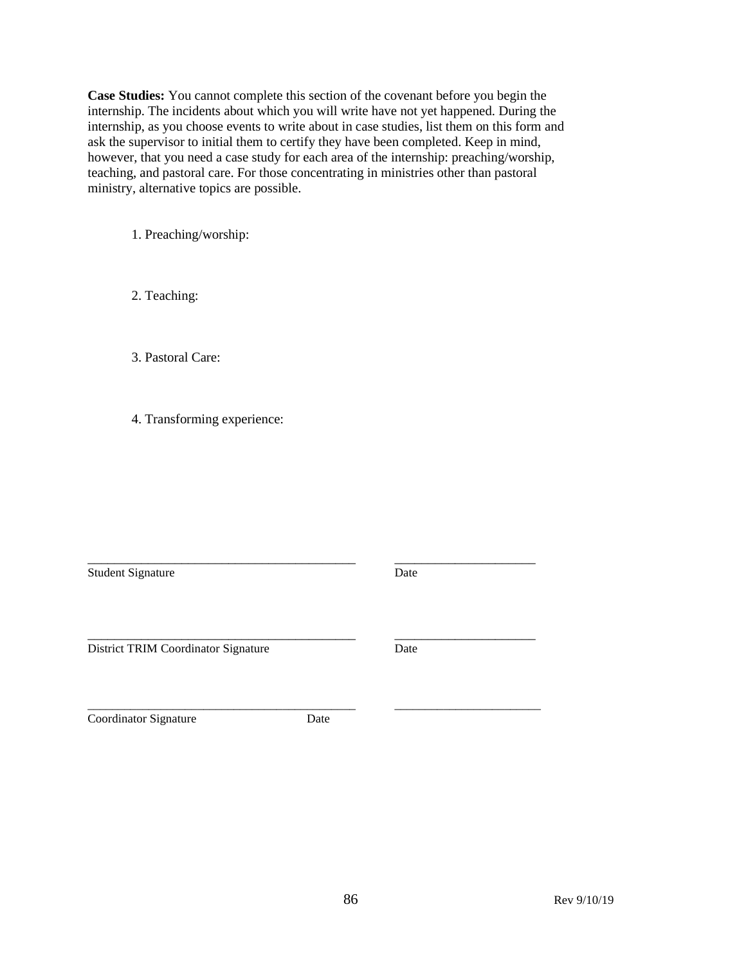**Case Studies:** You cannot complete this section of the covenant before you begin the internship. The incidents about which you will write have not yet happened. During the internship, as you choose events to write about in case studies, list them on this form and ask the supervisor to initial them to certify they have been completed. Keep in mind, however, that you need a case study for each area of the internship: preaching/worship, teaching, and pastoral care. For those concentrating in ministries other than pastoral ministry, alternative topics are possible.

1. Preaching/worship:

2. Teaching:

3. Pastoral Care:

4. Transforming experience:

\_\_\_\_\_\_\_\_\_\_\_\_\_\_\_\_\_\_\_\_\_\_\_\_\_\_\_\_\_\_\_\_\_\_\_\_\_\_\_\_ \_\_\_\_\_\_\_\_\_\_\_\_\_\_\_\_\_\_\_\_\_ Student Signature Date

District TRIM Coordinator Signature Date

Coordinator Signature Date

\_\_\_\_\_\_\_\_\_\_\_\_\_\_\_\_\_\_\_\_\_\_\_\_\_\_\_\_\_\_\_\_\_\_\_\_\_\_\_\_\_\_\_\_ \_\_\_\_\_\_\_\_\_\_\_\_\_\_\_\_\_\_\_\_\_\_\_\_

\_\_\_\_\_\_\_\_\_\_\_\_\_\_\_\_\_\_\_\_\_\_\_\_\_\_\_\_\_\_\_\_\_\_\_\_\_\_\_\_ \_\_\_\_\_\_\_\_\_\_\_\_\_\_\_\_\_\_\_\_\_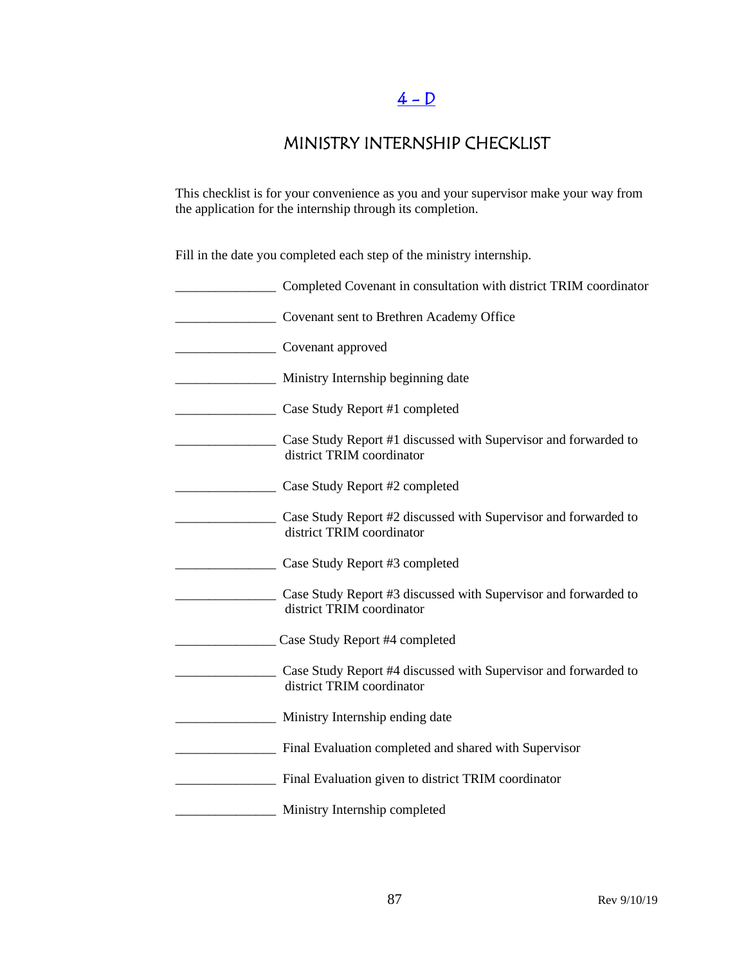# $4 - D$

## MINISTRY INTERNSHIP CHECKLIST

This checklist is for your convenience as you and your supervisor make your way from the application for the internship through its completion.

Fill in the date you completed each step of the ministry internship.

| Completed Covenant in consultation with district TRIM coordinator                            |
|----------------------------------------------------------------------------------------------|
| Covenant sent to Brethren Academy Office                                                     |
| Covenant approved                                                                            |
| Ministry Internship beginning date                                                           |
| Case Study Report #1 completed                                                               |
| Case Study Report #1 discussed with Supervisor and forwarded to<br>district TRIM coordinator |
| Case Study Report #2 completed                                                               |
| Case Study Report #2 discussed with Supervisor and forwarded to<br>district TRIM coordinator |
| Case Study Report #3 completed                                                               |
| Case Study Report #3 discussed with Supervisor and forwarded to<br>district TRIM coordinator |
| Case Study Report #4 completed                                                               |
| Case Study Report #4 discussed with Supervisor and forwarded to<br>district TRIM coordinator |
| Ministry Internship ending date                                                              |
| Final Evaluation completed and shared with Supervisor                                        |
| Final Evaluation given to district TRIM coordinator                                          |
| Ministry Internship completed                                                                |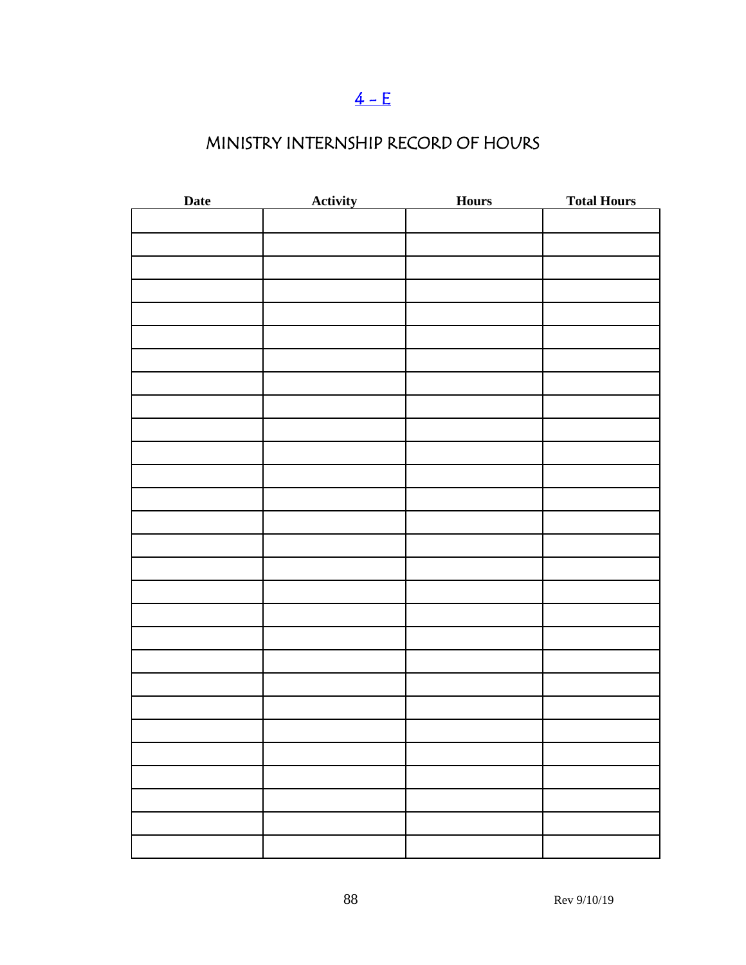# $4 - E$

# MINISTRY INTERNSHIP RECORD OF HOURS

| <b>Date</b> | <b>Activity</b> | <b>Hours</b> | <b>Total Hours</b> |
|-------------|-----------------|--------------|--------------------|
|             |                 |              |                    |
|             |                 |              |                    |
|             |                 |              |                    |
|             |                 |              |                    |
|             |                 |              |                    |
|             |                 |              |                    |
|             |                 |              |                    |
|             |                 |              |                    |
|             |                 |              |                    |
|             |                 |              |                    |
|             |                 |              |                    |
|             |                 |              |                    |
|             |                 |              |                    |
|             |                 |              |                    |
|             |                 |              |                    |
|             |                 |              |                    |
|             |                 |              |                    |
|             |                 |              |                    |
|             |                 |              |                    |
|             |                 |              |                    |
|             |                 |              |                    |
|             |                 |              |                    |
|             |                 |              |                    |
|             |                 |              |                    |
|             |                 |              |                    |
|             |                 |              |                    |
|             |                 |              |                    |
|             |                 |              |                    |
|             |                 |              |                    |
|             |                 |              |                    |
|             |                 |              |                    |
|             |                 |              |                    |
|             |                 |              |                    |
|             |                 |              |                    |
|             |                 |              |                    |
|             |                 |              |                    |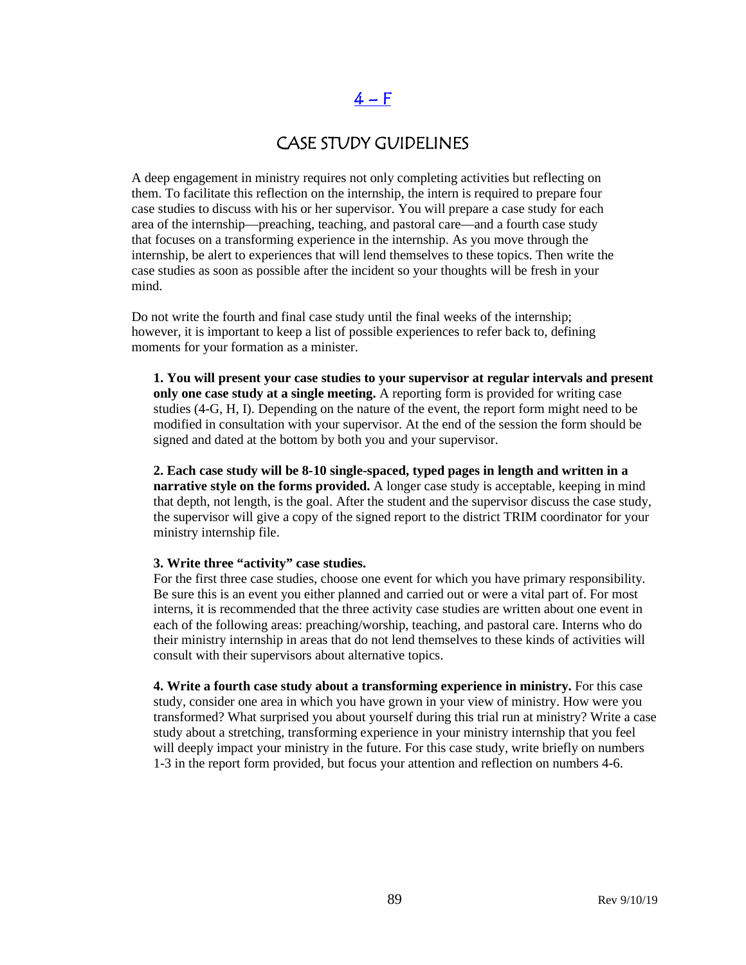# $4-F$

### CASE STUDY GUIDELINES

A deep engagement in ministry requires not only completing activities but reflecting on them. To facilitate this reflection on the internship, the intern is required to prepare four case studies to discuss with his or her supervisor. You will prepare a case study for each area of the internship—preaching, teaching, and pastoral care—and a fourth case study that focuses on a transforming experience in the internship. As you move through the internship, be alert to experiences that will lend themselves to these topics. Then write the case studies as soon as possible after the incident so your thoughts will be fresh in your mind.

Do not write the fourth and final case study until the final weeks of the internship; however, it is important to keep a list of possible experiences to refer back to, defining moments for your formation as a minister.

**1. You will present your case studies to your supervisor at regular intervals and present only one case study at a single meeting.** A reporting form is provided for writing case studies (4-G, H, I). Depending on the nature of the event, the report form might need to be modified in consultation with your supervisor. At the end of the session the form should be signed and dated at the bottom by both you and your supervisor.

**2. Each case study will be 8-10 single-spaced, typed pages in length and written in a narrative style on the forms provided.** A longer case study is acceptable, keeping in mind that depth, not length, is the goal. After the student and the supervisor discuss the case study, the supervisor will give a copy of the signed report to the district TRIM coordinator for your ministry internship file.

#### **3. Write three "activity" case studies.**

For the first three case studies, choose one event for which you have primary responsibility. Be sure this is an event you either planned and carried out or were a vital part of. For most interns, it is recommended that the three activity case studies are written about one event in each of the following areas: preaching/worship, teaching, and pastoral care. Interns who do their ministry internship in areas that do not lend themselves to these kinds of activities will consult with their supervisors about alternative topics.

**4. Write a fourth case study about a transforming experience in ministry.** For this case study, consider one area in which you have grown in your view of ministry. How were you transformed? What surprised you about yourself during this trial run at ministry? Write a case study about a stretching, transforming experience in your ministry internship that you feel will deeply impact your ministry in the future. For this case study, write briefly on numbers 1-3 in the report form provided, but focus your attention and reflection on numbers 4-6.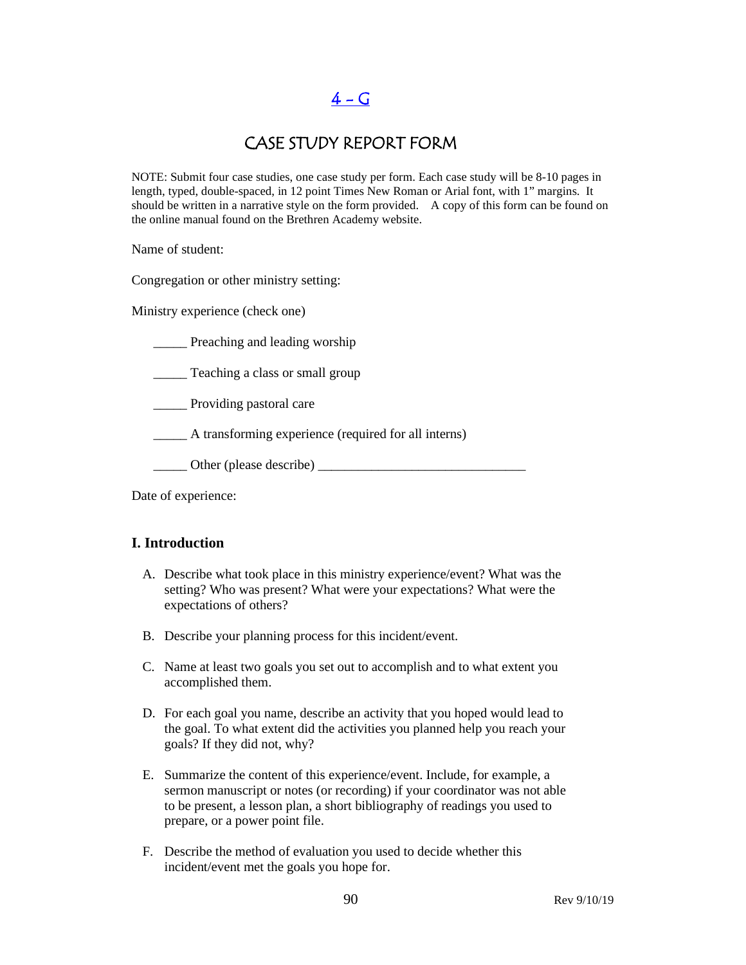$4 - G$ 

### CASE STUDY REPORT FORM

NOTE: Submit four case studies, one case study per form. Each case study will be 8-10 pages in length, typed, double-spaced, in 12 point Times New Roman or Arial font, with 1" margins. It should be written in a narrative style on the form provided. A copy of this form can be found on the online manual found on the Brethren Academy website.

Name of student:

Congregation or other ministry setting:

Ministry experience (check one)

**\_\_\_\_\_** Preaching and leading worship

\_\_\_\_\_ Teaching a class or small group

\_\_\_\_\_ Providing pastoral care

\_\_\_\_\_ A transforming experience (required for all interns)

\_\_\_\_\_ Other (please describe) \_\_\_\_\_\_\_\_\_\_\_\_\_\_\_\_\_\_\_\_\_\_\_\_\_\_\_\_\_\_\_

Date of experience:

#### **I. Introduction**

- A. Describe what took place in this ministry experience/event? What was the setting? Who was present? What were your expectations? What were the expectations of others?
- B. Describe your planning process for this incident/event.
- C. Name at least two goals you set out to accomplish and to what extent you accomplished them.
- D. For each goal you name, describe an activity that you hoped would lead to the goal. To what extent did the activities you planned help you reach your goals? If they did not, why?
- E. Summarize the content of this experience/event. Include, for example, a sermon manuscript or notes (or recording) if your coordinator was not able to be present, a lesson plan, a short bibliography of readings you used to prepare, or a power point file.
- F. Describe the method of evaluation you used to decide whether this incident/event met the goals you hope for.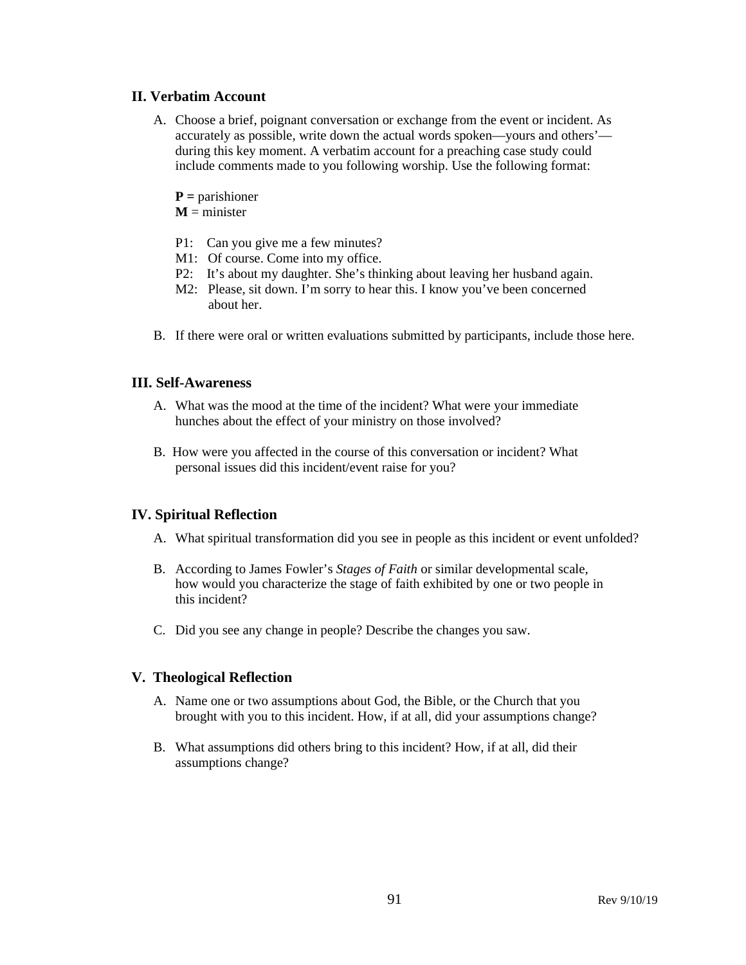#### **II. Verbatim Account**

- A. Choose a brief, poignant conversation or exchange from the event or incident. As accurately as possible, write down the actual words spoken—yours and others' during this key moment. A verbatim account for a preaching case study could include comments made to you following worship. Use the following format:
	- **P =** parishioner
	- $M =$  minister
	- P1: Can you give me a few minutes?
	- M1: Of course. Come into my office.
	- P2: It's about my daughter. She's thinking about leaving her husband again.
	- M2: Please, sit down. I'm sorry to hear this. I know you've been concerned about her.
- B. If there were oral or written evaluations submitted by participants, include those here.

#### **III. Self-Awareness**

- A. What was the mood at the time of the incident? What were your immediate hunches about the effect of your ministry on those involved?
- B. How were you affected in the course of this conversation or incident? What personal issues did this incident/event raise for you?

#### **IV. Spiritual Reflection**

- A. What spiritual transformation did you see in people as this incident or event unfolded?
- B. According to James Fowler's *Stages of Faith* or similar developmental scale, how would you characterize the stage of faith exhibited by one or two people in this incident?
- C. Did you see any change in people? Describe the changes you saw.

#### **V. Theological Reflection**

- A. Name one or two assumptions about God, the Bible, or the Church that you brought with you to this incident. How, if at all, did your assumptions change?
- B. What assumptions did others bring to this incident? How, if at all, did their assumptions change?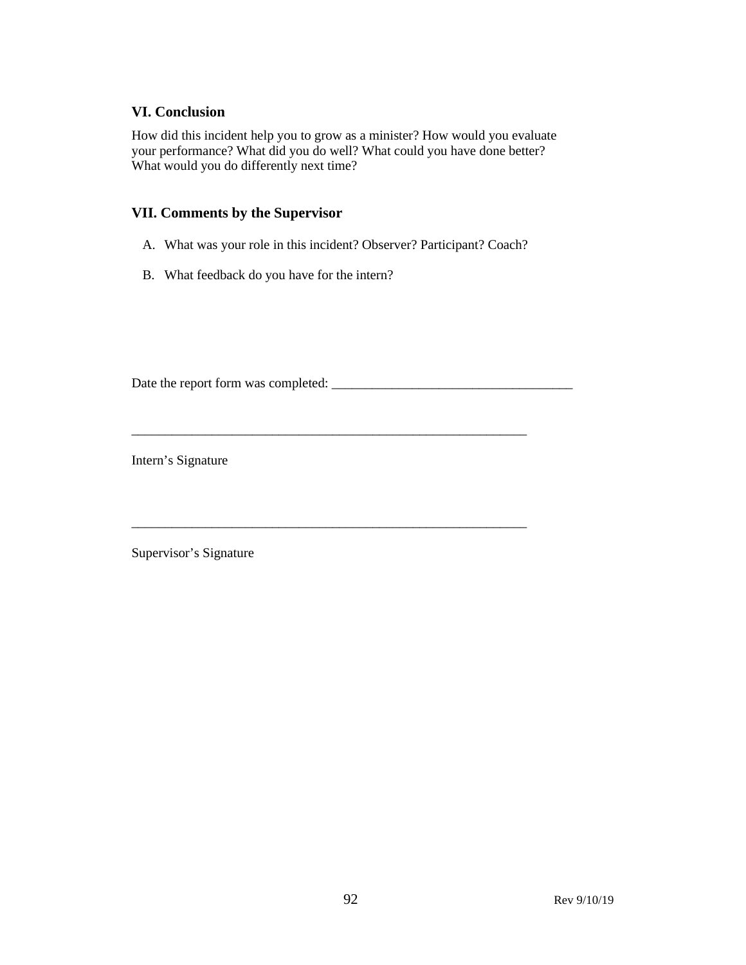#### **VI. Conclusion**

How did this incident help you to grow as a minister? How would you evaluate your performance? What did you do well? What could you have done better? What would you do differently next time?

#### **VII. Comments by the Supervisor**

A. What was your role in this incident? Observer? Participant? Coach?

\_\_\_\_\_\_\_\_\_\_\_\_\_\_\_\_\_\_\_\_\_\_\_\_\_\_\_\_\_\_\_\_\_\_\_\_\_\_\_\_\_\_\_\_\_\_\_\_\_\_\_\_\_\_\_\_\_\_\_

\_\_\_\_\_\_\_\_\_\_\_\_\_\_\_\_\_\_\_\_\_\_\_\_\_\_\_\_\_\_\_\_\_\_\_\_\_\_\_\_\_\_\_\_\_\_\_\_\_\_\_\_\_\_\_\_\_\_\_

B. What feedback do you have for the intern?

Date the report form was completed: \_\_\_\_\_\_\_\_\_\_\_\_\_\_\_\_\_\_\_\_\_\_\_\_\_\_\_\_\_\_\_\_\_\_\_\_

Intern's Signature

Supervisor's Signature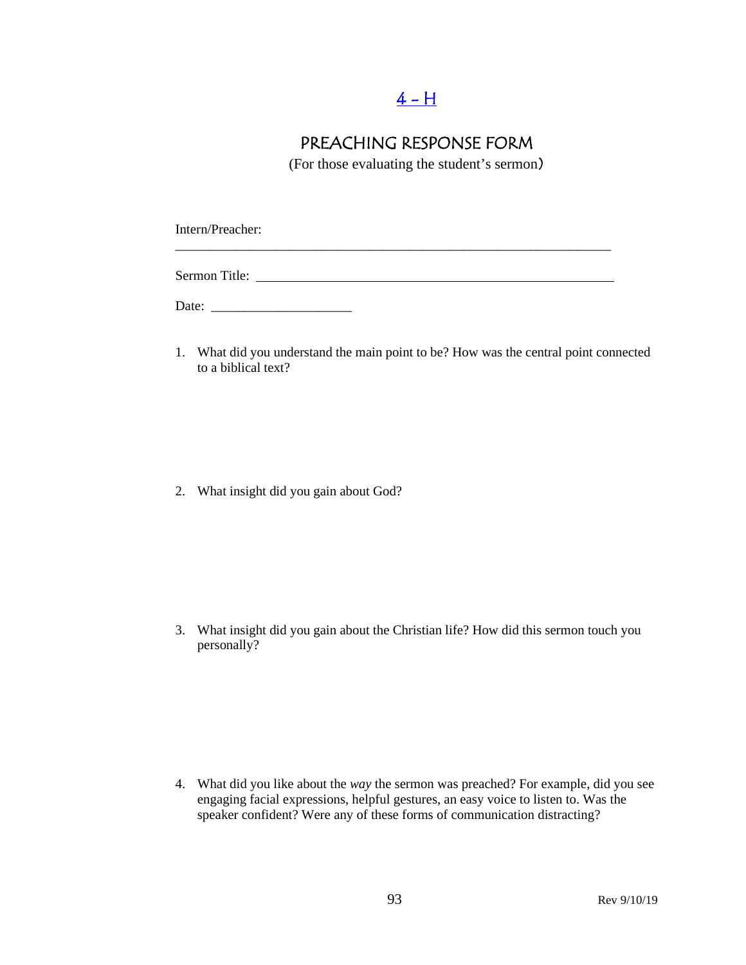## $4 - H$

## PREACHING RESPONSE FORM

(For those evaluating the student's sermon)

\_\_\_\_\_\_\_\_\_\_\_\_\_\_\_\_\_\_\_\_\_\_\_\_\_\_\_\_\_\_\_\_\_\_\_\_\_\_\_\_\_\_\_\_\_\_\_\_\_\_\_\_\_\_\_\_\_\_\_\_\_\_\_\_\_

Intern/Preacher:

Sermon Title:

Date: \_\_\_\_\_\_\_\_\_\_\_\_\_\_\_\_\_\_\_\_\_

1. What did you understand the main point to be? How was the central point connected to a biblical text?

2. What insight did you gain about God?

3. What insight did you gain about the Christian life? How did this sermon touch you personally?

4. What did you like about the *way* the sermon was preached? For example, did you see engaging facial expressions, helpful gestures, an easy voice to listen to. Was the speaker confident? Were any of these forms of communication distracting?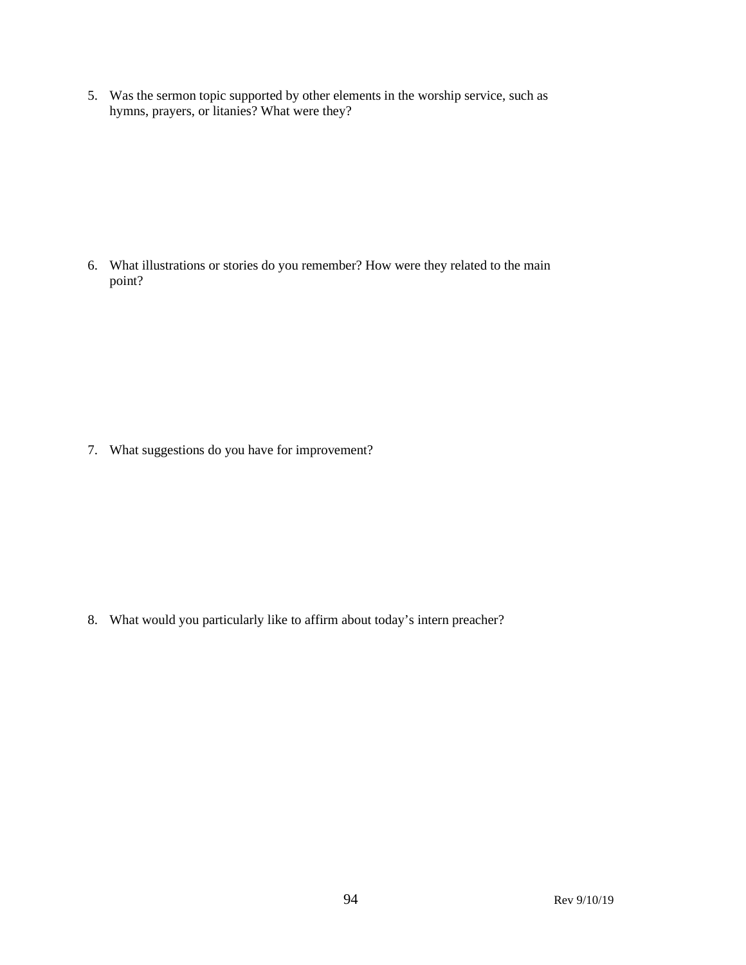5. Was the sermon topic supported by other elements in the worship service, such as hymns, prayers, or litanies? What were they?

6. What illustrations or stories do you remember? How were they related to the main point?

7. What suggestions do you have for improvement?

8. What would you particularly like to affirm about today's intern preacher?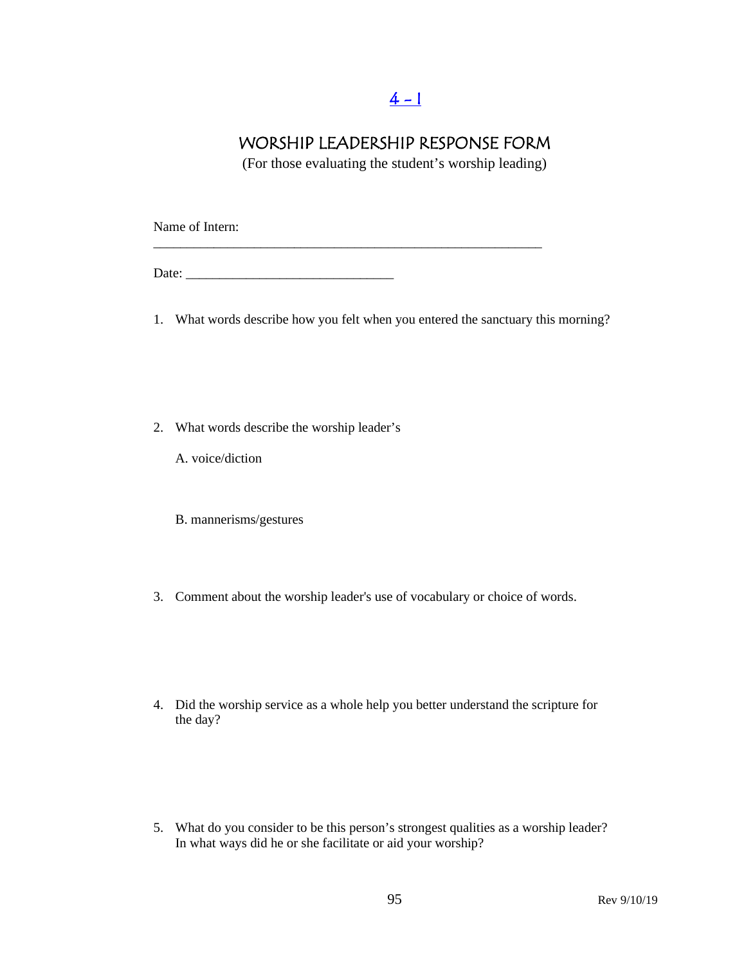# $4 - 1$

### WORSHIP LEADERSHIP RESPONSE FORM

(For those evaluating the student's worship leading)

Name of Intern:

Date: \_\_\_\_\_\_\_\_\_\_\_\_\_\_\_\_\_\_\_\_\_\_\_\_\_\_\_\_\_\_\_

1. What words describe how you felt when you entered the sanctuary this morning?

\_\_\_\_\_\_\_\_\_\_\_\_\_\_\_\_\_\_\_\_\_\_\_\_\_\_\_\_\_\_\_\_\_\_\_\_\_\_\_\_\_\_\_\_\_\_\_\_\_\_\_\_\_\_\_\_\_\_

- 2. What words describe the worship leader's
	- A. voice/diction
	- B. mannerisms/gestures
- 3. Comment about the worship leader's use of vocabulary or choice of words.
- 4. Did the worship service as a whole help you better understand the scripture for the day?
- 5. What do you consider to be this person's strongest qualities as a worship leader? In what ways did he or she facilitate or aid your worship?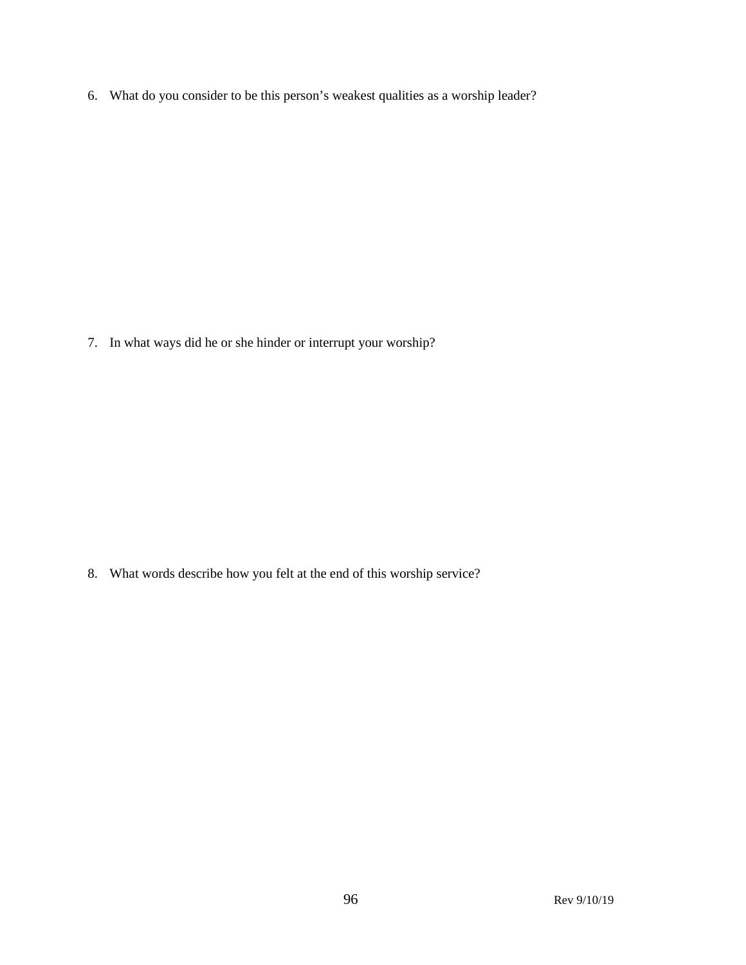6. What do you consider to be this person's weakest qualities as a worship leader?

7. In what ways did he or she hinder or interrupt your worship?

8. What words describe how you felt at the end of this worship service?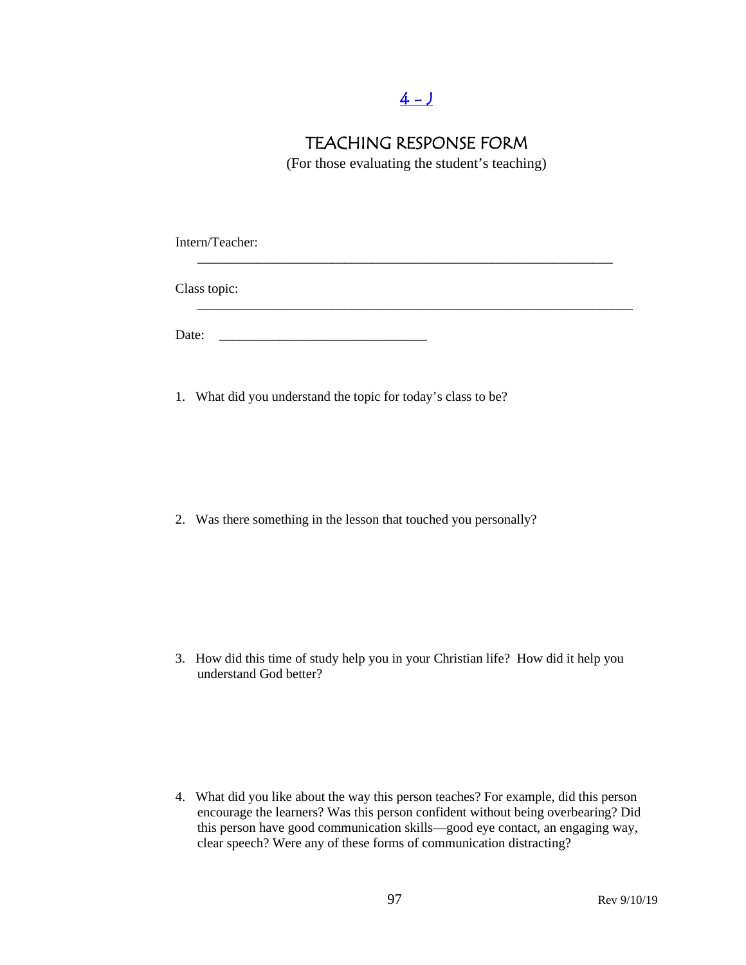## $4 - J$

### TEACHING RESPONSE FORM

(For those evaluating the student's teaching)

Intern/Teacher: \_\_\_\_\_\_\_\_\_\_\_\_\_\_\_\_\_\_\_\_\_\_\_\_\_\_\_\_\_\_\_\_\_\_\_\_\_\_\_\_\_\_\_\_\_\_\_\_\_\_\_\_\_\_\_\_\_\_\_\_\_\_ Class topic: \_\_\_\_\_\_\_\_\_\_\_\_\_\_\_\_\_\_\_\_\_\_\_\_\_\_\_\_\_\_\_\_\_\_\_\_\_\_\_\_\_\_\_\_\_\_\_\_\_\_\_\_\_\_\_\_\_\_\_\_\_\_\_\_\_ Date: \_\_\_\_\_\_\_\_\_\_\_\_\_\_\_\_\_\_\_\_\_\_\_\_\_\_\_\_\_\_\_

1. What did you understand the topic for today's class to be?

2. Was there something in the lesson that touched you personally?

3. How did this time of study help you in your Christian life? How did it help you understand God better?

4. What did you like about the way this person teaches? For example, did this person encourage the learners? Was this person confident without being overbearing? Did this person have good communication skills—good eye contact, an engaging way, clear speech? Were any of these forms of communication distracting?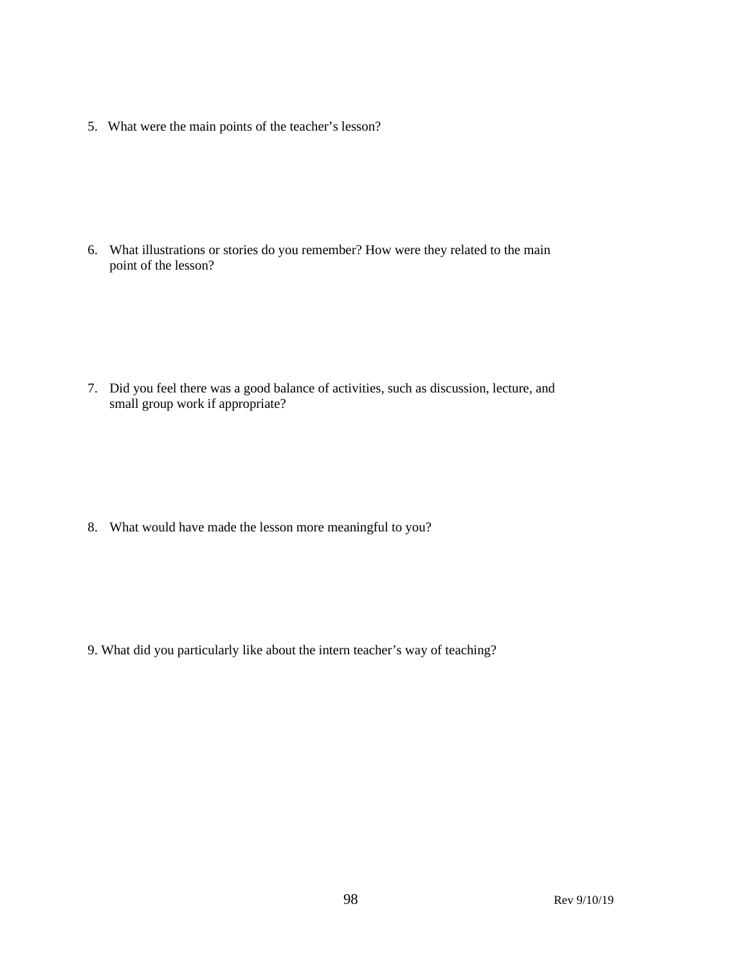5. What were the main points of the teacher's lesson?

6. What illustrations or stories do you remember? How were they related to the main point of the lesson?

7. Did you feel there was a good balance of activities, such as discussion, lecture, and small group work if appropriate?

8. What would have made the lesson more meaningful to you?

9. What did you particularly like about the intern teacher's way of teaching?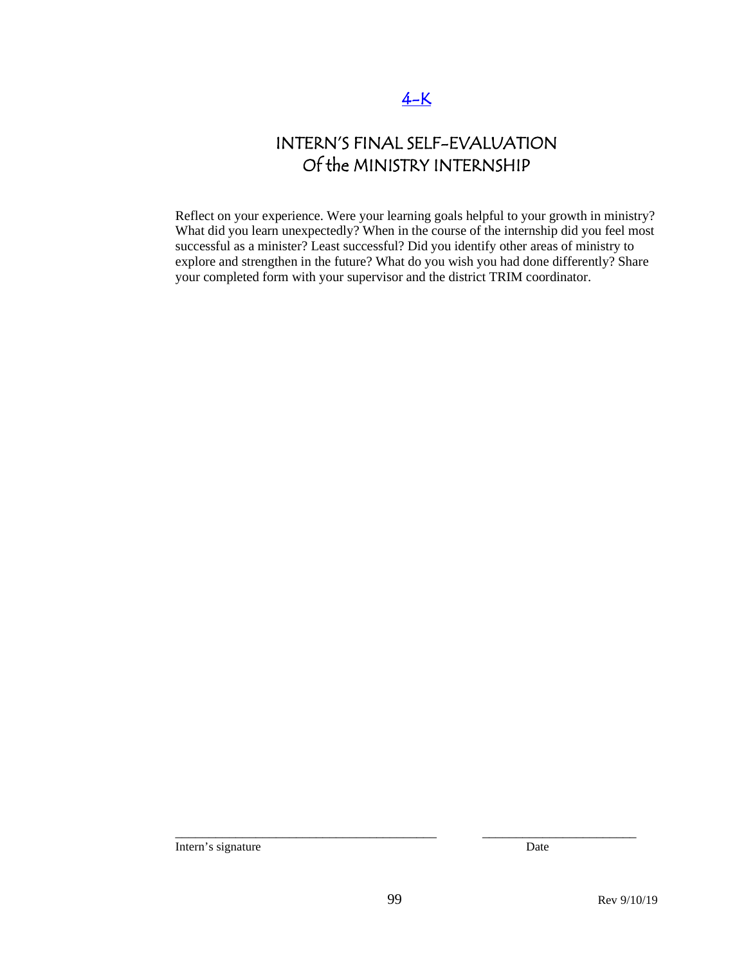# INTERN'S FINAL SELF-EVALUATION Of the MINISTRY INTERNSHIP

Reflect on your experience. Were your learning goals helpful to your growth in ministry? What did you learn unexpectedly? When in the course of the internship did you feel most successful as a minister? Least successful? Did you identify other areas of ministry to explore and strengthen in the future? What do you wish you had done differently? Share your completed form with your supervisor and the district TRIM coordinator.

Intern's signature Date

\_\_\_\_\_\_\_\_\_\_\_\_\_\_\_\_\_\_\_\_\_\_\_\_\_\_\_\_\_\_\_\_\_\_\_\_\_\_\_ \_\_\_\_\_\_\_\_\_\_\_\_\_\_\_\_\_\_\_\_\_\_\_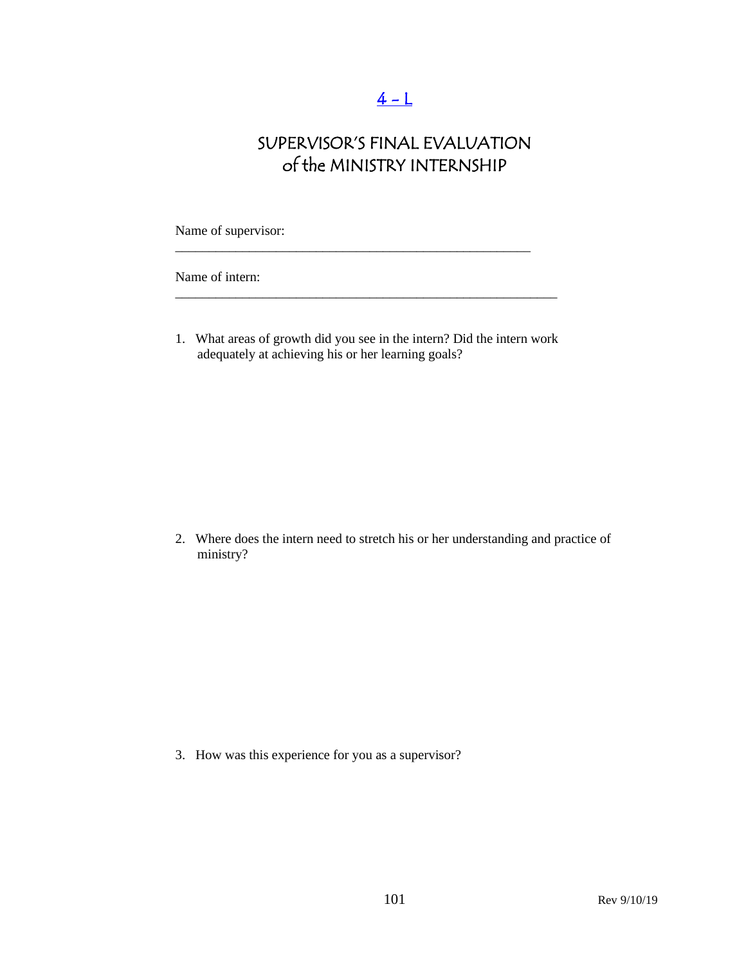# $4 - L$

# SUPERVISOR'S FINAL EVALUATION of the MINISTRY INTERNSHIP

Name of supervisor:

Name of intern:

1. What areas of growth did you see in the intern? Did the intern work adequately at achieving his or her learning goals?

\_\_\_\_\_\_\_\_\_\_\_\_\_\_\_\_\_\_\_\_\_\_\_\_\_\_\_\_\_\_\_\_\_\_\_\_\_\_\_\_\_\_\_\_\_\_\_\_\_\_\_\_\_\_\_\_\_

\_\_\_\_\_\_\_\_\_\_\_\_\_\_\_\_\_\_\_\_\_\_\_\_\_\_\_\_\_\_\_\_\_\_\_\_\_\_\_\_\_\_\_\_\_\_\_\_\_\_\_\_\_

2. Where does the intern need to stretch his or her understanding and practice of ministry?

3. How was this experience for you as a supervisor?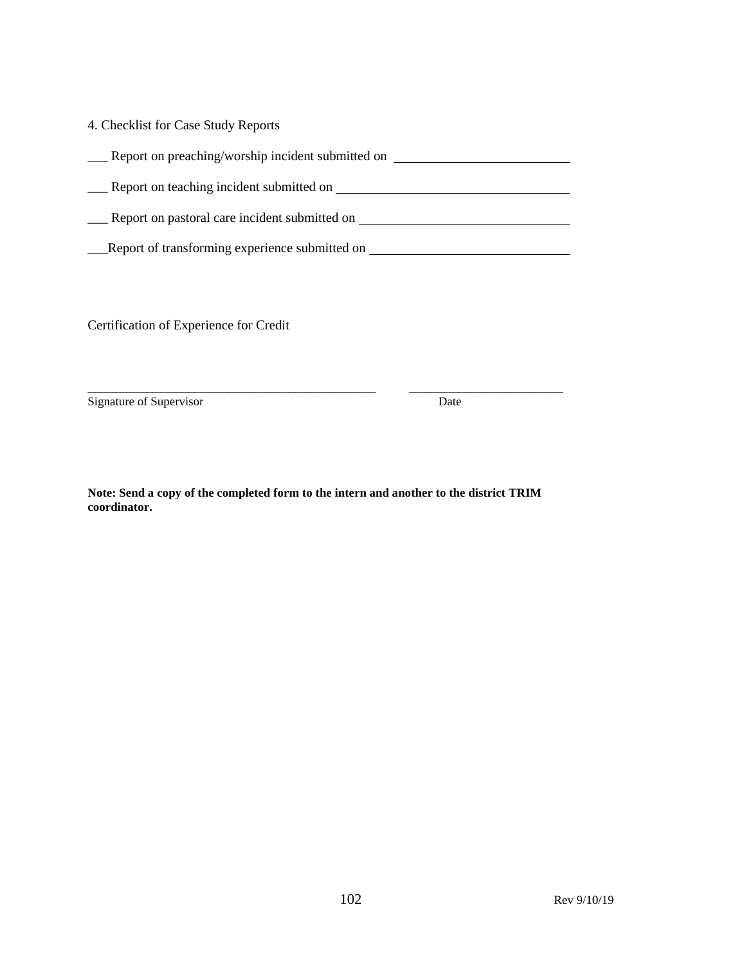| 4. Checklist for Case Study Reports               |
|---------------------------------------------------|
| Report on preaching/worship incident submitted on |
| Report on teaching incident submitted on          |
| Report on pastoral care incident submitted on     |
| Report of transforming experience submitted on    |

Certification of Experience for Credit

Signature of Supervisor Date

**Note: Send a copy of the completed form to the intern and another to the district TRIM coordinator.** 

\_\_\_\_\_\_\_\_\_\_\_\_\_\_\_\_\_\_\_\_\_\_\_\_\_\_\_\_\_\_\_\_\_\_\_\_\_\_\_\_\_\_\_ \_\_\_\_\_\_\_\_\_\_\_\_\_\_\_\_\_\_\_\_\_\_\_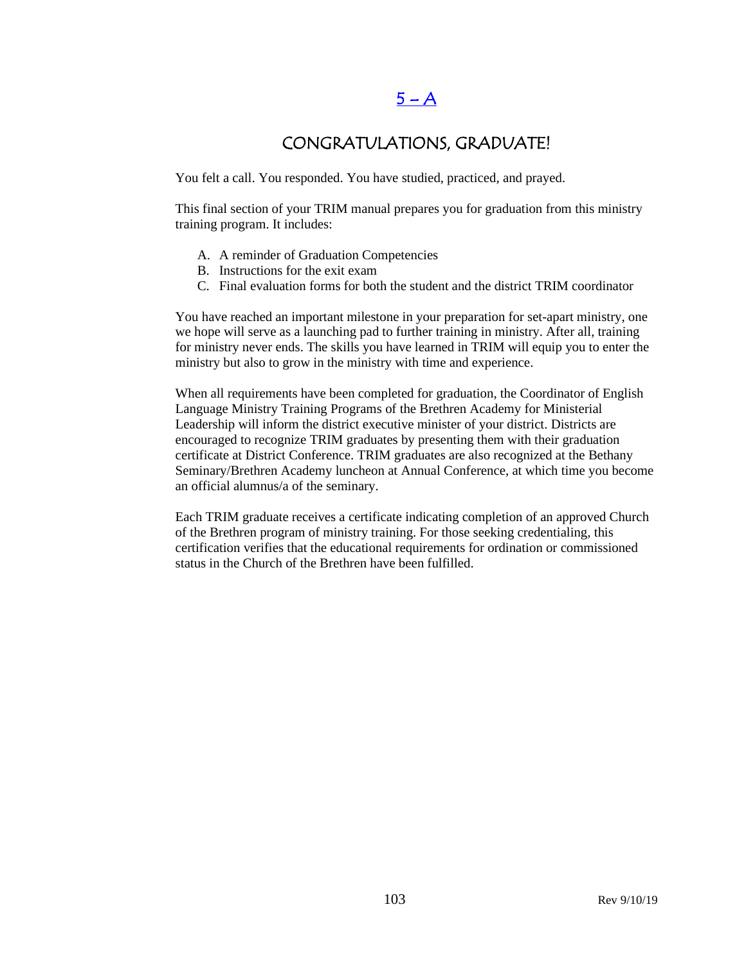## $5 - A$

### CONGRATULATIONS, GRADUATE!

You felt a call. You responded. You have studied, practiced, and prayed.

This final section of your TRIM manual prepares you for graduation from this ministry training program. It includes:

- A. A reminder of Graduation Competencies
- B. Instructions for the exit exam
- C. Final evaluation forms for both the student and the district TRIM coordinator

You have reached an important milestone in your preparation for set-apart ministry, one we hope will serve as a launching pad to further training in ministry. After all, training for ministry never ends. The skills you have learned in TRIM will equip you to enter the ministry but also to grow in the ministry with time and experience.

When all requirements have been completed for graduation, the Coordinator of English Language Ministry Training Programs of the Brethren Academy for Ministerial Leadership will inform the district executive minister of your district. Districts are encouraged to recognize TRIM graduates by presenting them with their graduation certificate at District Conference. TRIM graduates are also recognized at the Bethany Seminary/Brethren Academy luncheon at Annual Conference, at which time you become an official alumnus/a of the seminary.

Each TRIM graduate receives a certificate indicating completion of an approved Church of the Brethren program of ministry training. For those seeking credentialing, this certification verifies that the educational requirements for ordination or commissioned status in the Church of the Brethren have been fulfilled.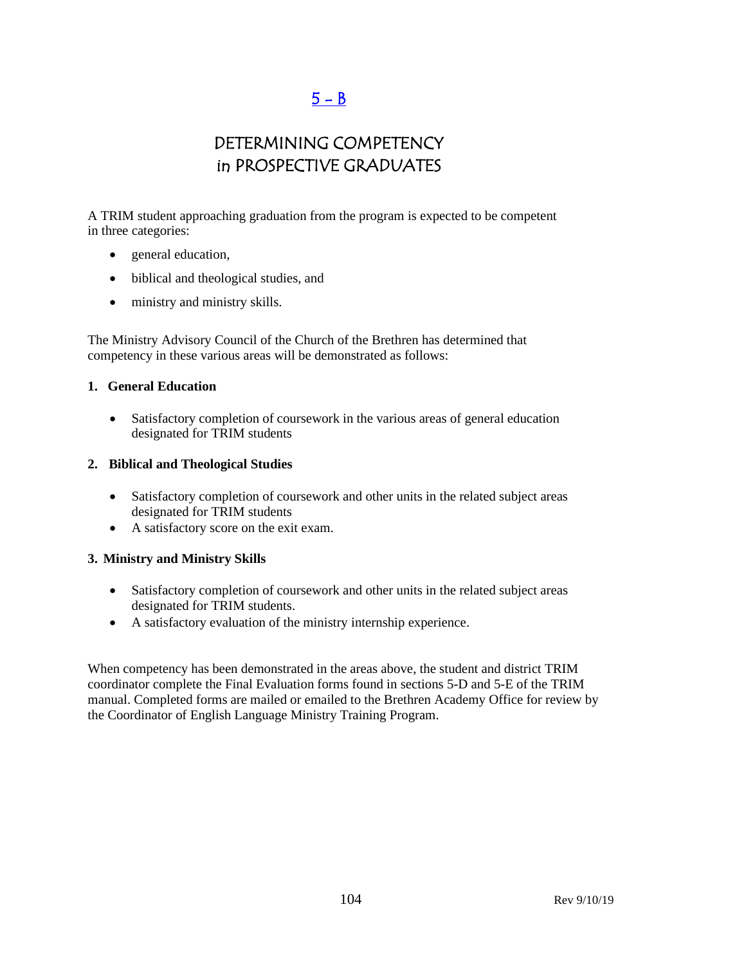## $5 - B$

## DETERMINING COMPETENCY in PROSPECTIVE GRADUATES

A TRIM student approaching graduation from the program is expected to be competent in three categories:

- general education,
- biblical and theological studies, and
- ministry and ministry skills.

The Ministry Advisory Council of the Church of the Brethren has determined that competency in these various areas will be demonstrated as follows:

#### **1. General Education**

• Satisfactory completion of coursework in the various areas of general education designated for TRIM students

#### **2. Biblical and Theological Studies**

- Satisfactory completion of coursework and other units in the related subject areas designated for TRIM students
- A satisfactory score on the exit exam.

#### **3. Ministry and Ministry Skills**

- Satisfactory completion of coursework and other units in the related subject areas designated for TRIM students.
- A satisfactory evaluation of the ministry internship experience.

When competency has been demonstrated in the areas above, the student and district TRIM coordinator complete the Final Evaluation forms found in sections 5-D and 5-E of the TRIM manual. Completed forms are mailed or emailed to the Brethren Academy Office for review by the Coordinator of English Language Ministry Training Program.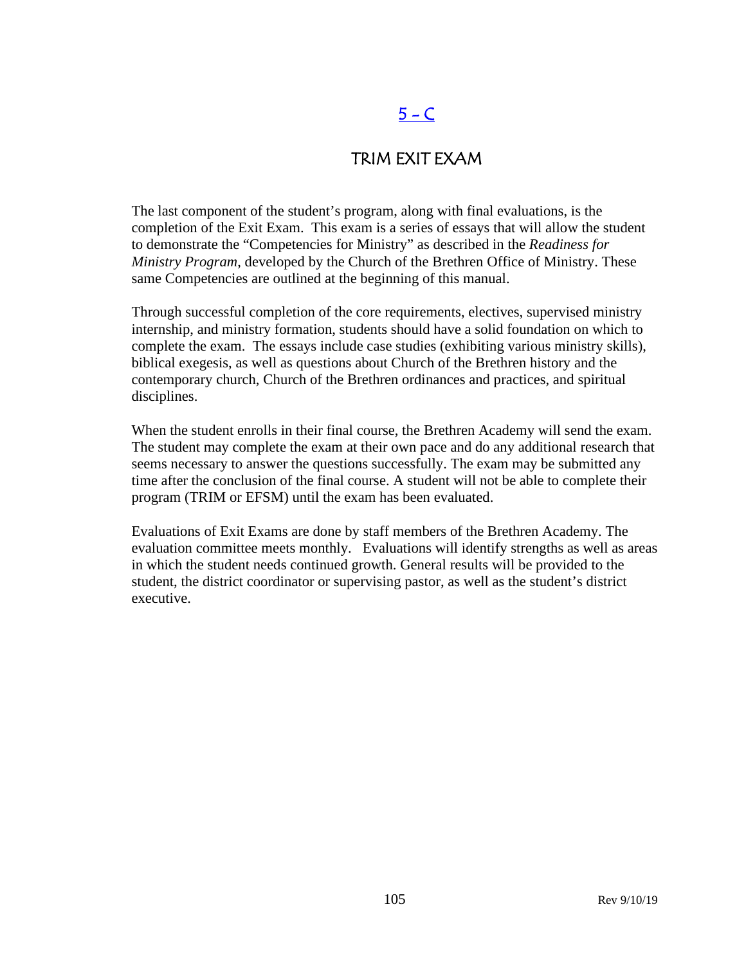# $5 - C$

### TRIM EXIT EXAM

The last component of the student's program, along with final evaluations, is the completion of the Exit Exam. This exam is a series of essays that will allow the student to demonstrate the "Competencies for Ministry" as described in the *Readiness for Ministry Program*, developed by the Church of the Brethren Office of Ministry. These same Competencies are outlined at the beginning of this manual.

Through successful completion of the core requirements, electives, supervised ministry internship, and ministry formation, students should have a solid foundation on which to complete the exam. The essays include case studies (exhibiting various ministry skills), biblical exegesis, as well as questions about Church of the Brethren history and the contemporary church, Church of the Brethren ordinances and practices, and spiritual disciplines.

When the student enrolls in their final course, the Brethren Academy will send the exam. The student may complete the exam at their own pace and do any additional research that seems necessary to answer the questions successfully. The exam may be submitted any time after the conclusion of the final course. A student will not be able to complete their program (TRIM or EFSM) until the exam has been evaluated.

Evaluations of Exit Exams are done by staff members of the Brethren Academy. The evaluation committee meets monthly. Evaluations will identify strengths as well as areas in which the student needs continued growth. General results will be provided to the student, the district coordinator or supervising pastor, as well as the student's district executive.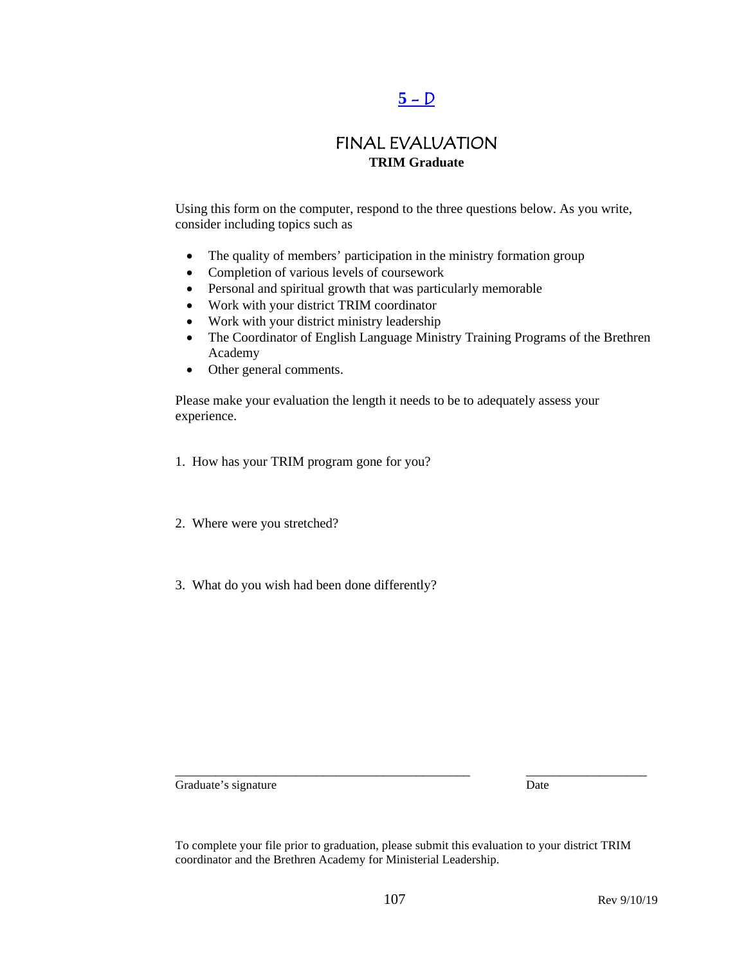# $5 - D$

### FINAL EVALUATION **TRIM Graduate**

Using this form on the computer, respond to the three questions below. As you write, consider including topics such as

- The quality of members' participation in the ministry formation group
- Completion of various levels of coursework
- Personal and spiritual growth that was particularly memorable
- Work with your district TRIM coordinator
- Work with your district ministry leadership
- The Coordinator of English Language Ministry Training Programs of the Brethren Academy
- Other general comments.

Please make your evaluation the length it needs to be to adequately assess your experience.

- 1. How has your TRIM program gone for you?
- 2. Where were you stretched?
- 3. What do you wish had been done differently?

Graduate's signature Date

To complete your file prior to graduation, please submit this evaluation to your district TRIM coordinator and the Brethren Academy for Ministerial Leadership.

\_\_\_\_\_\_\_\_\_\_\_\_\_\_\_\_\_\_\_\_\_\_\_\_\_\_\_\_\_\_\_\_\_\_\_\_\_\_\_\_\_\_\_\_ \_\_\_\_\_\_\_\_\_\_\_\_\_\_\_\_\_\_